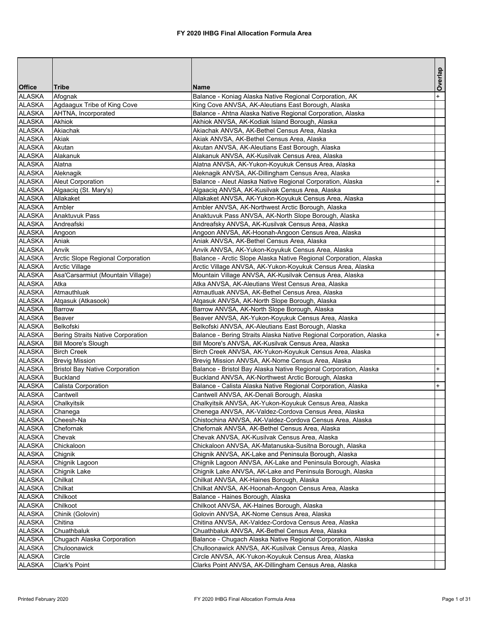|               |                                          |                                                                     | Overlap   |
|---------------|------------------------------------------|---------------------------------------------------------------------|-----------|
| <b>Office</b> | <b>Tribe</b>                             | <b>Name</b>                                                         |           |
| <b>ALASKA</b> | Afognak                                  | Balance - Koniag Alaska Native Regional Corporation, AK             | $\ddot{}$ |
| <b>ALASKA</b> | Agdaagux Tribe of King Cove              | King Cove ANVSA, AK-Aleutians East Borough, Alaska                  |           |
| <b>ALASKA</b> | AHTNA, Incorporated                      | Balance - Ahtna Alaska Native Regional Corporation, Alaska          |           |
| <b>ALASKA</b> | Akhiok                                   | Akhiok ANVSA, AK-Kodiak Island Borough, Alaska                      |           |
| ALASKA        | Akiachak                                 | Akiachak ANVSA, AK-Bethel Census Area, Alaska                       |           |
| <b>ALASKA</b> | Akiak                                    | Akiak ANVSA, AK-Bethel Census Area, Alaska                          |           |
| <b>ALASKA</b> | Akutan                                   | Akutan ANVSA, AK-Aleutians East Borough, Alaska                     |           |
| <b>ALASKA</b> | Alakanuk                                 | Alakanuk ANVSA, AK-Kusilvak Census Area, Alaska                     |           |
| <b>ALASKA</b> | Alatna                                   | Alatna ANVSA, AK-Yukon-Koyukuk Census Area, Alaska                  |           |
| <b>ALASKA</b> | Aleknagik                                | Aleknagik ANVSA, AK-Dillingham Census Area, Alaska                  |           |
| <b>ALASKA</b> | Aleut Corporation                        | Balance - Aleut Alaska Native Regional Corporation, Alaska          | $\ddot{}$ |
| <b>ALASKA</b> | Algaaciq (St. Mary's)                    | Algaaciq ANVSA, AK-Kusilvak Census Area, Alaska                     |           |
| <b>ALASKA</b> | Allakaket                                | Allakaket ANVSA, AK-Yukon-Koyukuk Census Area, Alaska               |           |
| ALASKA        | Ambler                                   | Ambler ANVSA, AK-Northwest Arctic Borough, Alaska                   |           |
| <b>ALASKA</b> | Anaktuvuk Pass                           | Anaktuvuk Pass ANVSA, AK-North Slope Borough, Alaska                |           |
| ALASKA        | Andreafski                               | Andreafsky ANVSA, AK-Kusilvak Census Area, Alaska                   |           |
| <b>ALASKA</b> | Angoon                                   | Angoon ANVSA, AK-Hoonah-Angoon Census Area, Alaska                  |           |
| ALASKA        | Aniak                                    | Aniak ANVSA, AK-Bethel Census Area, Alaska                          |           |
| <b>ALASKA</b> | Anvik                                    | Anvik ANVSA, AK-Yukon-Koyukuk Census Area, Alaska                   |           |
| <b>ALASKA</b> | Arctic Slope Regional Corporation        | Balance - Arctic Slope Alaska Native Regional Corporation, Alaska   |           |
| ALASKA        | Arctic Village                           | Arctic Village ANVSA, AK-Yukon-Koyukuk Census Area, Alaska          |           |
| <b>ALASKA</b> | Asa'Carsarmiut (Mountain Village)        | Mountain Village ANVSA, AK-Kusilvak Census Area, Alaska             |           |
| ALASKA        | Atka                                     | Atka ANVSA, AK-Aleutians West Census Area, Alaska                   |           |
| <b>ALASKA</b> | Atmauthluak                              | Atmautluak ANVSA, AK-Bethel Census Area, Alaska                     |           |
| <b>ALASKA</b> | Atgasuk (Atkasook)                       | Atgasuk ANVSA, AK-North Slope Borough, Alaska                       |           |
| <b>ALASKA</b> | Barrow                                   | Barrow ANVSA, AK-North Slope Borough, Alaska                        |           |
| <b>ALASKA</b> | Beaver                                   | Beaver ANVSA, AK-Yukon-Koyukuk Census Area, Alaska                  |           |
| <b>ALASKA</b> | Belkofski                                | Belkofski ANVSA, AK-Aleutians East Borough, Alaska                  |           |
| ALASKA        | <b>Bering Straits Native Corporation</b> | Balance - Bering Straits Alaska Native Regional Corporation, Alaska | $\ddot{}$ |
| <b>ALASKA</b> | <b>Bill Moore's Slough</b>               | Bill Moore's ANVSA, AK-Kusilvak Census Area, Alaska                 |           |
| <b>ALASKA</b> | <b>Birch Creek</b>                       | Birch Creek ANVSA, AK-Yukon-Koyukuk Census Area, Alaska             |           |
| <b>ALASKA</b> | <b>Brevig Mission</b>                    | Brevig Mission ANVSA, AK-Nome Census Area, Alaska                   |           |
| <b>ALASKA</b> | <b>Bristol Bay Native Corporation</b>    | Balance - Bristol Bay Alaska Native Regional Corporation, Alaska    | $+$       |
| <b>ALASKA</b> | <b>Buckland</b>                          | Buckland ANVSA, AK-Northwest Arctic Borough, Alaska                 |           |
| <b>ALASKA</b> | Calista Corporation                      | Balance - Calista Alaska Native Regional Corporation, Alaska        | $+$       |
| <b>ALASKA</b> | Cantwell                                 | Cantwell ANVSA, AK-Denali Borough, Alaska                           |           |
| <b>ALASKA</b> | Chalkyitsik                              | Chalkyitsik ANVSA, AK-Yukon-Koyukuk Census Area, Alaska             |           |
| <b>ALASKA</b> | Chanega                                  | Chenega ANVSA, AK-Valdez-Cordova Census Area, Alaska                |           |
| <b>ALASKA</b> | Cheesh-Na                                | Chistochina ANVSA, AK-Valdez-Cordova Census Area, Alaska            |           |
| <b>ALASKA</b> | Chefornak                                | Chefornak ANVSA, AK-Bethel Census Area, Alaska                      |           |
| <b>ALASKA</b> | Chevak                                   | Chevak ANVSA, AK-Kusilvak Census Area, Alaska                       |           |
| <b>ALASKA</b> | Chickaloon                               | Chickaloon ANVSA, AK-Matanuska-Susitna Borough, Alaska              |           |
| <b>ALASKA</b> | Chignik                                  | Chignik ANVSA, AK-Lake and Peninsula Borough, Alaska                |           |
| <b>ALASKA</b> | Chignik Lagoon                           | Chignik Lagoon ANVSA, AK-Lake and Peninsula Borough, Alaska         |           |
| <b>ALASKA</b> | Chignik Lake                             | Chignik Lake ANVSA, AK-Lake and Peninsula Borough, Alaska           |           |
| <b>ALASKA</b> | Chilkat                                  | Chilkat ANVSA, AK-Haines Borough, Alaska                            |           |
| <b>ALASKA</b> | Chilkat                                  | Chilkat ANVSA, AK-Hoonah-Angoon Census Area, Alaska                 |           |
| <b>ALASKA</b> | Chilkoot                                 | Balance - Haines Borough, Alaska                                    |           |
| <b>ALASKA</b> | Chilkoot                                 | Chilkoot ANVSA, AK-Haines Borough, Alaska                           |           |
| ALASKA        | Chinik (Golovin)                         | Golovin ANVSA, AK-Nome Census Area, Alaska                          |           |
| <b>ALASKA</b> | Chitina                                  | Chitina ANVSA, AK-Valdez-Cordova Census Area, Alaska                |           |
| <b>ALASKA</b> | Chuathbaluk                              | Chuathbaluk ANVSA, AK-Bethel Census Area, Alaska                    |           |
| <b>ALASKA</b> | Chugach Alaska Corporation               | Balance - Chugach Alaska Native Regional Corporation, Alaska        |           |
| <b>ALASKA</b> | Chuloonawick                             | Chulloonawick ANVSA, AK-Kusilvak Census Area, Alaska                |           |
| <b>ALASKA</b> | Circle                                   | Circle ANVSA, AK-Yukon-Koyukuk Census Area, Alaska                  |           |
| <b>ALASKA</b> | Clark's Point                            | Clarks Point ANVSA, AK-Dillingham Census Area, Alaska               |           |
|               |                                          |                                                                     |           |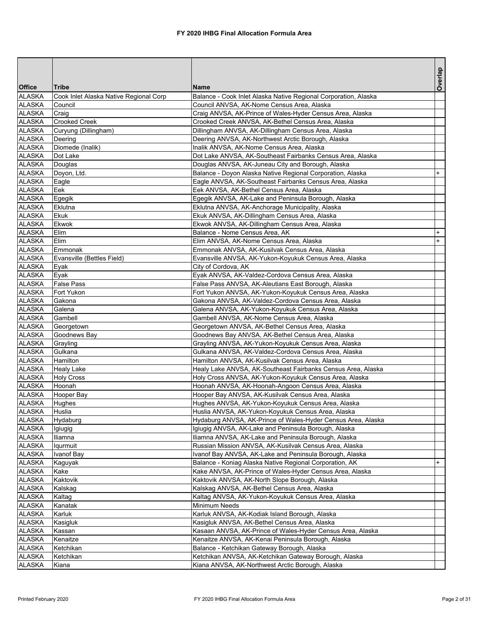|                                |                                        |                                                                                                                   | Overlap   |
|--------------------------------|----------------------------------------|-------------------------------------------------------------------------------------------------------------------|-----------|
| <b>Office</b>                  | <b>Tribe</b>                           | Name                                                                                                              |           |
| <b>ALASKA</b>                  | Cook Inlet Alaska Native Regional Corp | Balance - Cook Inlet Alaska Native Regional Corporation, Alaska                                                   |           |
| <b>ALASKA</b>                  | Council                                | Council ANVSA, AK-Nome Census Area, Alaska                                                                        |           |
| <b>ALASKA</b>                  | Craig                                  | Craig ANVSA, AK-Prince of Wales-Hyder Census Area, Alaska                                                         |           |
| <b>ALASKA</b>                  | Crooked Creek                          | Crooked Creek ANVSA, AK-Bethel Census Area, Alaska                                                                |           |
| <b>ALASKA</b>                  | Curyung (Dillingham)                   | Dillingham ANVSA, AK-Dillingham Census Area, Alaska                                                               |           |
| <b>ALASKA</b><br><b>ALASKA</b> | Deering                                | Deering ANVSA, AK-Northwest Arctic Borough, Alaska                                                                |           |
| <b>ALASKA</b>                  | Diomede (Inalik)<br>Dot Lake           | Inalik ANVSA, AK-Nome Census Area, Alaska<br>Dot Lake ANVSA, AK-Southeast Fairbanks Census Area, Alaska           |           |
| <b>ALASKA</b>                  | Douglas                                | Douglas ANVSA, AK-Juneau City and Borough, Alaska                                                                 |           |
| <b>ALASKA</b>                  | Doyon, Ltd.                            | Balance - Doyon Alaska Native Regional Corporation, Alaska                                                        | $\ddot{}$ |
| <b>ALASKA</b>                  | Eagle                                  | Eagle ANVSA, AK-Southeast Fairbanks Census Area, Alaska                                                           |           |
| <b>ALASKA</b>                  | Eek                                    | Eek ANVSA, AK-Bethel Census Area, Alaska                                                                          |           |
| <b>ALASKA</b>                  | Egegik                                 | Egegik ANVSA, AK-Lake and Peninsula Borough, Alaska                                                               |           |
| <b>ALASKA</b>                  | Eklutna                                | Eklutna ANVSA, AK-Anchorage Municipality, Alaska                                                                  |           |
| <b>ALASKA</b>                  | Ekuk                                   | Ekuk ANVSA, AK-Dillingham Census Area, Alaska                                                                     |           |
| <b>ALASKA</b>                  | <b>Ekwok</b>                           | Ekwok ANVSA, AK-Dillingham Census Area, Alaska                                                                    |           |
| <b>ALASKA</b>                  | Elim                                   | Balance - Nome Census Area, AK                                                                                    | $+$       |
| <b>ALASKA</b>                  | Elim                                   | Elim ANVSA, AK-Nome Census Area, Alaska                                                                           | $\ddot{}$ |
| ALASKA                         | Emmonak                                | Emmonak ANVSA, AK-Kusilvak Census Area, Alaska                                                                    |           |
| <b>ALASKA</b>                  | Evansville (Bettles Field)             | Evansville ANVSA, AK-Yukon-Koyukuk Census Area, Alaska                                                            |           |
| <b>ALASKA</b>                  | Eyak                                   | City of Cordova, AK                                                                                               |           |
| <b>ALASKA</b>                  | Eyak                                   | Eyak ANVSA, AK-Valdez-Cordova Census Area, Alaska                                                                 |           |
| <b>ALASKA</b>                  | <b>False Pass</b>                      | False Pass ANVSA, AK-Aleutians East Borough, Alaska                                                               |           |
| <b>ALASKA</b><br><b>ALASKA</b> | Fort Yukon<br>Gakona                   | Fort Yukon ANVSA, AK-Yukon-Koyukuk Census Area, Alaska<br>Gakona ANVSA, AK-Valdez-Cordova Census Area, Alaska     |           |
| <b>ALASKA</b>                  | Galena                                 | Galena ANVSA, AK-Yukon-Koyukuk Census Area, Alaska                                                                |           |
| <b>ALASKA</b>                  | Gambell                                | Gambell ANVSA, AK-Nome Census Area, Alaska                                                                        |           |
| ALASKA                         | Georgetown                             | Georgetown ANVSA, AK-Bethel Census Area, Alaska                                                                   |           |
| ALASKA                         | Goodnews Bay                           | Goodnews Bay ANVSA, AK-Bethel Census Area, Alaska                                                                 |           |
| <b>ALASKA</b>                  | Grayling                               | Grayling ANVSA, AK-Yukon-Koyukuk Census Area, Alaska                                                              |           |
| <b>ALASKA</b>                  | Gulkana                                | Gulkana ANVSA, AK-Valdez-Cordova Census Area, Alaska                                                              |           |
| <b>ALASKA</b>                  | Hamilton                               | Hamilton ANVSA, AK-Kusilvak Census Area, Alaska                                                                   |           |
| ALASKA                         | Healy Lake                             | Healy Lake ANVSA, AK-Southeast Fairbanks Census Area, Alaska                                                      |           |
| <b>ALASKA</b>                  | <b>Holy Cross</b>                      | Holy Cross ANVSA, AK-Yukon-Koyukuk Census Area, Alaska                                                            |           |
| <b>ALASKA</b>                  | Hoonah                                 | Hoonah ANVSA, AK-Hoonah-Angoon Census Area, Alaska                                                                |           |
| <b>ALASKA</b>                  | Hooper Bay                             | Hooper Bay ANVSA, AK-Kusilvak Census Area, Alaska                                                                 |           |
| <b>ALASKA</b>                  | Hughes                                 | Hughes ANVSA, AK-Yukon-Koyukuk Census Area, Alaska                                                                |           |
| <b>ALASKA</b>                  | Huslia                                 | Huslia ANVSA, AK-Yukon-Koyukuk Census Area, Alaska                                                                |           |
| <b>ALASKA</b>                  | Hydaburg                               | Hydaburg ANVSA, AK-Prince of Wales-Hyder Census Area, Alaska                                                      |           |
| <b>ALASKA</b>                  | Igiugig                                | Igiugig ANVSA, AK-Lake and Peninsula Borough, Alaska                                                              |           |
| ALASKA                         | Iliamna                                | Iliamna ANVSA, AK-Lake and Peninsula Borough, Alaska                                                              |           |
| ALASKA<br><b>ALASKA</b>        | <b>Iqurmuit</b><br>Ivanof Bay          | Russian Mission ANVSA, AK-Kusilvak Census Area, Alaska<br>Ivanof Bay ANVSA, AK-Lake and Peninsula Borough, Alaska |           |
| <b>ALASKA</b>                  | Kaguyak                                | Balance - Koniag Alaska Native Regional Corporation, AK                                                           | $+$       |
| <b>ALASKA</b>                  | Kake                                   | Kake ANVSA, AK-Prince of Wales-Hyder Census Area, Alaska                                                          |           |
| <b>ALASKA</b>                  | Kaktovik                               | Kaktovik ANVSA, AK-North Slope Borough, Alaska                                                                    |           |
| <b>ALASKA</b>                  | Kalskag                                | Kalskag ANVSA, AK-Bethel Census Area, Alaska                                                                      |           |
| <b>ALASKA</b>                  | Kaltag                                 | Kaltag ANVSA, AK-Yukon-Koyukuk Census Area, Alaska                                                                |           |
| <b>ALASKA</b>                  | Kanatak                                | <b>Minimum Needs</b>                                                                                              |           |
| ALASKA                         | Karluk                                 | Karluk ANVSA, AK-Kodiak Island Borough, Alaska                                                                    |           |
| <b>ALASKA</b>                  | Kasigluk                               | Kasigluk ANVSA, AK-Bethel Census Area, Alaska                                                                     |           |
| <b>ALASKA</b>                  | Kassan                                 | Kasaan ANVSA, AK-Prince of Wales-Hyder Census Area, Alaska                                                        |           |
| <b>ALASKA</b>                  | Kenaitze                               | Kenaitze ANVSA, AK-Kenai Peninsula Borough, Alaska                                                                |           |
| <b>ALASKA</b>                  | Ketchikan                              | Balance - Ketchikan Gateway Borough, Alaska                                                                       |           |
| <b>ALASKA</b>                  | Ketchikan                              | Ketchikan ANVSA, AK-Ketchikan Gateway Borough, Alaska                                                             |           |
| <b>ALASKA</b>                  | Kiana                                  | Kiana ANVSA, AK-Northwest Arctic Borough, Alaska                                                                  |           |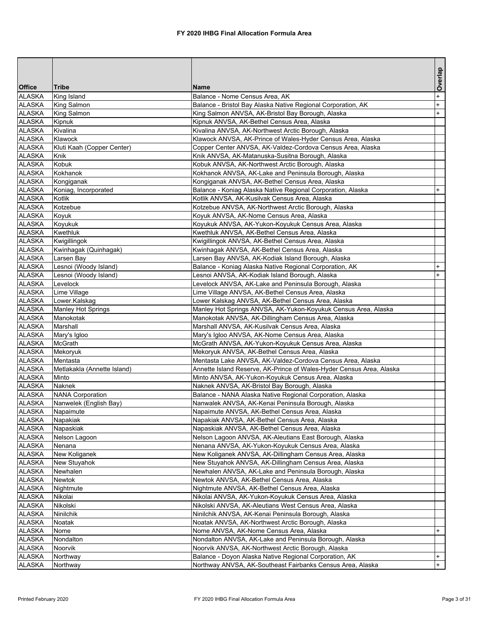|               |                             |                                                                      | Overlap   |
|---------------|-----------------------------|----------------------------------------------------------------------|-----------|
| <b>Office</b> | <b>Tribe</b>                | Name                                                                 |           |
| <b>ALASKA</b> | King Island                 | Balance - Nome Census Area, AK                                       | $\ddot{}$ |
| <b>ALASKA</b> | King Salmon                 | Balance - Bristol Bay Alaska Native Regional Corporation, AK         | $\ddot{}$ |
| <b>ALASKA</b> | King Salmon                 | King Salmon ANVSA, AK-Bristol Bay Borough, Alaska                    | $+$       |
| <b>ALASKA</b> | Kipnuk                      | Kipnuk ANVSA, AK-Bethel Census Area, Alaska                          |           |
| <b>ALASKA</b> | Kivalina                    | Kivalina ANVSA, AK-Northwest Arctic Borough, Alaska                  |           |
| <b>ALASKA</b> | Klawock                     | Klawock ANVSA, AK-Prince of Wales-Hyder Census Area, Alaska          |           |
| <b>ALASKA</b> | Kluti Kaah (Copper Center)  | Copper Center ANVSA, AK-Valdez-Cordova Census Area, Alaska           |           |
| <b>ALASKA</b> | Knik                        | Knik ANVSA, AK-Matanuska-Susitna Borough, Alaska                     |           |
| <b>ALASKA</b> | Kobuk                       | Kobuk ANVSA, AK-Northwest Arctic Borough, Alaska                     |           |
| ALASKA        | Kokhanok                    | Kokhanok ANVSA, AK-Lake and Peninsula Borough, Alaska                |           |
| ALASKA        | Kongiganak                  | Kongiganak ANVSA, AK-Bethel Census Area, Alaska                      |           |
| <b>ALASKA</b> | Koniag, Incorporated        | Balance - Koniag Alaska Native Regional Corporation, Alaska          | $+$       |
| <b>ALASKA</b> | Kotlik                      | Kotlik ANVSA, AK-Kusilvak Census Area, Alaska                        |           |
| <b>ALASKA</b> | Kotzebue                    | Kotzebue ANVSA, AK-Northwest Arctic Borough, Alaska                  |           |
| ALASKA        | Koyuk                       | Koyuk ANVSA, AK-Nome Census Area, Alaska                             |           |
| <b>ALASKA</b> | Koyukuk                     | Koyukuk ANVSA, AK-Yukon-Koyukuk Census Area, Alaska                  |           |
| ALASKA        | Kwethluk                    | Kwethluk ANVSA, AK-Bethel Census Area, Alaska                        |           |
| <b>ALASKA</b> | Kwigillingok                | Kwigillingok ANVSA, AK-Bethel Census Area, Alaska                    |           |
| ALASKA        | Kwinhagak (Quinhagak)       | Kwinhagak ANVSA, AK-Bethel Census Area, Alaska                       |           |
| ALASKA        | Larsen Bay                  | Larsen Bay ANVSA, AK-Kodiak Island Borough, Alaska                   |           |
| ALASKA        | Lesnoi (Woody Island)       | Balance - Koniag Alaska Native Regional Corporation, AK              | $\ddot{}$ |
| <b>ALASKA</b> | Lesnoi (Woody Island)       | Lesnoi ANVSA, AK-Kodiak Island Borough, Alaska                       | $\ddot{}$ |
| <b>ALASKA</b> | Levelock                    | Levelock ANVSA, AK-Lake and Peninsula Borough, Alaska                |           |
| ALASKA        | Lime Village                | Lime Village ANVSA, AK-Bethel Census Area, Alaska                    |           |
| <b>ALASKA</b> | Lower.Kalskag               | Lower Kalskag ANVSA, AK-Bethel Census Area, Alaska                   |           |
| <b>ALASKA</b> | Manley Hot Springs          | Manley Hot Springs ANVSA, AK-Yukon-Koyukuk Census Area, Alaska       |           |
| <b>ALASKA</b> | Manokotak                   | Manokotak ANVSA, AK-Dillingham Census Area, Alaska                   |           |
| <b>ALASKA</b> | Marshall                    | Marshall ANVSA, AK-Kusilvak Census Area, Alaska                      |           |
| ALASKA        | Mary's Igloo                | Mary's Igloo ANVSA, AK-Nome Census Area, Alaska                      |           |
| ALASKA        | McGrath                     | McGrath ANVSA, AK-Yukon-Koyukuk Census Area, Alaska                  |           |
| <b>ALASKA</b> | Mekoryuk                    | Mekoryuk ANVSA, AK-Bethel Census Area, Alaska                        |           |
| <b>ALASKA</b> | Mentasta                    | Mentasta Lake ANVSA, AK-Valdez-Cordova Census Area, Alaska           |           |
| ALASKA        | Metlakakla (Annette Island) | Annette Island Reserve, AK-Prince of Wales-Hyder Census Area, Alaska |           |
| <b>ALASKA</b> | Minto                       | Minto ANVSA, AK-Yukon-Koyukuk Census Area, Alaska                    |           |
| <b>ALASKA</b> | Naknek                      | Naknek ANVSA, AK-Bristol Bay Borough, Alaska                         |           |
| <b>ALASKA</b> | <b>NANA Corporation</b>     | Balance - NANA Alaska Native Regional Corporation, Alaska            |           |
| <b>ALASKA</b> | Nanwelek (English Bay)      | Nanwalek ANVSA, AK-Kenai Peninsula Borough, Alaska                   |           |
| <b>ALASKA</b> | Napaimute                   | Napaimute ANVSA, AK-Bethel Census Area, Alaska                       |           |
| <b>ALASKA</b> | Napakiak                    | Napakiak ANVSA, AK-Bethel Census Area, Alaska                        |           |
| <b>ALASKA</b> | Napaskiak                   | Napaskiak ANVSA, AK-Bethel Census Area, Alaska                       |           |
| <b>ALASKA</b> | Nelson Lagoon               | Nelson Lagoon ANVSA, AK-Aleutians East Borough, Alaska               |           |
| ALASKA        | Nenana                      | Nenana ANVSA, AK-Yukon-Koyukuk Census Area, Alaska                   |           |
| <b>ALASKA</b> | New Koliganek               | New Koliganek ANVSA, AK-Dillingham Census Area, Alaska               |           |
| <b>ALASKA</b> | New Stuyahok                | New Stuyahok ANVSA, AK-Dillingham Census Area, Alaska                |           |
| <b>ALASKA</b> | Newhalen                    | Newhalen ANVSA, AK-Lake and Peninsula Borough, Alaska                |           |
| ALASKA        | Newtok                      | Newtok ANVSA, AK-Bethel Census Area, Alaska                          |           |
| <b>ALASKA</b> | Nightmute                   | Nightmute ANVSA, AK-Bethel Census Area, Alaska                       |           |
| <b>ALASKA</b> | Nikolai                     | Nikolai ANVSA, AK-Yukon-Koyukuk Census Area, Alaska                  |           |
| <b>ALASKA</b> | Nikolski                    | Nikolski ANVSA, AK-Aleutians West Census Area, Alaska                |           |
| <b>ALASKA</b> | Ninilchik                   | Ninilchik ANVSA, AK-Kenai Peninsula Borough, Alaska                  |           |
| <b>ALASKA</b> | Noatak                      | Noatak ANVSA, AK-Northwest Arctic Borough, Alaska                    |           |
| <b>ALASKA</b> | Nome                        | Nome ANVSA, AK-Nome Census Area, Alaska                              | $+$       |
| <b>ALASKA</b> | Nondalton                   | Nondalton ANVSA, AK-Lake and Peninsula Borough, Alaska               |           |
| <b>ALASKA</b> | Noorvik                     | Noorvik ANVSA, AK-Northwest Arctic Borough, Alaska                   |           |
| <b>ALASKA</b> | Northway                    | Balance - Doyon Alaska Native Regional Corporation, AK               | $+$       |
| <b>ALASKA</b> | Northway                    | Northway ANVSA, AK-Southeast Fairbanks Census Area, Alaska           | $+$       |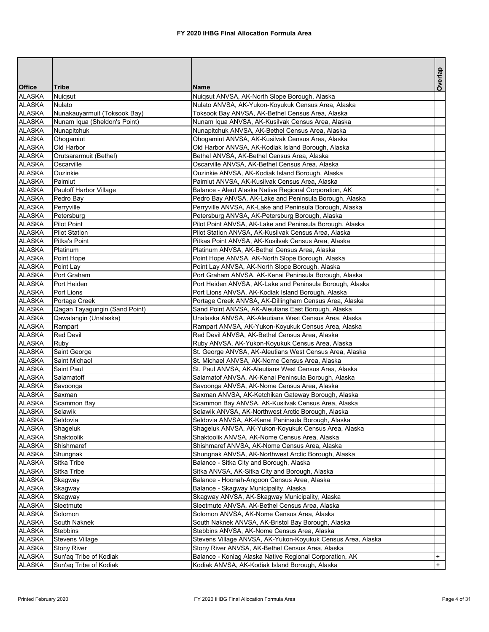|                                |                                                |                                                                                                               | Overlap        |
|--------------------------------|------------------------------------------------|---------------------------------------------------------------------------------------------------------------|----------------|
| <b>Office</b>                  | <b>Tribe</b>                                   | <b>Name</b>                                                                                                   |                |
| <b>ALASKA</b>                  | Nuiqsut                                        | Nuigsut ANVSA, AK-North Slope Borough, Alaska                                                                 |                |
| <b>ALASKA</b>                  | Nulato                                         | Nulato ANVSA, AK-Yukon-Koyukuk Census Area, Alaska                                                            |                |
| <b>ALASKA</b>                  | Nunakauyarmuit (Toksook Bay)                   | Toksook Bay ANVSA, AK-Bethel Census Area, Alaska                                                              |                |
| <b>ALASKA</b>                  | Nunam Iqua (Sheldon's Point)                   | Nunam Iqua ANVSA, AK-Kusilvak Census Area, Alaska                                                             |                |
| <b>ALASKA</b><br><b>ALASKA</b> | Nunapitchuk<br>Ohogamiut                       | Nunapitchuk ANVSA, AK-Bethel Census Area, Alaska                                                              |                |
| <b>ALASKA</b>                  | Old Harbor                                     | Ohogamiut ANVSA, AK-Kusilvak Census Area, Alaska<br>Old Harbor ANVSA, AK-Kodiak Island Borough, Alaska        |                |
| <b>ALASKA</b>                  | Orutsararmuit (Bethel)                         | Bethel ANVSA, AK-Bethel Census Area, Alaska                                                                   |                |
| <b>ALASKA</b>                  | Oscarville                                     | Oscarville ANVSA, AK-Bethel Census Area, Alaska                                                               |                |
| <b>ALASKA</b>                  | Ouzinkie                                       | Ouzinkie ANVSA, AK-Kodiak Island Borough, Alaska                                                              |                |
| <b>ALASKA</b>                  | Paimiut                                        | Paimiut ANVSA, AK-Kusilvak Census Area, Alaska                                                                |                |
| <b>ALASKA</b>                  | Pauloff Harbor Village                         | Balance - Aleut Alaska Native Regional Corporation, AK                                                        | $\overline{+}$ |
| <b>ALASKA</b>                  | Pedro Bay                                      | Pedro Bay ANVSA, AK-Lake and Peninsula Borough, Alaska                                                        |                |
| <b>ALASKA</b>                  | Perryville                                     | Perryville ANVSA, AK-Lake and Peninsula Borough, Alaska                                                       |                |
| <b>ALASKA</b>                  | Petersburg                                     | Petersburg ANVSA, AK-Petersburg Borough, Alaska                                                               |                |
| <b>ALASKA</b>                  | Pilot Point                                    | Pilot Point ANVSA, AK-Lake and Peninsula Borough, Alaska                                                      |                |
| <b>ALASKA</b>                  | <b>Pilot Station</b>                           | Pilot Station ANVSA, AK-Kusilvak Census Area, Alaska                                                          |                |
| <b>ALASKA</b>                  | Pitka's Point                                  | Pitkas Point ANVSA, AK-Kusilvak Census Area, Alaska                                                           |                |
| <b>ALASKA</b>                  | Platinum                                       | Platinum ANVSA, AK-Bethel Census Area, Alaska                                                                 |                |
| <b>ALASKA</b>                  | Point Hope                                     | Point Hope ANVSA, AK-North Slope Borough, Alaska                                                              |                |
| <b>ALASKA</b>                  | Point Lay                                      | Point Lay ANVSA, AK-North Slope Borough, Alaska                                                               |                |
| <b>ALASKA</b>                  | Port Graham                                    | Port Graham ANVSA, AK-Kenai Peninsula Borough, Alaska                                                         |                |
| <b>ALASKA</b>                  | Port Heiden                                    | Port Heiden ANVSA, AK-Lake and Peninsula Borough, Alaska                                                      |                |
| <b>ALASKA</b><br><b>ALASKA</b> | Port Lions                                     | Port Lions ANVSA, AK-Kodiak Island Borough, Alaska                                                            |                |
| <b>ALASKA</b>                  | Portage Creek<br>Qagan Tayagungin (Sand Point) | Portage Creek ANVSA, AK-Dillingham Census Area, Alaska<br>Sand Point ANVSA, AK-Aleutians East Borough, Alaska |                |
| <b>ALASKA</b>                  | Qawalangin (Unalaska)                          | Unalaska ANVSA, AK-Aleutians West Census Area, Alaska                                                         |                |
| <b>ALASKA</b>                  | Rampart                                        | Rampart ANVSA, AK-Yukon-Koyukuk Census Area, Alaska                                                           |                |
| <b>ALASKA</b>                  | <b>Red Devil</b>                               | Red Devil ANVSA, AK-Bethel Census Area, Alaska                                                                |                |
| <b>ALASKA</b>                  | Ruby                                           | Ruby ANVSA, AK-Yukon-Koyukuk Census Area, Alaska                                                              |                |
| <b>ALASKA</b>                  | Saint George                                   | St. George ANVSA, AK-Aleutians West Census Area, Alaska                                                       |                |
| <b>ALASKA</b>                  | Saint Michael                                  | St. Michael ANVSA, AK-Nome Census Area, Alaska                                                                |                |
| <b>ALASKA</b>                  | Saint Paul                                     | St. Paul ANVSA, AK-Aleutians West Census Area, Alaska                                                         |                |
| <b>ALASKA</b>                  | Salamatoff                                     | Salamatof ANVSA, AK-Kenai Peninsula Borough, Alaska                                                           |                |
| <b>ALASKA</b>                  | Savoonga                                       | Savoonga ANVSA, AK-Nome Census Area, Alaska                                                                   |                |
| ALASKA                         | Saxman                                         | Saxman ANVSA, AK-Ketchikan Gateway Borough, Alaska                                                            |                |
| <b>ALASKA</b>                  | Scammon Bay                                    | Scammon Bay ANVSA, AK-Kusilvak Census Area, Alaska                                                            |                |
| <b>ALASKA</b>                  | Selawik                                        | Selawik ANVSA, AK-Northwest Arctic Borough, Alaska                                                            |                |
| ALASKA                         | Seldovia                                       | Seldovia ANVSA, AK-Kenai Peninsula Borough, Alaska                                                            |                |
| <b>ALASKA</b>                  | Shageluk                                       | Shageluk ANVSA, AK-Yukon-Koyukuk Census Area, Alaska                                                          |                |
| ALASKA                         | Shaktoolik                                     | Shaktoolik ANVSA, AK-Nome Census Area, Alaska                                                                 |                |
| <b>ALASKA</b>                  | Shishmaref                                     | Shishmaref ANVSA, AK-Nome Census Area, Alaska                                                                 |                |
| <b>ALASKA</b>                  | Shungnak                                       | Shungnak ANVSA, AK-Northwest Arctic Borough, Alaska                                                           |                |
| <b>ALASKA</b>                  | Sitka Tribe                                    | Balance - Sitka City and Borough, Alaska                                                                      |                |
| <b>ALASKA</b><br><b>ALASKA</b> | Sitka Tribe<br>Skagway                         | Sitka ANVSA, AK-Sitka City and Borough, Alaska<br>Balance - Hoonah-Angoon Census Area, Alaska                 |                |
| <b>ALASKA</b>                  | Skagway                                        | Balance - Skagway Municipality, Alaska                                                                        |                |
| <b>ALASKA</b>                  | Skagway                                        | Skagway ANVSA, AK-Skagway Municipality, Alaska                                                                |                |
| ALASKA                         | Sleetmute                                      | Sleetmute ANVSA, AK-Bethel Census Area, Alaska                                                                |                |
| ALASKA                         | Solomon                                        | Solomon ANVSA, AK-Nome Census Area, Alaska                                                                    |                |
| <b>ALASKA</b>                  | South Naknek                                   | South Naknek ANVSA, AK-Bristol Bay Borough, Alaska                                                            |                |
| <b>ALASKA</b>                  | Stebbins                                       | Stebbins ANVSA, AK-Nome Census Area, Alaska                                                                   |                |
| <b>ALASKA</b>                  | <b>Stevens Village</b>                         | Stevens Village ANVSA, AK-Yukon-Koyukuk Census Area, Alaska                                                   |                |
| <b>ALASKA</b>                  | <b>Stony River</b>                             | Stony River ANVSA, AK-Bethel Census Area, Alaska                                                              |                |
| <b>ALASKA</b>                  | Sun'aq Tribe of Kodiak                         | Balance - Koniag Alaska Native Regional Corporation, AK                                                       | $+$            |
| <b>ALASKA</b>                  | Sun'aq Tribe of Kodiak                         | Kodiak ANVSA, AK-Kodiak Island Borough, Alaska                                                                | $+$            |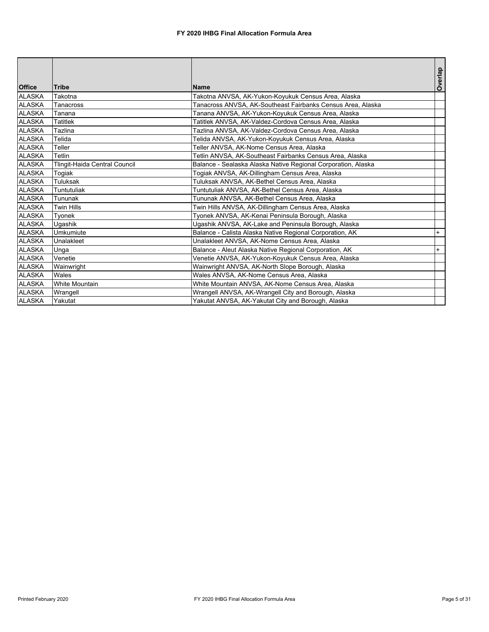| <b>Office</b> | <b>Tribe</b>                  | Name                                                          | Overlap |
|---------------|-------------------------------|---------------------------------------------------------------|---------|
| <b>ALASKA</b> | Takotna                       | Takotna ANVSA, AK-Yukon-Koyukuk Census Area, Alaska           |         |
| <b>ALASKA</b> | Tanacross                     | Tanacross ANVSA, AK-Southeast Fairbanks Census Area, Alaska   |         |
| ALASKA        | Tanana                        | Tanana ANVSA, AK-Yukon-Koyukuk Census Area, Alaska            |         |
| <b>ALASKA</b> | ⊺atitlek                      | Tatitlek ANVSA, AK-Valdez-Cordova Census Area, Alaska         |         |
| <b>ALASKA</b> | <b>Tazlina</b>                | Tazlina ANVSA, AK-Valdez-Cordova Census Area, Alaska          |         |
| <b>ALASKA</b> | Telida                        | Telida ANVSA, AK-Yukon-Koyukuk Census Area, Alaska            |         |
| <b>ALASKA</b> | Teller                        | Teller ANVSA, AK-Nome Census Area, Alaska                     |         |
| <b>ALASKA</b> | Tetlin                        | Tetlin ANVSA, AK-Southeast Fairbanks Census Area, Alaska      |         |
| <b>ALASKA</b> | Tlingit-Haida Central Council | Balance - Sealaska Alaska Native Regional Corporation, Alaska |         |
| <b>ALASKA</b> | Togiak                        | Togiak ANVSA, AK-Dillingham Census Area, Alaska               |         |
| ALASKA        | <b>Tuluksak</b>               | Tuluksak ANVSA, AK-Bethel Census Area, Alaska                 |         |
| <b>ALASKA</b> | <b>Tuntutuliak</b>            | Tuntutuliak ANVSA, AK-Bethel Census Area, Alaska              |         |
| <b>ALASKA</b> | Tununak                       | Tununak ANVSA, AK-Bethel Census Area, Alaska                  |         |
| <b>ALASKA</b> | <b>Twin Hills</b>             | Twin Hills ANVSA, AK-Dillingham Census Area, Alaska           |         |
| <b>ALASKA</b> | Tvonek                        | Tyonek ANVSA, AK-Kenai Peninsula Borough, Alaska              |         |
| <b>ALASKA</b> | <b>Ugashik</b>                | Ugashik ANVSA, AK-Lake and Peninsula Borough, Alaska          |         |
| <b>ALASKA</b> | Umkumiute                     | Balance - Calista Alaska Native Regional Corporation, AK      | $+$     |
| <b>ALASKA</b> | Unalakleet                    | Unalakleet ANVSA, AK-Nome Census Area, Alaska                 |         |
| <b>ALASKA</b> | Unga                          | Balance - Aleut Alaska Native Regional Corporation, AK        | $+$     |
| <b>ALASKA</b> | Venetie                       | Venetie ANVSA, AK-Yukon-Koyukuk Census Area, Alaska           |         |
| <b>ALASKA</b> | Wainwright                    | Wainwright ANVSA, AK-North Slope Borough, Alaska              |         |
| <b>ALASKA</b> | Wales                         | Wales ANVSA, AK-Nome Census Area, Alaska                      |         |
| ALASKA        | <b>White Mountain</b>         | White Mountain ANVSA, AK-Nome Census Area, Alaska             |         |
| <b>ALASKA</b> | Wrangell                      | Wrangell ANVSA, AK-Wrangell City and Borough, Alaska          |         |
| <b>ALASKA</b> | Yakutat                       | Yakutat ANVSA, AK-Yakutat City and Borough, Alaska            |         |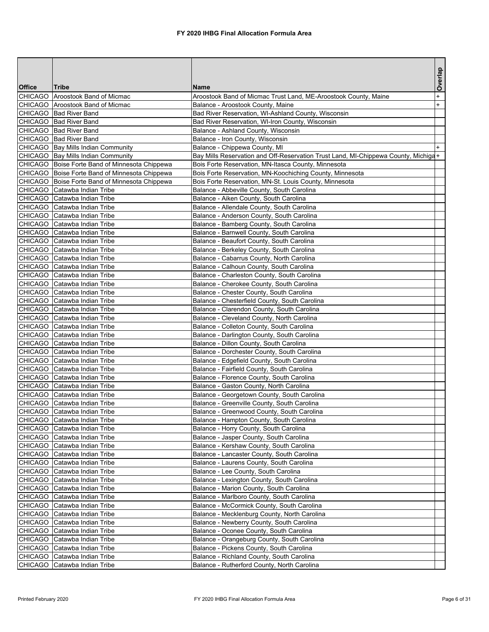|               |                                                              |                                                                                        | Overlap   |
|---------------|--------------------------------------------------------------|----------------------------------------------------------------------------------------|-----------|
| <b>Office</b> | <b>Tribe</b>                                                 | <b>Name</b>                                                                            |           |
|               | CHICAGO Aroostook Band of Micmac                             | Aroostook Band of Micmac Trust Land, ME-Aroostook County, Maine                        | $\ddot{}$ |
|               | CHICAGO Aroostook Band of Micmac                             | Balance - Aroostook County, Maine                                                      | $+$       |
|               | CHICAGO Bad River Band                                       | Bad River Reservation, WI-Ashland County, Wisconsin                                    |           |
|               | CHICAGO   Bad River Band                                     | Bad River Reservation, WI-Iron County, Wisconsin                                       |           |
|               | CHICAGO   Bad River Band                                     | Balance - Ashland County, Wisconsin                                                    |           |
|               | CHICAGO Bad River Band                                       | Balance - Iron County, Wisconsin                                                       |           |
|               | CHICAGO   Bay Mills Indian Community                         | Balance - Chippewa County, MI                                                          |           |
|               | CHICAGO Bay Mills Indian Community                           | Bay Mills Reservation and Off-Reservation Trust Land, MI-Chippewa County, Michiga+     |           |
|               | CHICAGO   Boise Forte Band of Minnesota Chippewa             | Bois Forte Reservation, MN-Itasca County, Minnesota                                    |           |
|               | CHICAGO Boise Forte Band of Minnesota Chippewa               | Bois Forte Reservation, MN-Koochiching County, Minnesota                               |           |
|               | CHICAGO   Boise Forte Band of Minnesota Chippewa             | Bois Forte Reservation, MN-St. Louis County, Minnesota                                 |           |
|               | CHICAGO Catawba Indian Tribe                                 | Balance - Abbeville County, South Carolina                                             |           |
|               | CHICAGO Catawba Indian Tribe                                 | Balance - Aiken County, South Carolina                                                 |           |
|               | CHICAGO Catawba Indian Tribe                                 | Balance - Allendale County, South Carolina                                             |           |
|               | CHICAGO Catawba Indian Tribe                                 | Balance - Anderson County, South Carolina                                              |           |
|               | CHICAGO Catawba Indian Tribe                                 | Balance - Bamberg County, South Carolina                                               |           |
|               | CHICAGO Catawba Indian Tribe                                 | Balance - Barnwell County, South Carolina                                              |           |
|               | CHICAGO Catawba Indian Tribe                                 | Balance - Beaufort County, South Carolina                                              |           |
|               | CHICAGO Catawba Indian Tribe                                 | Balance - Berkeley County, South Carolina                                              |           |
|               | CHICAGO Catawba Indian Tribe                                 | Balance - Cabarrus County, North Carolina                                              |           |
|               | CHICAGO Catawba Indian Tribe                                 | Balance - Calhoun County, South Carolina                                               |           |
|               | CHICAGO Catawba Indian Tribe                                 | Balance - Charleston County, South Carolina                                            |           |
|               | CHICAGO Catawba Indian Tribe                                 | Balance - Cherokee County, South Carolina                                              |           |
|               | CHICAGO Catawba Indian Tribe                                 | Balance - Chester County, South Carolina                                               |           |
|               | CHICAGO Catawba Indian Tribe                                 | Balance - Chesterfield County, South Carolina                                          |           |
|               | CHICAGO Catawba Indian Tribe                                 | Balance - Clarendon County, South Carolina                                             |           |
|               | CHICAGO Catawba Indian Tribe                                 | Balance - Cleveland County, North Carolina                                             |           |
|               | CHICAGO Catawba Indian Tribe<br>CHICAGO Catawba Indian Tribe | Balance - Colleton County, South Carolina                                              |           |
|               | CHICAGO Catawba Indian Tribe                                 | Balance - Darlington County, South Carolina<br>Balance - Dillon County, South Carolina |           |
|               | CHICAGO Catawba Indian Tribe                                 | Balance - Dorchester County, South Carolina                                            |           |
|               | CHICAGO Catawba Indian Tribe                                 | Balance - Edgefield County, South Carolina                                             |           |
|               | CHICAGO Catawba Indian Tribe                                 | Balance - Fairfield County, South Carolina                                             |           |
|               | CHICAGO Catawba Indian Tribe                                 | Balance - Florence County, South Carolina                                              |           |
|               | CHICAGO Catawba Indian Tribe                                 | Balance - Gaston County, North Carolina                                                |           |
|               | CHICAGO Catawba Indian Tribe                                 | Balance - Georgetown County, South Carolina                                            |           |
|               | CHICAGO Catawba Indian Tribe                                 | Balance - Greenville County, South Carolina                                            |           |
|               | CHICAGO Catawba Indian Tribe                                 | Balance - Greenwood County, South Carolina                                             |           |
|               | CHICAGO Catawba Indian Tribe                                 | Balance - Hampton County, South Carolina                                               |           |
|               | CHICAGO Catawba Indian Tribe                                 | Balance - Horry County, South Carolina                                                 |           |
|               | CHICAGO Catawba Indian Tribe                                 | Balance - Jasper County, South Carolina                                                |           |
|               | CHICAGO Catawba Indian Tribe                                 | Balance - Kershaw County, South Carolina                                               |           |
|               | CHICAGO Catawba Indian Tribe                                 | Balance - Lancaster County, South Carolina                                             |           |
|               | CHICAGO Catawba Indian Tribe                                 | Balance - Laurens County, South Carolina                                               |           |
|               | CHICAGO Catawba Indian Tribe                                 | Balance - Lee County, South Carolina                                                   |           |
|               | CHICAGO Catawba Indian Tribe                                 | Balance - Lexington County, South Carolina                                             |           |
|               | CHICAGO Catawba Indian Tribe                                 | Balance - Marion County, South Carolina                                                |           |
|               | CHICAGO Catawba Indian Tribe                                 | Balance - Marlboro County, South Carolina                                              |           |
|               | CHICAGO Catawba Indian Tribe                                 | Balance - McCormick County, South Carolina                                             |           |
|               | CHICAGO Catawba Indian Tribe                                 | Balance - Mecklenburg County, North Carolina                                           |           |
|               | CHICAGO Catawba Indian Tribe                                 | Balance - Newberry County, South Carolina                                              |           |
|               | CHICAGO Catawba Indian Tribe                                 | Balance - Oconee County, South Carolina                                                |           |
|               | CHICAGO Catawba Indian Tribe                                 | Balance - Orangeburg County, South Carolina                                            |           |
|               | CHICAGO Catawba Indian Tribe                                 | Balance - Pickens County, South Carolina                                               |           |
|               | CHICAGO Catawba Indian Tribe                                 | Balance - Richland County, South Carolina                                              |           |
|               | CHICAGO Catawba Indian Tribe                                 | Balance - Rutherford County, North Carolina                                            |           |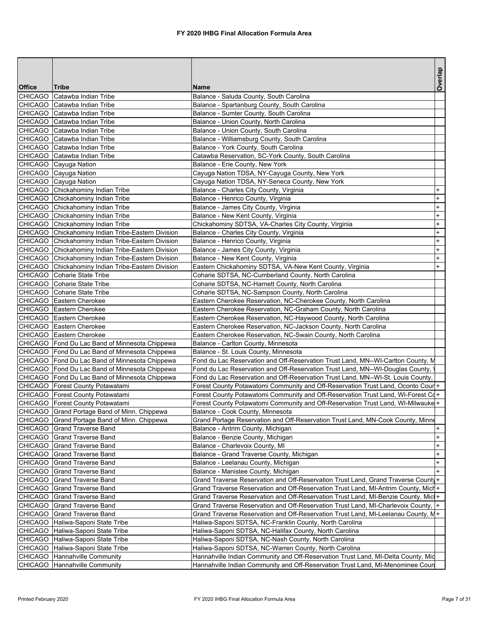|                |                                                            |                                                                                        | Overlap                          |
|----------------|------------------------------------------------------------|----------------------------------------------------------------------------------------|----------------------------------|
| <b>Office</b>  | Tribe                                                      | <b>Name</b>                                                                            |                                  |
| <b>CHICAGO</b> | Catawba Indian Tribe                                       | Balance - Saluda County, South Carolina                                                |                                  |
|                | CHICAGO Catawba Indian Tribe                               | Balance - Spartanburg County, South Carolina                                           |                                  |
|                | CHICAGO Catawba Indian Tribe                               | Balance - Sumter County, South Carolina                                                |                                  |
|                | CHICAGO Catawba Indian Tribe                               | Balance - Union County, North Carolina                                                 |                                  |
|                | CHICAGO Catawba Indian Tribe                               | Balance - Union County, South Carolina                                                 |                                  |
|                | CHICAGO Catawba Indian Tribe                               | Balance - Williamsburg County, South Carolina                                          |                                  |
|                | CHICAGO Catawba Indian Tribe                               | Balance - York County, South Carolina                                                  |                                  |
|                | CHICAGO Catawba Indian Tribe                               | Catawba Reservation, SC-York County, South Carolina<br>Balance - Erie County, New York |                                  |
|                | CHICAGO Cayuga Nation<br>CHICAGO Cayuga Nation             | Cayuga Nation TDSA, NY-Cayuga County, New York                                         |                                  |
|                | CHICAGO Cayuga Nation                                      | Cayuga Nation TDSA, NY-Seneca County, New York                                         |                                  |
|                | CHICAGO Chickahominy Indian Tribe                          | Balance - Charles City County, Virginia                                                | $\ddot{}$                        |
|                | CHICAGO Chickahominy Indian Tribe                          | Balance - Henrico County, Virginia                                                     | $^{+}$                           |
|                | CHICAGO Chickahominy Indian Tribe                          | Balance - James City County, Virginia                                                  | $\begin{array}{c} + \end{array}$ |
|                | CHICAGO Chickahominy Indian Tribe                          | Balance - New Kent County, Virginia                                                    | $\ddot{}$                        |
|                | CHICAGO Chickahominy Indian Tribe                          | Chickahominy SDTSA, VA-Charles City County, Virginia                                   | $\ddot{}$                        |
|                | CHICAGO Chickahominy Indian Tribe-Eastern Division         | Balance - Charles City County, Virginia                                                | $\ddot{}$                        |
|                | CHICAGO Chickahominy Indian Tribe-Eastern Division         | Balance - Henrico County, Virginia                                                     | $\ddot{}$                        |
|                | CHICAGO Chickahominy Indian Tribe-Eastern Division         | Balance - James City County, Virginia                                                  | $\ddot{}$                        |
|                | CHICAGO Chickahominy Indian Tribe-Eastern Division         | Balance - New Kent County, Virginia                                                    | $^{+}$                           |
|                | CHICAGO Chickahominy Indian Tribe-Eastern Division         | Eastern Chickahominy SDTSA, VA-New Kent County, Virginia                               | $+$                              |
|                | CHICAGO Coharie State Tribe                                | Coharie SDTSA, NC-Cumberland County, North Carolina                                    |                                  |
|                | CHICAGO Coharie State Tribe                                | Coharie SDTSA, NC-Harnett County, North Carolina                                       |                                  |
|                | CHICAGO Coharie State Tribe                                | Coharie SDTSA, NC-Sampson County, North Carolina                                       |                                  |
|                | CHICAGO Eastern Cherokee                                   | Eastern Cherokee Reservation, NC-Cherokee County, North Carolina                       |                                  |
|                | CHICAGO Eastern Cherokee                                   | Eastern Cherokee Reservation, NC-Graham County, North Carolina                         |                                  |
|                | CHICAGO Eastern Cherokee                                   | Eastern Cherokee Reservation, NC-Haywood County, North Carolina                        |                                  |
|                | CHICAGO Eastern Cherokee                                   | Eastern Cherokee Reservation, NC-Jackson County, North Carolina                        |                                  |
|                | CHICAGO Eastern Cherokee                                   | Eastern Cherokee Reservation, NC-Swain County, North Carolina                          |                                  |
|                | CHICAGO Fond Du Lac Band of Minnesota Chippewa             | Balance - Carlton County, Minnesota                                                    |                                  |
|                | CHICAGO Fond Du Lac Band of Minnesota Chippewa             | Balance - St. Louis County, Minnesota                                                  |                                  |
|                | CHICAGO   Fond Du Lac Band of Minnesota Chippewa           | Fond du Lac Reservation and Off-Reservation Trust Land, MN--WI-Carlton County, M       |                                  |
|                | CHICAGO Fond Du Lac Band of Minnesota Chippewa             | Fond du Lac Reservation and Off-Reservation Trust Land, MN--WI-Douglas County,         |                                  |
|                | CHICAGO   Fond Du Lac Band of Minnesota Chippewa           | Fond du Lac Reservation and Off-Reservation Trust Land, MN--WI-St. Louis County,       |                                  |
|                | CHICAGO   Forest County Potawatami                         | Forest County Potawatomi Community and Off-Reservation Trust Land, Oconto Cour +       |                                  |
|                | CHICAGO   Forest County Potawatami                         | Forest County Potawatomi Community and Off-Reservation Trust Land, WI-Forest Cq+       |                                  |
|                | CHICAGO   Forest County Potawatami                         | Forest County Potawatomi Community and Off-Reservation Trust Land, WI-Milwauke +       |                                  |
|                | CHICAGO Grand Portage Band of Minn. Chippewa               | Balance - Cook County, Minnesota                                                       |                                  |
|                | CHICAGO Grand Portage Band of Minn. Chippewa               | Grand Portage Reservation and Off-Reservation Trust Land, MN-Cook County, Minne        |                                  |
|                | CHICAGO Grand Traverse Band                                | Balance - Antrim County, Michigan                                                      | $\ddot{}$                        |
|                | CHICAGO Grand Traverse Band                                | Balance - Benzie County, Michigan                                                      | $\ddot{}$<br>$\ddot{}$           |
|                | CHICAGO Grand Traverse Band<br>CHICAGO Grand Traverse Band | Balance - Charlevoix County, MI<br>Balance - Grand Traverse County, Michigan           | $\ddot{}$                        |
|                | CHICAGO Grand Traverse Band                                | Balance - Leelanau County, Michigan                                                    | $\ddot{}$                        |
|                | CHICAGO Grand Traverse Band                                | Balance - Manistee County, Michigan                                                    | $+$                              |
|                | CHICAGO Grand Traverse Band                                | Grand Traverse Reservation and Off-Reservation Trust Land, Grand Traverse County+      |                                  |
|                | CHICAGO Grand Traverse Band                                | Grand Traverse Reservation and Off-Reservation Trust Land, MI-Antrim County, Mich+     |                                  |
| CHICAGO        | Grand Traverse Band                                        | Grand Traverse Reservation and Off-Reservation Trust Land, MI-Benzie County, Micl+     |                                  |
|                | CHICAGO Grand Traverse Band                                | Grand Traverse Reservation and Off-Reservation Trust Land, MI-Charlevoix County,  +    |                                  |
|                | CHICAGO Grand Traverse Band                                | Grand Traverse Reservation and Off-Reservation Trust Land, MI-Leelanau County, M+      |                                  |
|                | CHICAGO   Haliwa-Saponi State Tribe                        | Haliwa-Saponi SDTSA, NC-Franklin County, North Carolina                                |                                  |
|                | CHICAGO Haliwa-Saponi State Tribe                          | Haliwa-Saponi SDTSA, NC-Halifax County, North Carolina                                 |                                  |
|                | CHICAGO   Haliwa-Saponi State Tribe                        | Haliwa-Saponi SDTSA, NC-Nash County, North Carolina                                    |                                  |
|                | CHICAGO Haliwa-Saponi State Tribe                          | Haliwa-Saponi SDTSA, NC-Warren County, North Carolina                                  |                                  |
|                | CHICAGO Hannahville Community                              | Hannahville Indian Community and Off-Reservation Trust Land, MI-Delta County, Mid      |                                  |
|                | CHICAGO Hannahville Community                              | Hannahville Indian Community and Off-Reservation Trust Land, MI-Menominee Coun         |                                  |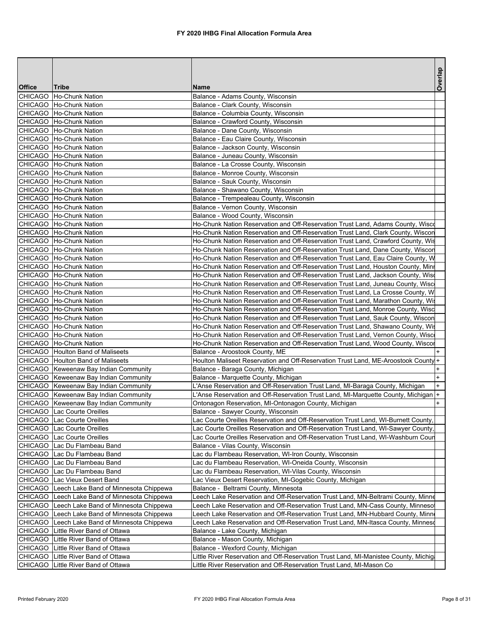|                |                                         |                                                                                     | Overlap   |
|----------------|-----------------------------------------|-------------------------------------------------------------------------------------|-----------|
| <b>Office</b>  | <b>Tribe</b>                            | Name                                                                                |           |
| <b>CHICAGO</b> | Ho-Chunk Nation                         | Balance - Adams County, Wisconsin                                                   |           |
|                | CHICAGO Ho-Chunk Nation                 | Balance - Clark County, Wisconsin                                                   |           |
|                | CHICAGO Ho-Chunk Nation                 | Balance - Columbia County, Wisconsin                                                |           |
|                | CHICAGO Ho-Chunk Nation                 | Balance - Crawford County, Wisconsin                                                |           |
|                | CHICAGO   Ho-Chunk Nation               | Balance - Dane County, Wisconsin                                                    |           |
|                | CHICAGO Ho-Chunk Nation                 | Balance - Eau Claire County, Wisconsin                                              |           |
|                | CHICAGO Ho-Chunk Nation                 | Balance - Jackson County, Wisconsin                                                 |           |
|                | CHICAGO Ho-Chunk Nation                 | Balance - Juneau County, Wisconsin                                                  |           |
|                | CHICAGO   Ho-Chunk Nation               | Balance - La Crosse County, Wisconsin                                               |           |
|                | CHICAGO   Ho-Chunk Nation               | Balance - Monroe County, Wisconsin                                                  |           |
|                | CHICAGO Ho-Chunk Nation                 | Balance - Sauk County, Wisconsin                                                    |           |
|                | CHICAGO Ho-Chunk Nation                 | Balance - Shawano County, Wisconsin                                                 |           |
|                | CHICAGO Ho-Chunk Nation                 | Balance - Trempealeau County, Wisconsin                                             |           |
|                | CHICAGO   Ho-Chunk Nation               | Balance - Vernon County, Wisconsin                                                  |           |
|                | CHICAGO   Ho-Chunk Nation               | Balance - Wood County, Wisconsin                                                    |           |
|                | CHICAGO Ho-Chunk Nation                 | Ho-Chunk Nation Reservation and Off-Reservation Trust Land, Adams County, Wisco     |           |
|                | CHICAGO Ho-Chunk Nation                 | Ho-Chunk Nation Reservation and Off-Reservation Trust Land, Clark County, Wiscon    |           |
|                | CHICAGO   Ho-Chunk Nation               | Ho-Chunk Nation Reservation and Off-Reservation Trust Land, Crawford County, Wis    |           |
|                | CHICAGO   Ho-Chunk Nation               | Ho-Chunk Nation Reservation and Off-Reservation Trust Land, Dane County, Wiscon     |           |
|                | CHICAGO Ho-Chunk Nation                 | Ho-Chunk Nation Reservation and Off-Reservation Trust Land, Eau Claire County, W    |           |
|                | CHICAGO Ho-Chunk Nation                 | Ho-Chunk Nation Reservation and Off-Reservation Trust Land, Houston County, Minr    |           |
|                | CHICAGO Ho-Chunk Nation                 | Ho-Chunk Nation Reservation and Off-Reservation Trust Land, Jackson County, Wiso    |           |
|                | CHICAGO   Ho-Chunk Nation               | Ho-Chunk Nation Reservation and Off-Reservation Trust Land, Juneau County, Wisc     |           |
|                | CHICAGO Ho-Chunk Nation                 | Ho-Chunk Nation Reservation and Off-Reservation Trust Land, La Crosse County, W     |           |
|                | CHICAGO   Ho-Chunk Nation               | Ho-Chunk Nation Reservation and Off-Reservation Trust Land, Marathon County, Wis    |           |
|                | CHICAGO Ho-Chunk Nation                 | Ho-Chunk Nation Reservation and Off-Reservation Trust Land, Monroe County, Wisc     |           |
|                | CHICAGO   Ho-Chunk Nation               | Ho-Chunk Nation Reservation and Off-Reservation Trust Land, Sauk County, Wiscon     |           |
|                | CHICAGO   Ho-Chunk Nation               | Ho-Chunk Nation Reservation and Off-Reservation Trust Land, Shawano County, Wis     |           |
|                | CHICAGO Ho-Chunk Nation                 | Ho-Chunk Nation Reservation and Off-Reservation Trust Land, Vernon County, Wisc     |           |
|                | CHICAGO Ho-Chunk Nation                 | Ho-Chunk Nation Reservation and Off-Reservation Trust Land, Wood County, Wiscor     |           |
|                | CHICAGO   Houlton Band of Maliseets     | Balance - Aroostook County, ME                                                      |           |
|                | CHICAGO Houlton Band of Maliseets       | Houlton Maliseet Reservation and Off-Reservation Trust Land, ME-Aroostook County +  |           |
|                | CHICAGO Keweenaw Bay Indian Community   | Balance - Baraga County, Michigan                                                   | $\ddot{}$ |
|                | CHICAGO   Keweenaw Bay Indian Community | Balance - Marquette County, Michigan                                                | $+$       |
|                | CHICAGO Keweenaw Bay Indian Community   | L'Anse Reservation and Off-Reservation Trust Land, MI-Baraga County, Michigan       | $+$       |
|                | CHICAGO Keweenaw Bay Indian Community   | L'Anse Reservation and Off-Reservation Trust Land, MI-Marquette County, Michigan +  |           |
|                | CHICAGO   Keweenaw Bay Indian Community | Ontonagon Reservation, MI-Ontonagon County, Michigan                                | $+$       |
|                | CHICAGO Lac Courte Oreilles             | Balance - Sawyer County, Wisconsin                                                  |           |
|                | CHICAGO   Lac Courte Oreilles           | Lac Courte Oreilles Reservation and Off-Reservation Trust Land, WI-Burnett County,  |           |
|                | CHICAGO Lac Courte Oreilles             | Lac Courte Oreilles Reservation and Off-Reservation Trust Land, WI-Sawyer County,   |           |
|                | <b>CHICAGO</b> Lac Courte Oreilles      | Lac Courte Oreilles Reservation and Off-Reservation Trust Land, WI-Washburn Coun    |           |
|                | CHICAGO   Lac Du Flambeau Band          | Balance - Vilas County, Wisconsin                                                   |           |
|                | CHICAGO   Lac Du Flambeau Band          | Lac du Flambeau Reservation, WI-Iron County, Wisconsin                              |           |
|                | CHICAGO Lac Du Flambeau Band            | Lac du Flambeau Reservation, WI-Oneida County, Wisconsin                            |           |
|                | CHICAGO Lac Du Flambeau Band            | Lac du Flambeau Reservation, WI-Vilas County, Wisconsin                             |           |
| <b>CHICAGO</b> | Lac Vieux Desert Band                   | Lac Vieux Desert Reservation, MI-Gogebic County, Michigan                           |           |
| <b>CHICAGO</b> | Leech Lake Band of Minnesota Chippewa   | Balance - Beltrami County, Minnesota                                                |           |
| <b>CHICAGO</b> | Leech Lake Band of Minnesota Chippewa   | Leech Lake Reservation and Off-Reservation Trust Land, MN-Beltrami County, Minne    |           |
| CHICAGO        | Leech Lake Band of Minnesota Chippewa   | Leech Lake Reservation and Off-Reservation Trust Land, MN-Cass County, Minneso      |           |
| CHICAGO        | Leech Lake Band of Minnesota Chippewa   | Leech Lake Reservation and Off-Reservation Trust Land, MN-Hubbard County, Minn      |           |
| <b>CHICAGO</b> | Leech Lake Band of Minnesota Chippewa   | Leech Lake Reservation and Off-Reservation Trust Land, MN-Itasca County, Minneso    |           |
| <b>CHICAGO</b> | Little River Band of Ottawa             | Balance - Lake County, Michigan                                                     |           |
| <b>CHICAGO</b> | Little River Band of Ottawa             | Balance - Mason County, Michigan                                                    |           |
| <b>CHICAGO</b> | Little River Band of Ottawa             | Balance - Wexford County, Michigan                                                  |           |
| <b>CHICAGO</b> | Little River Band of Ottawa             | Little River Reservation and Off-Reservation Trust Land, MI-Manistee County, Michig |           |
|                | CHICAGO   Little River Band of Ottawa   | Little River Reservation and Off-Reservation Trust Land, MI-Mason Co                |           |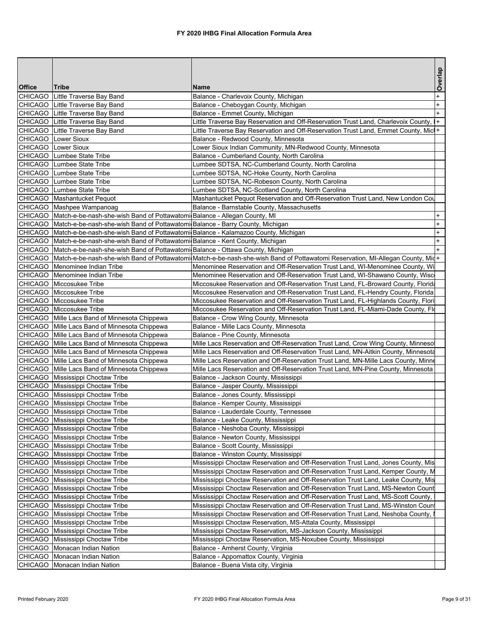|               |                                                                                           |                                                                                                                                         | Overlap   |
|---------------|-------------------------------------------------------------------------------------------|-----------------------------------------------------------------------------------------------------------------------------------------|-----------|
| <b>Office</b> | <b>Tribe</b>                                                                              | <b>Name</b>                                                                                                                             |           |
|               | CHICAGO Little Traverse Bay Band                                                          | Balance - Charlevoix County, Michigan                                                                                                   | $\ddot{}$ |
|               | CHICAGO Little Traverse Bay Band                                                          | Balance - Cheboygan County, Michigan                                                                                                    | $\ddot{}$ |
|               | CHICAGO Little Traverse Bay Band                                                          | Balance - Emmet County, Michigan                                                                                                        | $+$       |
|               | CHICAGO Little Traverse Bay Band                                                          | Little Traverse Bay Reservation and Off-Reservation Trust Land, Charlevoix County, I+                                                   |           |
|               | CHICAGO Little Traverse Bay Band                                                          | Little Traverse Bay Reservation and Off-Reservation Trust Land, Emmet County, Micl+                                                     |           |
|               | CHICAGO Lower Sioux                                                                       | Balance - Redwood County, Minnesota                                                                                                     |           |
|               | CHICAGO Lower Sioux                                                                       | Lower Sioux Indian Community, MN-Redwood County, Minnesota                                                                              |           |
|               | CHICAGO Lumbee State Tribe                                                                | Balance - Cumberland County, North Carolina                                                                                             |           |
|               | CHICAGO Lumbee State Tribe                                                                | Lumbee SDTSA, NC-Cumberland County, North Carolina                                                                                      |           |
|               | CHICAGO Lumbee State Tribe                                                                | Lumbee SDTSA, NC-Hoke County, North Carolina                                                                                            |           |
|               | CHICAGO Lumbee State Tribe                                                                | Lumbee SDTSA, NC-Robeson County, North Carolina                                                                                         |           |
|               | CHICAGO Lumbee State Tribe                                                                | Lumbee SDTSA, NC-Scotland County, North Carolina                                                                                        |           |
|               | CHICAGO Mashantucket Pequot                                                               | Mashantucket Pequot Reservation and Off-Reservation Trust Land, New London Cou                                                          |           |
|               | CHICAGO Mashpee Wampanoag                                                                 | Balance - Barnstable County, Massachusetts                                                                                              |           |
|               | CHICAGO   Match-e-be-nash-she-wish Band of Pottawatomi Balance - Allegan County, MI       |                                                                                                                                         | $\ddot{}$ |
|               | CHICAGO   Match-e-be-nash-she-wish Band of Pottawatomi Balance - Barry County, Michigan   |                                                                                                                                         | $\ddot{}$ |
|               | CHICAGO Match-e-be-nash-she-wish Band of Pottawatomi Balance - Kalamazoo County, Michigan |                                                                                                                                         | $\ddot{}$ |
|               | CHICAGO   Match-e-be-nash-she-wish Band of Pottawatomi Balance - Kent County, Michigan    |                                                                                                                                         | $\ddot{}$ |
|               | CHICAGO   Match-e-be-nash-she-wish Band of Pottawatomi Balance - Ottawa County, Michigan  |                                                                                                                                         |           |
|               |                                                                                           | CHICAGO  Match-e-be-nash-she-wish Band of Pottawatomi Match-e-be-nash-she-wish Band of Pottawatomi Reservation, MI-Allegan County, Mid+ |           |
|               | CHICAGO Menominee Indian Tribe                                                            | Menominee Reservation and Off-Reservation Trust Land, WI-Menominee County, Wi                                                           |           |
|               | CHICAGO   Menominee Indian Tribe                                                          | Menominee Reservation and Off-Reservation Trust Land, WI-Shawano County, Wisc                                                           |           |
|               | CHICAGO Miccosukee Tribe                                                                  | Miccosukee Reservation and Off-Reservation Trust Land, FL-Broward County, Florida                                                       |           |
|               | CHICAGO Miccosukee Tribe                                                                  | Miccosukee Reservation and Off-Reservation Trust Land, FL-Hendry County, Florida                                                        |           |
|               | CHICAGO Miccosukee Tribe                                                                  | Miccosukee Reservation and Off-Reservation Trust Land, FL-Highlands County, Flori                                                       |           |
|               | CHICAGO Miccosukee Tribe                                                                  | Miccosukee Reservation and Off-Reservation Trust Land, FL-Miami-Dade County, Flo                                                        |           |
|               | CHICAGO Mille Lacs Band of Minnesota Chippewa                                             | Balance - Crow Wing County, Minnesota                                                                                                   |           |
|               | CHICAGO Mille Lacs Band of Minnesota Chippewa                                             | Balance - Mille Lacs County, Minnesota                                                                                                  |           |
|               | CHICAGO Mille Lacs Band of Minnesota Chippewa                                             | Balance - Pine County, Minnesota                                                                                                        |           |
|               | CHICAGO Mille Lacs Band of Minnesota Chippewa                                             | Mille Lacs Reservation and Off-Reservation Trust Land, Crow Wing County, Minneso                                                        |           |
|               | CHICAGO Mille Lacs Band of Minnesota Chippewa                                             | Mille Lacs Reservation and Off-Reservation Trust Land, MN-Aitkin County, Minnesota                                                      |           |
|               | CHICAGO Mille Lacs Band of Minnesota Chippewa                                             | Mille Lacs Reservation and Off-Reservation Trust Land, MN-Mille Lacs County, Minne                                                      |           |
|               | CHICAGO Mille Lacs Band of Minnesota Chippewa                                             | Mille Lacs Reservation and Off-Reservation Trust Land, MN-Pine County, Minnesota                                                        |           |
|               | CHICAGO Mississippi Choctaw Tribe                                                         | Balance - Jackson County, Mississippi                                                                                                   |           |
|               | CHICAGO   Mississippi Choctaw Tribe                                                       | Balance - Jasper County, Mississippi                                                                                                    |           |
|               | CHICAGO   Mississippi Choctaw Tribe                                                       | Balance - Jones County, Mississippi                                                                                                     |           |
|               | CHICAGO Mississippi Choctaw Tribe                                                         | Balance - Kemper County, Mississippi                                                                                                    |           |
|               | CHICAGO Mississippi Choctaw Tribe                                                         | Balance - Lauderdale County, Tennessee                                                                                                  |           |
|               | CHICAGO Mississippi Choctaw Tribe                                                         | Balance - Leake County, Mississippi                                                                                                     |           |
|               | CHICAGO Mississippi Choctaw Tribe                                                         | Balance - Neshoba County, Mississippi                                                                                                   |           |
|               | CHICAGO   Mississippi Choctaw Tribe                                                       | Balance - Newton County, Mississippi                                                                                                    |           |
|               | CHICAGO   Mississippi Choctaw Tribe                                                       | Balance - Scott County, Mississippi                                                                                                     |           |
|               | CHICAGO   Mississippi Choctaw Tribe                                                       | Balance - Winston County, Mississippi                                                                                                   |           |
|               | CHICAGO Mississippi Choctaw Tribe                                                         | Mississippi Choctaw Reservation and Off-Reservation Trust Land, Jones County, Mis                                                       |           |
|               | CHICAGO Mississippi Choctaw Tribe                                                         | Mississippi Choctaw Reservation and Off-Reservation Trust Land, Kemper County, M                                                        |           |
|               | CHICAGO Mississippi Choctaw Tribe                                                         | Mississippi Choctaw Reservation and Off-Reservation Trust Land, Leake County, Mis                                                       |           |
|               | CHICAGO Mississippi Choctaw Tribe                                                         | Mississippi Choctaw Reservation and Off-Reservation Trust Land, MS-Newton Count                                                         |           |
|               | CHICAGO   Mississippi Choctaw Tribe                                                       | Mississippi Choctaw Reservation and Off-Reservation Trust Land, MS-Scott County,                                                        |           |
|               | CHICAGO Mississippi Choctaw Tribe                                                         | Mississippi Choctaw Reservation and Off-Reservation Trust Land, MS-Winston Count                                                        |           |
|               | CHICAGO Mississippi Choctaw Tribe                                                         | Mississippi Choctaw Reservation and Off-Reservation Trust Land, Neshoba County,                                                         |           |
|               | CHICAGO Mississippi Choctaw Tribe                                                         | Mississippi Choctaw Reservation, MS-Attala County, Mississippi                                                                          |           |
|               | CHICAGO   Mississippi Choctaw Tribe                                                       | Mississippi Choctaw Reservation, MS-Jackson County, Mississippi                                                                         |           |
|               | CHICAGO   Mississippi Choctaw Tribe                                                       | Mississippi Choctaw Reservation, MS-Noxubee County, Mississippi                                                                         |           |
|               | CHICAGO Monacan Indian Nation                                                             | Balance - Amherst County, Virginia                                                                                                      |           |
|               | CHICAGO   Monacan Indian Nation                                                           | Balance - Appomattox County, Virginia                                                                                                   |           |
|               | CHICAGO   Monacan Indian Nation                                                           | Balance - Buena Vista city, Virginia                                                                                                    |           |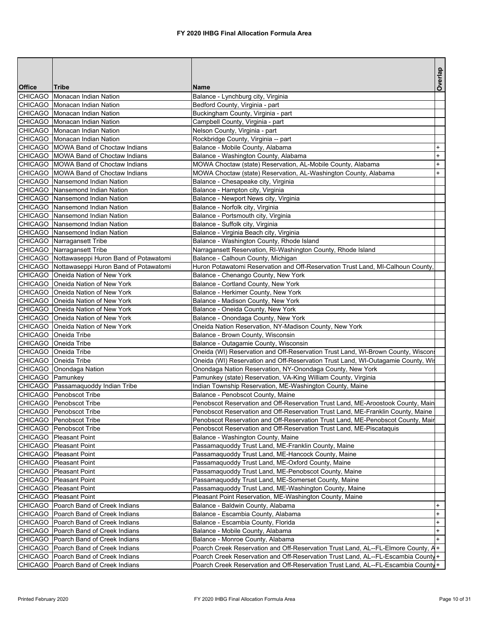|                    |                                                      |                                                                                   | Overlap   |
|--------------------|------------------------------------------------------|-----------------------------------------------------------------------------------|-----------|
| <b>Office</b>      | Tribe                                                | Name                                                                              |           |
|                    | CHICAGO Monacan Indian Nation                        | Balance - Lynchburg city, Virginia                                                |           |
|                    | CHICAGO Monacan Indian Nation                        | Bedford County, Virginia - part                                                   |           |
|                    | CHICAGO Monacan Indian Nation                        | Buckingham County, Virginia - part                                                |           |
|                    | CHICAGO Monacan Indian Nation                        | Campbell County, Virginia - part                                                  |           |
|                    | CHICAGO Monacan Indian Nation                        | Nelson County, Virginia - part                                                    |           |
|                    | CHICAGO Monacan Indian Nation                        | Rockbridge County, Virginia -- part                                               |           |
|                    | CHICAGO MOWA Band of Choctaw Indians                 | Balance - Mobile County, Alabama                                                  | $\ddot{}$ |
|                    | CHICAGO MOWA Band of Choctaw Indians                 | Balance - Washington County, Alabama                                              | $+$       |
|                    | CHICAGO MOWA Band of Choctaw Indians                 | MOWA Choctaw (state) Reservation, AL-Mobile County, Alabama                       | $\ddot{}$ |
|                    | CHICAGO MOWA Band of Choctaw Indians                 | MOWA Choctaw (state) Reservation, AL-Washington County, Alabama                   | $\ddot{}$ |
|                    | CHICAGO   Nansemond Indian Nation                    | Balance - Chesapeake city, Virginia                                               |           |
|                    | CHICAGO Nansemond Indian Nation                      | Balance - Hampton city, Virginia                                                  |           |
|                    | CHICAGO   Nansemond Indian Nation                    | Balance - Newport News city, Virginia                                             |           |
|                    | CHICAGO Nansemond Indian Nation                      | Balance - Norfolk city, Virginia                                                  |           |
|                    | CHICAGO Nansemond Indian Nation                      | Balance - Portsmouth city, Virginia                                               |           |
|                    | CHICAGO Nansemond Indian Nation                      | Balance - Suffolk city, Virginia                                                  |           |
|                    | CHICAGO Nansemond Indian Nation                      | Balance - Virginia Beach city, Virginia                                           |           |
|                    | CHICAGO Narragansett Tribe                           | Balance - Washington County, Rhode Island                                         |           |
|                    | CHICAGO   Narragansett Tribe                         | Narragansett Reservation, RI-Washington County, Rhode Island                      |           |
|                    | CHICAGO Nottawaseppi Huron Band of Potawatomi        | Balance - Calhoun County, Michigan                                                |           |
|                    | CHICAGO Nottawaseppi Huron Band of Potawatomi        | Huron Potawatomi Reservation and Off-Reservation Trust Land, MI-Calhoun County,   |           |
|                    | CHICAGO   Oneida Nation of New York                  | Balance - Chenango County, New York                                               |           |
|                    | CHICAGO   Oneida Nation of New York                  | Balance - Cortland County, New York                                               |           |
|                    | CHICAGO   Oneida Nation of New York                  | Balance - Herkimer County, New York                                               |           |
|                    | CHICAGO   Oneida Nation of New York                  | Balance - Madison County, New York                                                |           |
|                    | CHICAGO   Oneida Nation of New York                  | Balance - Oneida County, New York                                                 |           |
|                    | CHICAGO   Oneida Nation of New York                  | Balance - Onondaga County, New York                                               |           |
|                    | CHICAGO   Oneida Nation of New York                  | Oneida Nation Reservation, NY-Madison County, New York                            |           |
|                    | CHICAGO   Oneida Tribe                               | Balance - Brown County, Wisconsin                                                 |           |
|                    | CHICAGO   Oneida Tribe                               | Balance - Outagamie County, Wisconsin                                             |           |
|                    | CHICAGO Oneida Tribe                                 | Oneida (WI) Reservation and Off-Reservation Trust Land, WI-Brown County, Wiscon   |           |
|                    | CHICAGO   Oneida Tribe                               | Oneida (WI) Reservation and Off-Reservation Trust Land, WI-Outagamie County, Wis  |           |
|                    | CHICAGO   Onondaga Nation                            | Onondaga Nation Reservation, NY-Onondaga County, New York                         |           |
| CHICAGO   Pamunkey |                                                      | Pamunkey (state) Reservation, VA-King William County, Virginia                    |           |
|                    | CHICAGO Passamaquoddy Indian Tribe                   | Indian Township Reservation, ME-Washington County, Maine                          |           |
|                    | CHICAGO Penobscot Tribe                              | Balance - Penobscot County, Maine                                                 |           |
|                    | CHICAGO Penobscot Tribe                              | Penobscot Reservation and Off-Reservation Trust Land, ME-Aroostook County, Main   |           |
|                    | CHICAGO Penobscot Tribe                              | Penobscot Reservation and Off-Reservation Trust Land, ME-Franklin County, Maine   |           |
|                    | CHICAGO Penobscot Tribe                              | Penobscot Reservation and Off-Reservation Trust Land, ME-Penobscot County, Mair   |           |
|                    | CHICAGO Penobscot Tribe                              | Penobscot Reservation and Off-Reservation Trust Land, ME-Piscataquis              |           |
|                    | CHICAGO   Pleasant Point                             | Balance - Washington County, Maine                                                |           |
|                    |                                                      | Passamaquoddy Trust Land, ME-Franklin County, Maine                               |           |
|                    | CHICAGO   Pleasant Point                             |                                                                                   |           |
|                    | CHICAGO   Pleasant Point<br>CHICAGO   Pleasant Point | Passamaquoddy Trust Land, ME-Hancock County, Maine                                |           |
|                    |                                                      | Passamaquoddy Trust Land, ME-Oxford County, Maine                                 |           |
|                    | CHICAGO Pleasant Point                               | Passamaquoddy Trust Land, ME-Penobscot County, Maine                              |           |
|                    | CHICAGO   Pleasant Point                             | Passamaquoddy Trust Land, ME-Somerset County, Maine                               |           |
|                    | CHICAGO   Pleasant Point                             | Passamaquoddy Trust Land, ME-Washington County, Maine                             |           |
|                    | CHICAGO   Pleasant Point                             | Pleasant Point Reservation, ME-Washington County, Maine                           |           |
|                    | CHICAGO   Poarch Band of Creek Indians               | Balance - Baldwin County, Alabama                                                 | $+$       |
|                    | CHICAGO   Poarch Band of Creek Indians               | Balance - Escambia County, Alabama                                                | $\ddot{}$ |
|                    | CHICAGO   Poarch Band of Creek Indians               | Balance - Escambia County, Florida                                                | $\ddot{}$ |
|                    | CHICAGO   Poarch Band of Creek Indians               | Balance - Mobile County, Alabama                                                  | $\ddot{}$ |
|                    | CHICAGO   Poarch Band of Creek Indians               | Balance - Monroe County, Alabama                                                  | $+$       |
|                    | CHICAGO   Poarch Band of Creek Indians               | Poarch Creek Reservation and Off-Reservation Trust Land, AL--FL-Elmore County, A+ |           |
|                    | CHICAGO   Poarch Band of Creek Indians               | Poarch Creek Reservation and Off-Reservation Trust Land, AL--FL-Escambia County+  |           |
|                    | CHICAGO   Poarch Band of Creek Indians               | Poarch Creek Reservation and Off-Reservation Trust Land, AL--FL-Escambia County+  |           |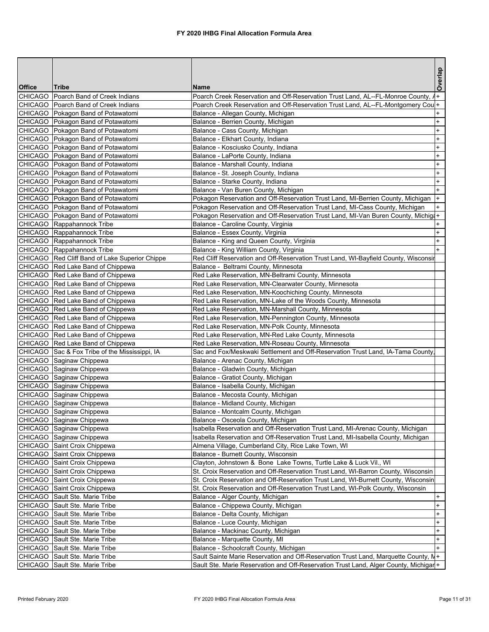|                |                                                                              |                                                                                                                     | Overlap                          |
|----------------|------------------------------------------------------------------------------|---------------------------------------------------------------------------------------------------------------------|----------------------------------|
| <b>Office</b>  | Tribe                                                                        | Name                                                                                                                |                                  |
| CHICAGO        | Poarch Band of Creek Indians                                                 | Poarch Creek Reservation and Off-Reservation Trust Land, AL--FL-Monroe County, $\lambda$ +                          |                                  |
|                | <b>CHICAGO</b> Poarch Band of Creek Indians                                  | Poarch Creek Reservation and Off-Reservation Trust Land, AL--FL-Montgomery Coul+                                    |                                  |
|                | CHICAGO Pokagon Band of Potawatomi                                           | Balance - Allegan County, Michigan                                                                                  | $\ddot{}$                        |
|                | CHICAGO   Pokagon Band of Potawatomi                                         | Balance - Berrien County, Michigan                                                                                  | $\ddot{}$                        |
|                | CHICAGO   Pokagon Band of Potawatomi                                         | Balance - Cass County, Michigan                                                                                     | $\pmb{+}$                        |
|                | CHICAGO Pokagon Band of Potawatomi                                           | Balance - Elkhart County, Indiana                                                                                   | $\ddot{}$                        |
|                | CHICAGO Pokagon Band of Potawatomi                                           | Balance - Kosciusko County, Indiana                                                                                 | $\ddot{}$                        |
|                | CHICAGO   Pokagon Band of Potawatomi<br>CHICAGO   Pokagon Band of Potawatomi | Balance - LaPorte County, Indiana<br>Balance - Marshall County, Indiana                                             | $\ddot{}$<br>$\ddot{}$           |
|                | CHICAGO Pokagon Band of Potawatomi                                           | Balance - St. Joseph County, Indiana                                                                                | $\ddot{}$                        |
|                | CHICAGO   Pokagon Band of Potawatomi                                         | Balance - Starke County, Indiana                                                                                    | $\ddot{}$                        |
|                | CHICAGO   Pokagon Band of Potawatomi                                         | Balance - Van Buren County, Michigan                                                                                | $+$                              |
|                | CHICAGO Pokagon Band of Potawatomi                                           | Pokagon Reservation and Off-Reservation Trust Land, MI-Berrien County, Michigan                                     | $\ddot{}$                        |
|                | CHICAGO Pokagon Band of Potawatomi                                           | Pokagon Reservation and Off-Reservation Trust Land, MI-Cass County, Michigan                                        | $\ddot{}$                        |
|                | CHICAGO   Pokagon Band of Potawatomi                                         | Pokagon Reservation and Off-Reservation Trust Land, MI-Van Buren County, Michig +                                   |                                  |
|                | CHICAGO Rappahannock Tribe                                                   | Balance - Caroline County, Virginia                                                                                 | +                                |
|                | CHICAGO Rappahannock Tribe                                                   | Balance - Essex County, Virginia                                                                                    | $\ddot{}$                        |
|                | CHICAGO Rappahannock Tribe                                                   | Balance - King and Queen County, Virginia                                                                           | $\ddot{}$                        |
|                | CHICAGO Rappahannock Tribe                                                   | Balance - King William County, Virginia                                                                             | $+$                              |
|                | CHICAGO Red Cliff Band of Lake Superior Chippe                               | Red Cliff Reservation and Off-Reservation Trust Land, WI-Bayfield County, Wisconsir                                 |                                  |
|                | CHICAGO Red Lake Band of Chippewa                                            | Balance - Beltrami County, Minnesota                                                                                |                                  |
|                | CHICAGO Red Lake Band of Chippewa                                            | Red Lake Reservation, MN-Beltrami County, Minnesota                                                                 |                                  |
|                | CHICAGO Red Lake Band of Chippewa                                            | Red Lake Reservation, MN-Clearwater County, Minnesota                                                               |                                  |
|                | CHICAGO Red Lake Band of Chippewa                                            | Red Lake Reservation, MN-Koochiching County, Minnesota                                                              |                                  |
|                | CHICAGO Red Lake Band of Chippewa                                            | Red Lake Reservation, MN-Lake of the Woods County, Minnesota                                                        |                                  |
|                | CHICAGO Red Lake Band of Chippewa                                            | Red Lake Reservation, MN-Marshall County, Minnesota                                                                 |                                  |
|                | CHICAGO Red Lake Band of Chippewa                                            | Red Lake Reservation, MN-Pennington County, Minnesota                                                               |                                  |
|                | CHICAGO Red Lake Band of Chippewa<br>CHICAGO Red Lake Band of Chippewa       | Red Lake Reservation, MN-Polk County, Minnesota<br>Red Lake Reservation, MN-Red Lake County, Minnesota              |                                  |
|                | CHICAGO Red Lake Band of Chippewa                                            | Red Lake Reservation, MN-Roseau County, Minnesota                                                                   |                                  |
|                | CHICAGO Sac & Fox Tribe of the Mississippi, IA                               | Sac and Fox/Meskwaki Settlement and Off-Reservation Trust Land, IA-Tama County,                                     |                                  |
|                | CHICAGO Saginaw Chippewa                                                     | Balance - Arenac County, Michigan                                                                                   |                                  |
|                | CHICAGO Saginaw Chippewa                                                     | Balance - Gladwin County, Michigan                                                                                  |                                  |
|                | CHICAGO Saginaw Chippewa                                                     | Balance - Gratiot County, Michigan                                                                                  |                                  |
|                | CHICAGO Saginaw Chippewa                                                     | Balance - Isabella County, Michigan                                                                                 |                                  |
|                | CHICAGO Saginaw Chippewa                                                     | Balance - Mecosta County, Michigan                                                                                  |                                  |
|                | CHICAGO Saginaw Chippewa                                                     | Balance - Midland County, Michigan                                                                                  |                                  |
|                | CHICAGO Saginaw Chippewa                                                     | Balance - Montcalm County, Michigan                                                                                 |                                  |
|                | CHICAGO Saginaw Chippewa                                                     | Balance - Osceola County, Michigan                                                                                  |                                  |
|                | CHICAGO Saginaw Chippewa                                                     | Isabella Reservation and Off-Reservation Trust Land, MI-Arenac County, Michigan                                     |                                  |
|                | CHICAGO Saginaw Chippewa                                                     | Isabella Reservation and Off-Reservation Trust Land, MI-Isabella County, Michigan                                   |                                  |
|                | CHICAGO Saint Croix Chippewa                                                 | Almena Village, Cumberland City, Rice Lake Town, WI                                                                 |                                  |
|                | CHICAGO Saint Croix Chippewa                                                 | Balance - Burnett County, Wisconsin                                                                                 |                                  |
|                | CHICAGO Saint Croix Chippewa                                                 | Clayton, Johnstown & Bone Lake Towns, Turtle Lake & Luck Vil., WI                                                   |                                  |
|                | CHICAGO Saint Croix Chippewa                                                 | St. Croix Reservation and Off-Reservation Trust Land, WI-Barron County, Wisconsin                                   |                                  |
|                | CHICAGO Saint Croix Chippewa                                                 | St. Croix Reservation and Off-Reservation Trust Land, WI-Burnett County, Wisconsin                                  |                                  |
|                | CHICAGO Saint Croix Chippewa<br>CHICAGO Sault Ste. Marie Tribe               | St. Croix Reservation and Off-Reservation Trust Land, WI-Polk County, Wisconsin<br>Balance - Alger County, Michigan | $+$                              |
|                | CHICAGO Sault Ste. Marie Tribe                                               | Balance - Chippewa County, Michigan                                                                                 | $\ddot{}$                        |
|                | CHICAGO Sault Ste. Marie Tribe                                               | Balance - Delta County, Michigan                                                                                    | $\ddot{}$                        |
|                | CHICAGO Sault Ste. Marie Tribe                                               | Balance - Luce County, Michigan                                                                                     | $\begin{array}{c} + \end{array}$ |
|                | CHICAGO Sault Ste. Marie Tribe                                               | Balance - Mackinac County, Michigan                                                                                 | $\ddot{}$                        |
| <b>CHICAGO</b> | Sault Ste. Marie Tribe                                                       | Balance - Marquette County, MI                                                                                      | $\ddot{}$                        |
|                | CHICAGO Sault Ste. Marie Tribe                                               | Balance - Schoolcraft County, Michigan                                                                              |                                  |
| <b>CHICAGO</b> | Sault Ste. Marie Tribe                                                       | Sault Sainte Marie Reservation and Off-Reservation Trust Land, Marquette County, N+                                 |                                  |
|                | CHICAGO Sault Ste. Marie Tribe                                               | Sault Ste. Marie Reservation and Off-Reservation Trust Land, Alger County, Michigar +                               |                                  |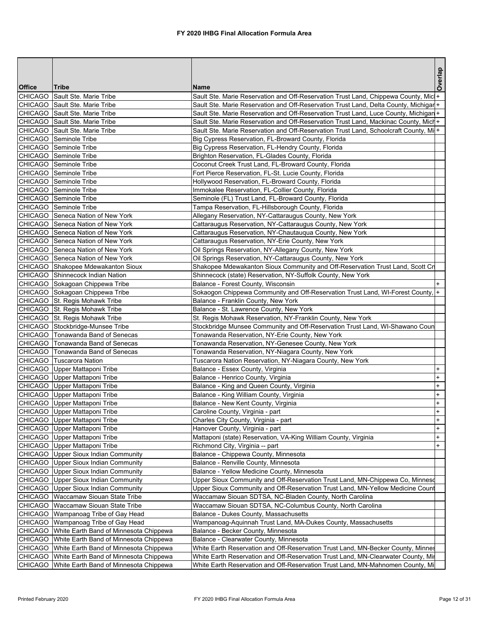|                |                                                                                              |                                                                                                                              | Overlap                          |
|----------------|----------------------------------------------------------------------------------------------|------------------------------------------------------------------------------------------------------------------------------|----------------------------------|
| <b>Office</b>  | Tribe                                                                                        | Name                                                                                                                         |                                  |
| <b>CHICAGO</b> | Sault Ste. Marie Tribe                                                                       | Sault Ste. Marie Reservation and Off-Reservation Trust Land, Chippewa County, Mic +                                          |                                  |
|                | CHICAGO Sault Ste. Marie Tribe                                                               | Sault Ste. Marie Reservation and Off-Reservation Trust Land, Delta County, Michigar +                                        |                                  |
|                | CHICAGO Sault Ste. Marie Tribe                                                               | Sault Ste. Marie Reservation and Off-Reservation Trust Land, Luce County, Michigan +                                         |                                  |
|                | CHICAGO Sault Ste. Marie Tribe                                                               | Sault Ste. Marie Reservation and Off-Reservation Trust Land, Mackinac County, Mich+                                          |                                  |
|                | CHICAGO Sault Ste. Marie Tribe                                                               | Sault Ste. Marie Reservation and Off-Reservation Trust Land, Schoolcraft County, Mi+                                         |                                  |
|                | CHICAGO Seminole Tribe                                                                       | Big Cypress Reservation, FL-Broward County, Florida                                                                          |                                  |
|                | CHICAGO Seminole Tribe                                                                       | Big Cypress Reservation, FL-Hendry County, Florida                                                                           |                                  |
|                | CHICAGO Seminole Tribe                                                                       | Brighton Reservation, FL-Glades County, Florida                                                                              |                                  |
|                | CHICAGO Seminole Tribe<br>CHICAGO Seminole Tribe                                             | Coconut Creek Trust Land, FL-Broward County, Florida                                                                         |                                  |
|                | CHICAGO Seminole Tribe                                                                       | Fort Pierce Reservation, FL-St. Lucie County, Florida<br>Hollywood Reservation, FL-Broward County, Florida                   |                                  |
|                | CHICAGO Seminole Tribe                                                                       | Immokalee Reservation, FL-Collier County, Florida                                                                            |                                  |
|                | CHICAGO Seminole Tribe                                                                       | Seminole (FL) Trust Land, FL-Broward County, Florida                                                                         |                                  |
|                | CHICAGO Seminole Tribe                                                                       | Tampa Reservation, FL-Hillsborough County, Florida                                                                           |                                  |
|                | CHICAGO Seneca Nation of New York                                                            | Allegany Reservation, NY-Cattaraugus County, New York                                                                        |                                  |
|                | <b>CHICAGO</b> Seneca Nation of New York                                                     | Cattaraugus Reservation, NY-Cattaraugus County, New York                                                                     |                                  |
|                | CHICAGO Seneca Nation of New York                                                            | Cattaraugus Reservation, NY-Chautauqua County, New York                                                                      |                                  |
|                | CHICAGO Seneca Nation of New York                                                            | Cattaraugus Reservation, NY-Erie County, New York                                                                            |                                  |
|                | CHICAGO Seneca Nation of New York                                                            | Oil Springs Reservation, NY-Allegany County, New York                                                                        |                                  |
|                | CHICAGO Seneca Nation of New York                                                            | Oil Springs Reservation, NY-Cattaraugus County, New York                                                                     |                                  |
|                | CHICAGO Shakopee Mdewakanton Sioux                                                           | Shakopee Mdewakanton Sioux Community and Off-Reservation Trust Land, Scott Cn                                                |                                  |
|                | CHICAGO Shinnecock Indian Nation                                                             | Shinnecock (state) Reservation, NY-Suffolk County, New York                                                                  |                                  |
|                | CHICAGO Sokagoan Chippewa Tribe                                                              | Balance - Forest County, Wisconsin                                                                                           | $+$                              |
|                | CHICAGO Sokagoan Chippewa Tribe                                                              | Sokaogon Chippewa Community and Off-Reservation Trust Land, WI-Forest County,  +                                             |                                  |
|                | CHICAGO St. Regis Mohawk Tribe                                                               | Balance - Franklin County, New York                                                                                          |                                  |
|                | CHICAGO St. Regis Mohawk Tribe                                                               | Balance - St. Lawrence County, New York                                                                                      |                                  |
|                | CHICAGO St. Regis Mohawk Tribe                                                               | St. Regis Mohawk Reservation, NY-Franklin County, New York                                                                   |                                  |
|                | CHICAGO Stockbridge-Munsee Tribe                                                             | Stockbridge Munsee Community and Off-Reservation Trust Land, WI-Shawano Coun                                                 |                                  |
|                | CHICAGO   Tonawanda Band of Senecas                                                          | Tonawanda Reservation, NY-Erie County, New York                                                                              |                                  |
|                | CHICAGO   Tonawanda Band of Senecas                                                          | Tonawanda Reservation, NY-Genesee County, New York                                                                           |                                  |
|                | CHICAGO   Tonawanda Band of Senecas                                                          | Tonawanda Reservation, NY-Niagara County, New York                                                                           |                                  |
|                | CHICAGO   Tuscarora Nation                                                                   | Tuscarora Nation Reservation, NY-Niagara County, New York                                                                    |                                  |
|                | CHICAGO Upper Mattaponi Tribe                                                                | Balance - Essex County, Virginia                                                                                             | $\ddot{}$                        |
|                | CHICAGO Upper Mattaponi Tribe                                                                | Balance - Henrico County, Virginia                                                                                           | $\ddot{}$                        |
|                | CHICAGO Upper Mattaponi Tribe                                                                | Balance - King and Queen County, Virginia                                                                                    | $\ddot{}$                        |
|                | CHICAGO Upper Mattaponi Tribe                                                                | Balance - King William County, Virginia                                                                                      | $\ddot{}$                        |
|                | CHICAGO Upper Mattaponi Tribe                                                                | Balance - New Kent County, Virginia                                                                                          | $\begin{array}{c} + \end{array}$ |
|                | CHICAGO Upper Mattaponi Tribe                                                                | Caroline County, Virginia - part                                                                                             | $\ddot{}$                        |
|                | CHICAGO Upper Mattaponi Tribe                                                                | Charles City County, Virginia - part                                                                                         | $\ddot{}$                        |
|                | CHICAGO Upper Mattaponi Tribe                                                                | Hanover County, Virginia - part                                                                                              | $+$                              |
|                | <b>CHICAGO</b> Upper Mattaponi Tribe                                                         | Mattaponi (state) Reservation, VA-King William County, Virginia                                                              | $\ddot{}$                        |
|                | CHICAGO Upper Mattaponi Tribe                                                                | Richmond City, Virginia -- part                                                                                              | $\ddot{}$                        |
|                | CHICAGO Upper Sioux Indian Community                                                         | Balance - Chippewa County, Minnesota                                                                                         |                                  |
|                | CHICAGO Upper Sioux Indian Community                                                         | Balance - Renville County, Minnesota                                                                                         |                                  |
|                | CHICAGO Upper Sioux Indian Community                                                         | Balance - Yellow Medicine County, Minnesota<br>Upper Sioux Community and Off-Reservation Trust Land, MN-Chippewa Co, Minnesd |                                  |
|                | <b>CHICAGO</b>   Upper Sioux Indian Community<br><b>CHICAGO</b> Upper Sioux Indian Community | Upper Sioux Community and Off-Reservation Trust Land, MN-Yellow Medicine Count                                               |                                  |
|                | CHICAGO Waccamaw Siouan State Tribe                                                          | Waccamaw Siouan SDTSA, NC-Bladen County, North Carolina                                                                      |                                  |
|                | CHICAGO   Waccamaw Siouan State Tribe                                                        | Waccamaw Siouan SDTSA, NC-Columbus County, North Carolina                                                                    |                                  |
|                | CHICAGO   Wampanoag Tribe of Gay Head                                                        | Balance - Dukes County, Massachusetts                                                                                        |                                  |
|                | CHICAGO   Wampanoag Tribe of Gay Head                                                        | Wampanoag-Aquinnah Trust Land, MA-Dukes County, Massachusetts                                                                |                                  |
|                | CHICAGO   White Earth Band of Minnesota Chippewa                                             | Balance - Becker County, Minnesota                                                                                           |                                  |
|                | CHICAGO White Earth Band of Minnesota Chippewa                                               | Balance - Clearwater County, Minnesota                                                                                       |                                  |
|                | CHICAGO   White Earth Band of Minnesota Chippewa                                             | White Earth Reservation and Off-Reservation Trust Land, MN-Becker County, Minnes                                             |                                  |
|                | CHICAGO White Earth Band of Minnesota Chippewa                                               | White Earth Reservation and Off-Reservation Trust Land, MN-Clearwater County, Mir                                            |                                  |
|                | CHICAGO   White Earth Band of Minnesota Chippewa                                             | White Earth Reservation and Off-Reservation Trust Land, MN-Mahnomen County, Mi                                               |                                  |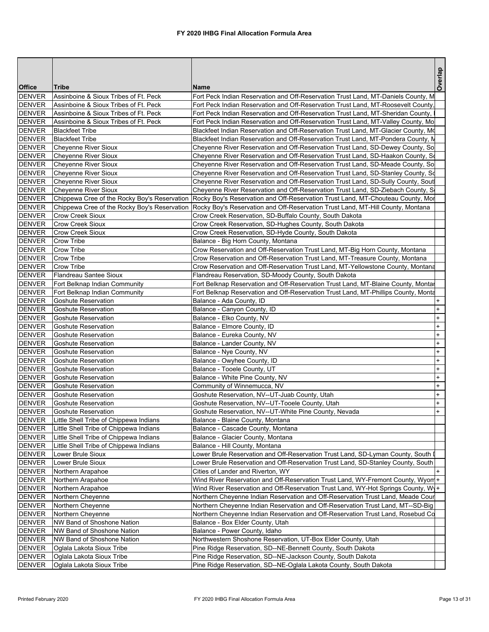|               |                                              |                                                                                    | Overlap   |
|---------------|----------------------------------------------|------------------------------------------------------------------------------------|-----------|
| <b>Office</b> | Tribe                                        | <b>Name</b>                                                                        |           |
| <b>DENVER</b> | Assinboine & Sioux Tribes of Ft. Peck        | Fort Peck Indian Reservation and Off-Reservation Trust Land, MT-Daniels County, M  |           |
| <b>DENVER</b> | Assinboine & Sioux Tribes of Ft. Peck        | Fort Peck Indian Reservation and Off-Reservation Trust Land, MT-Roosevelt County,  |           |
| <b>DENVER</b> | Assinboine & Sioux Tribes of Ft. Peck        | Fort Peck Indian Reservation and Off-Reservation Trust Land, MT-Sheridan County,   |           |
| <b>DENVER</b> | Assinboine & Sioux Tribes of Ft. Peck        | Fort Peck Indian Reservation and Off-Reservation Trust Land, MT-Valley County, Mo  |           |
| <b>DENVER</b> | <b>Blackfeet Tribe</b>                       | Blackfeet Indian Reservation and Off-Reservation Trust Land, MT-Glacier County, Md |           |
| <b>DENVER</b> | <b>Blackfeet Tribe</b>                       | Blackfeet Indian Reservation and Off-Reservation Trust Land, MT-Pondera County, N  |           |
| <b>DENVER</b> | Cheyenne River Sioux                         | Cheyenne River Reservation and Off-Reservation Trust Land, SD-Dewey County, So     |           |
| <b>DENVER</b> | Cheyenne River Sioux                         | Cheyenne River Reservation and Off-Reservation Trust Land, SD-Haakon County, So    |           |
| <b>DENVER</b> | <b>Chevenne River Sioux</b>                  | Cheyenne River Reservation and Off-Reservation Trust Land, SD-Meade County, So     |           |
| <b>DENVER</b> | <b>Cheyenne River Sioux</b>                  | Cheyenne River Reservation and Off-Reservation Trust Land, SD-Stanley County, So   |           |
| <b>DENVER</b> | <b>Cheyenne River Sioux</b>                  | Cheyenne River Reservation and Off-Reservation Trust Land, SD-Sully County, Sout   |           |
| <b>DENVER</b> | <b>Cheyenne River Sioux</b>                  | Cheyenne River Reservation and Off-Reservation Trust Land, SD-Ziebach County, S    |           |
| <b>DENVER</b> | Chippewa Cree of the Rocky Boy's Reservation | Rocky Boy's Reservation and Off-Reservation Trust Land, MT-Chouteau County, Mor    |           |
| <b>DENVER</b> | Chippewa Cree of the Rocky Boy's Reservation | Rocky Boy's Reservation and Off-Reservation Trust Land, MT-Hill County, Montana    |           |
| <b>DENVER</b> | Crow Creek Sioux                             | Crow Creek Reservation, SD-Buffalo County, South Dakota                            |           |
| <b>DENVER</b> | <b>Crow Creek Sioux</b>                      | Crow Creek Reservation, SD-Hughes County, South Dakota                             |           |
| <b>DENVER</b> | Crow Creek Sioux                             | Crow Creek Reservation, SD-Hyde County, South Dakota                               |           |
| <b>DENVER</b> | Crow Tribe                                   | Balance - Big Horn County, Montana                                                 |           |
| <b>DENVER</b> | Crow Tribe                                   | Crow Reservation and Off-Reservation Trust Land, MT-Big Horn County, Montana       |           |
| <b>DENVER</b> | Crow Tribe                                   | Crow Reservation and Off-Reservation Trust Land, MT-Treasure County, Montana       |           |
| <b>DENVER</b> | Crow Tribe                                   | Crow Reservation and Off-Reservation Trust Land, MT-Yellowstone County, Montana    |           |
| <b>DENVER</b> | Flandreau Santee Sioux                       | Flandreau Reservation, SD-Moody County, South Dakota                               |           |
| <b>DENVER</b> | Fort Belknap Indian Community                | Fort Belknap Reservation and Off-Reservation Trust Land, MT-Blaine County, Montar  |           |
| <b>DENVER</b> | Fort Belknap Indian Community                | Fort Belknap Reservation and Off-Reservation Trust Land, MT-Phillips County, Monta |           |
| <b>DENVER</b> | Goshute Reservation                          | Balance - Ada County, ID                                                           |           |
| <b>DENVER</b> | Goshute Reservation                          | Balance - Canyon County, ID                                                        | $+$       |
| <b>DENVER</b> | Goshute Reservation                          | Balance - Elko County, NV                                                          | $\ddot{}$ |
| <b>DENVER</b> | Goshute Reservation                          | Balance - Elmore County, ID                                                        | $\ddot{}$ |
| <b>DENVER</b> | <b>Goshute Reservation</b>                   | Balance - Eureka County, NV                                                        | $\ddot{}$ |
| <b>DENVER</b> | Goshute Reservation                          | Balance - Lander County, NV                                                        | $\ddot{}$ |
| <b>DENVER</b> | <b>Goshute Reservation</b>                   | Balance - Nye County, NV                                                           | $\ddot{}$ |
| <b>DENVER</b> | Goshute Reservation                          | Balance - Owyhee County, ID                                                        | $\ddot{}$ |
| <b>DENVER</b> | Goshute Reservation                          | Balance - Tooele County, UT                                                        | $\ddot{}$ |
| <b>DENVER</b> | Goshute Reservation                          | Balance - White Pine County, NV                                                    | $\ddot{}$ |
| <b>DENVER</b> | <b>Goshute Reservation</b>                   | Community of Winnemucca, NV                                                        | $\ddot{}$ |
| <b>DENVER</b> | Goshute Reservation                          | Goshute Reservation, NV--UT-Juab County, Utah                                      | $\ddot{}$ |
| <b>DENVER</b> | Goshute Reservation                          | Goshute Reservation, NV--UT-Tooele County, Utah                                    | $\ddot{}$ |
| <b>DENVER</b> | <b>Goshute Reservation</b>                   | Goshute Reservation, NV--UT-White Pine County, Nevada                              |           |
| <b>DENVER</b> | Little Shell Tribe of Chippewa Indians       | Balance - Blaine County, Montana                                                   |           |
| <b>DENVER</b> | Little Shell Tribe of Chippewa Indians       | Balance - Cascade County, Montana                                                  |           |
| <b>DENVER</b> | Little Shell Tribe of Chippewa Indians       | Balance - Glacier County, Montana                                                  |           |
| <b>DENVER</b> | Little Shell Tribe of Chippewa Indians       | Balance - Hill County, Montana                                                     |           |
| <b>DENVER</b> | Lower Brule Sioux                            | Lower Brule Reservation and Off-Reservation Trust Land, SD-Lyman County, South I   |           |
| <b>DENVER</b> | Lower Brule Sioux                            | Lower Brule Reservation and Off-Reservation Trust Land, SD-Stanley County, South   |           |
| <b>DENVER</b> | Northern Arapahoe                            | Cities of Lander and Riverton, WY                                                  |           |
| <b>DENVER</b> | Northern Arapahoe                            | Wind River Reservation and Off-Reservation Trust Land, WY-Fremont County, Wyon +   |           |
| <b>DENVER</b> | Northern Arapahoe                            | Wind River Reservation and Off-Reservation Trust Land, WY-Hot Springs County, Wy+  |           |
| <b>DENVER</b> | Northern Cheyenne                            | Northern Cheyenne Indian Reservation and Off-Reservation Trust Land, Meade Cour    |           |
| <b>DENVER</b> | Northern Cheyenne                            | Northern Cheyenne Indian Reservation and Off-Reservation Trust Land, MT--SD-Big    |           |
| <b>DENVER</b> | Northern Cheyenne                            | Northern Cheyenne Indian Reservation and Off-Reservation Trust Land, Rosebud Co    |           |
| <b>DENVER</b> | NW Band of Shoshone Nation                   |                                                                                    |           |
| <b>DENVER</b> | NW Band of Shoshone Nation                   | Balance - Box Elder County, Utah<br>Balance - Power County, Idaho                  |           |
|               |                                              |                                                                                    |           |
| <b>DENVER</b> | NW Band of Shoshone Nation                   | Northwestern Shoshone Reservation, UT-Box Elder County, Utah                       |           |
| <b>DENVER</b> | Oglala Lakota Sioux Tribe                    | Pine Ridge Reservation, SD--NE-Bennett County, South Dakota                        |           |
| <b>DENVER</b> | Oglala Lakota Sioux Tribe                    | Pine Ridge Reservation, SD--NE-Jackson County, South Dakota                        |           |
| <b>DENVER</b> | Oglala Lakota Sioux Tribe                    | Pine Ridge Reservation, SD--NE-Oglala Lakota County, South Dakota                  |           |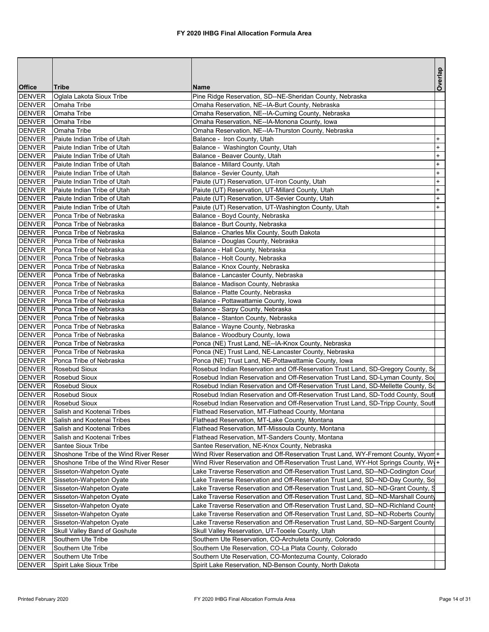|                                |                                          |                                                                                                             | Overlap   |
|--------------------------------|------------------------------------------|-------------------------------------------------------------------------------------------------------------|-----------|
| <b>Office</b>                  | <b>Tribe</b>                             | <b>Name</b>                                                                                                 |           |
| <b>DENVER</b><br><b>DENVER</b> | Oglala Lakota Sioux Tribe<br>Omaha Tribe | Pine Ridge Reservation, SD--NE-Sheridan County, Nebraska<br>Omaha Reservation, NE--IA-Burt County, Nebraska |           |
| <b>DENVER</b>                  | Omaha Tribe                              |                                                                                                             |           |
| <b>DENVER</b>                  | Omaha Tribe                              | Omaha Reservation, NE--IA-Cuming County, Nebraska<br>Omaha Reservation, NE--IA-Monona County, Iowa          |           |
| <b>DENVER</b>                  | Omaha Tribe                              | Omaha Reservation, NE--IA-Thurston County, Nebraska                                                         |           |
| <b>DENVER</b>                  | Paiute Indian Tribe of Utah              | Balance - Iron County, Utah                                                                                 | $\ddot{}$ |
| <b>DENVER</b>                  | Paiute Indian Tribe of Utah              | Balance - Washington County, Utah                                                                           | $\ddot{}$ |
| <b>DENVER</b>                  | Paiute Indian Tribe of Utah              | Balance - Beaver County, Utah                                                                               | $\ddot{}$ |
| <b>DENVER</b>                  | Paiute Indian Tribe of Utah              | Balance - Millard County, Utah                                                                              | $+$       |
| <b>DENVER</b>                  | Paiute Indian Tribe of Utah              | Balance - Sevier County, Utah                                                                               | $\pmb{+}$ |
| <b>DENVER</b>                  | Paiute Indian Tribe of Utah              | Paiute (UT) Reservation, UT-Iron County, Utah                                                               | $\ddot{}$ |
| <b>DENVER</b>                  | Paiute Indian Tribe of Utah              | Paiute (UT) Reservation, UT-Millard County, Utah                                                            | $\ddot{}$ |
| <b>DENVER</b>                  | Paiute Indian Tribe of Utah              | Paiute (UT) Reservation, UT-Sevier County, Utah                                                             | $\ddot{}$ |
| <b>DENVER</b>                  | Paiute Indian Tribe of Utah              | Paiute (UT) Reservation, UT-Washington County, Utah                                                         | $\ddot{}$ |
| <b>DENVER</b>                  | Ponca Tribe of Nebraska                  | Balance - Boyd County, Nebraska                                                                             |           |
| <b>DENVER</b>                  | Ponca Tribe of Nebraska                  | Balance - Burt County, Nebraska                                                                             |           |
| <b>DENVER</b>                  | Ponca Tribe of Nebraska                  | Balance - Charles Mix County, South Dakota                                                                  |           |
| <b>DENVER</b>                  | Ponca Tribe of Nebraska                  | Balance - Douglas County, Nebraska                                                                          |           |
| <b>DENVER</b>                  | Ponca Tribe of Nebraska                  | Balance - Hall County, Nebraska                                                                             |           |
| <b>DENVER</b>                  | Ponca Tribe of Nebraska                  | Balance - Holt County, Nebraska                                                                             |           |
| <b>DENVER</b>                  | Ponca Tribe of Nebraska                  | Balance - Knox County, Nebraska                                                                             |           |
| <b>DENVER</b>                  | Ponca Tribe of Nebraska                  | Balance - Lancaster County, Nebraska                                                                        |           |
| <b>DENVER</b>                  | Ponca Tribe of Nebraska                  | Balance - Madison County, Nebraska                                                                          |           |
| <b>DENVER</b>                  | Ponca Tribe of Nebraska                  | Balance - Platte County, Nebraska                                                                           |           |
| <b>DENVER</b>                  | Ponca Tribe of Nebraska                  | Balance - Pottawattamie County, Iowa                                                                        |           |
| <b>DENVER</b>                  | Ponca Tribe of Nebraska                  | Balance - Sarpy County, Nebraska                                                                            |           |
| <b>DENVER</b>                  | Ponca Tribe of Nebraska                  | Balance - Stanton County, Nebraska                                                                          |           |
| <b>DENVER</b>                  | Ponca Tribe of Nebraska                  | Balance - Wayne County, Nebraska                                                                            |           |
| <b>DENVER</b>                  | Ponca Tribe of Nebraska                  | Balance - Woodbury County, Iowa                                                                             |           |
| <b>DENVER</b>                  | Ponca Tribe of Nebraska                  | Ponca (NE) Trust Land, NE--IA-Knox County, Nebraska                                                         |           |
| <b>DENVER</b>                  | Ponca Tribe of Nebraska                  | Ponca (NE) Trust Land, NE-Lancaster County, Nebraska                                                        |           |
| <b>DENVER</b>                  | Ponca Tribe of Nebraska                  | Ponca (NE) Trust Land, NE-Pottawattamie County, Iowa                                                        |           |
| <b>DENVER</b>                  | Rosebud Sioux                            | Rosebud Indian Reservation and Off-Reservation Trust Land, SD-Gregory County, So                            |           |
| <b>DENVER</b>                  | Rosebud Sioux                            | Rosebud Indian Reservation and Off-Reservation Trust Land, SD-Lyman County, Sou                             |           |
| <b>DENVER</b>                  | Rosebud Sioux                            | Rosebud Indian Reservation and Off-Reservation Trust Land, SD-Mellette County, Sd                           |           |
| <b>DENVER</b>                  | Rosebud Sioux                            | Rosebud Indian Reservation and Off-Reservation Trust Land, SD-Todd County, Soutl                            |           |
| <b>DENVER</b>                  | Rosebud Sioux                            | Rosebud Indian Reservation and Off-Reservation Trust Land, SD-Tripp County, Sout                            |           |
| <b>DENVER</b>                  | Salish and Kootenai Tribes               | Flathead Reservation, MT-Flathead County, Montana                                                           |           |
| <b>DENVER</b>                  | Salish and Kootenai Tribes               | Flathead Reservation, MT-Lake County, Montana                                                               |           |
| <b>DENVER</b>                  | Salish and Kootenai Tribes               | Flathead Reservation, MT-Missoula County, Montana                                                           |           |
| <b>DENVER</b>                  | Salish and Kootenai Tribes               | Flathead Reservation, MT-Sanders County, Montana                                                            |           |
| <b>DENVER</b>                  | Santee Sioux Tribe                       | Santee Reservation, NE-Knox County, Nebraska                                                                |           |
| <b>DENVER</b>                  | Shoshone Tribe of the Wind River Reser   | Wind River Reservation and Off-Reservation Trust Land, WY-Fremont County, Wyon +                            |           |
| <b>DENVER</b>                  | Shoshone Tribe of the Wind River Reser   | Wind River Reservation and Off-Reservation Trust Land, WY-Hot Springs County, Wy+                           |           |
| <b>DENVER</b>                  | Sisseton-Wahpeton Oyate                  | Lake Traverse Reservation and Off-Reservation Trust Land, SD--ND-Codington Cour                             |           |
| <b>DENVER</b>                  | Sisseton-Wahpeton Oyate                  | Lake Traverse Reservation and Off-Reservation Trust Land, SD--ND-Day County, So                             |           |
| <b>DENVER</b>                  | Sisseton-Wahpeton Oyate                  | Lake Traverse Reservation and Off-Reservation Trust Land, SD--ND-Grant County, S                            |           |
| <b>DENVER</b>                  | Sisseton-Wahpeton Oyate                  | Lake Traverse Reservation and Off-Reservation Trust Land, SD--ND-Marshall County                            |           |
| <b>DENVER</b>                  | Sisseton-Wahpeton Oyate                  | Lake Traverse Reservation and Off-Reservation Trust Land, SD--ND-Richland Count                             |           |
| <b>DENVER</b>                  | Sisseton-Wahpeton Oyate                  | Lake Traverse Reservation and Off-Reservation Trust Land, SD--ND-Roberts County                             |           |
| <b>DENVER</b>                  | Sisseton-Wahpeton Oyate                  | Lake Traverse Reservation and Off-Reservation Trust Land, SD--ND-Sargent County                             |           |
| <b>DENVER</b>                  | Skull Valley Band of Goshute             | Skull Valley Reservation, UT-Tooele County, Utah                                                            |           |
| <b>DENVER</b>                  | Southern Ute Tribe                       | Southern Ute Reservation, CO-Archuleta County, Colorado                                                     |           |
| <b>DENVER</b>                  | Southern Ute Tribe                       | Southern Ute Reservation, CO-La Plata County, Colorado                                                      |           |
| <b>DENVER</b>                  | Southern Ute Tribe                       | Southern Ute Reservation, CO-Montezuma County, Colorado                                                     |           |
| <b>DENVER</b>                  | Spirit Lake Sioux Tribe                  | Spirit Lake Reservation, ND-Benson County, North Dakota                                                     |           |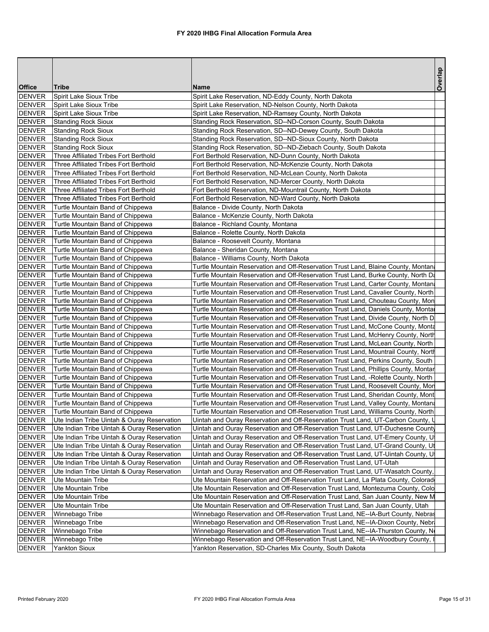| <b>Office</b><br>Tribe<br>Name<br><b>DENVER</b><br>Spirit Lake Sioux Tribe<br>Spirit Lake Reservation, ND-Eddy County, North Dakota<br><b>DENVER</b><br>Spirit Lake Sioux Tribe<br>Spirit Lake Reservation, ND-Nelson County, North Dakota<br><b>DENVER</b><br>Spirit Lake Sioux Tribe<br>Spirit Lake Reservation, ND-Ramsey County, North Dakota<br><b>DENVER</b><br><b>Standing Rock Sioux</b><br>Standing Rock Reservation, SD--ND-Corson County, South Dakota<br><b>DENVER</b><br><b>Standing Rock Sioux</b><br>Standing Rock Reservation, SD--ND-Dewey County, South Dakota<br><b>DENVER</b><br><b>Standing Rock Sioux</b><br>Standing Rock Reservation, SD--ND-Sioux County, North Dakota<br><b>DENVER</b><br><b>Standing Rock Sioux</b><br>Standing Rock Reservation, SD--ND-Ziebach County, South Dakota<br><b>DENVER</b><br>Three Affiliated Tribes Fort Berthold<br>Fort Berthold Reservation, ND-Dunn County, North Dakota<br><b>DENVER</b><br>Three Affiliated Tribes Fort Berthold<br>Fort Berthold Reservation, ND-McKenzie County, North Dakota<br><b>DENVER</b><br>Three Affiliated Tribes Fort Berthold<br>Fort Berthold Reservation, ND-McLean County, North Dakota<br><b>DENVER</b><br>Three Affiliated Tribes Fort Berthold<br>Fort Berthold Reservation, ND-Mercer County, North Dakota<br><b>DENVER</b><br>Three Affiliated Tribes Fort Berthold<br>Fort Berthold Reservation, ND-Mountrail County, North Dakota<br><b>DENVER</b><br>Three Affiliated Tribes Fort Berthold<br>Fort Berthold Reservation, ND-Ward County, North Dakota<br><b>DENVER</b><br>Turtle Mountain Band of Chippewa<br>Balance - Divide County, North Dakota<br><b>DENVER</b><br>Turtle Mountain Band of Chippewa<br>Balance - McKenzie County, North Dakota<br><b>DENVER</b><br>Turtle Mountain Band of Chippewa<br>Balance - Richland County, Montana<br><b>DENVER</b><br>Turtle Mountain Band of Chippewa<br>Balance - Rolette County, North Dakota<br><b>DENVER</b><br>Turtle Mountain Band of Chippewa<br>Balance - Roosevelt County, Montana<br><b>DENVER</b><br>Balance - Sheridan County, Montana<br>Turtle Mountain Band of Chippewa<br><b>DENVER</b><br>Turtle Mountain Band of Chippewa<br>Balance - Williams County, North Dakota<br><b>DENVER</b><br>Turtle Mountain Band of Chippewa<br>Turtle Mountain Reservation and Off-Reservation Trust Land, Blaine County, Montana<br><b>DENVER</b><br>Turtle Mountain Band of Chippewa<br>Turtle Mountain Reservation and Off-Reservation Trust Land, Burke County, North Da<br><b>DENVER</b><br>Turtle Mountain Reservation and Off-Reservation Trust Land, Carter County, Montan<br>Turtle Mountain Band of Chippewa<br><b>DENVER</b><br>Turtle Mountain Reservation and Off-Reservation Trust Land, Cavalier County, North<br>Turtle Mountain Band of Chippewa<br><b>DENVER</b><br>Turtle Mountain Band of Chippewa<br>Turtle Mountain Reservation and Off-Reservation Trust Land, Chouteau County, Mon<br><b>DENVER</b><br>Turtle Mountain Band of Chippewa<br>Turtle Mountain Reservation and Off-Reservation Trust Land, Daniels County, Montal<br><b>DENVER</b><br>Turtle Mountain Band of Chippewa<br>Turtle Mountain Reservation and Off-Reservation Trust Land, Divide County, North D<br><b>DENVER</b><br>Turtle Mountain Band of Chippewa<br>Turtle Mountain Reservation and Off-Reservation Trust Land, McCone County, Monta<br><b>DENVER</b><br>Turtle Mountain Band of Chippewa<br>Turtle Mountain Reservation and Off-Reservation Trust Land, McHenry County, North<br><b>DENVER</b><br>Turtle Mountain Band of Chippewa<br>Turtle Mountain Reservation and Off-Reservation Trust Land, McLean County, North<br><b>DENVER</b><br>Turtle Mountain Band of Chippewa<br>Turtle Mountain Reservation and Off-Reservation Trust Land, Mountrail County, Nortl<br><b>DENVER</b><br>Turtle Mountain Band of Chippewa<br>Turtle Mountain Reservation and Off-Reservation Trust Land, Perkins County, South<br><b>DENVER</b><br>Turtle Mountain Band of Chippewa<br>Turtle Mountain Reservation and Off-Reservation Trust Land, Phillips County, Montar<br><b>DENVER</b><br>Turtle Mountain Band of Chippewa<br>Turtle Mountain Reservation and Off-Reservation Trust Land, -Rolette County, North<br><b>DENVER</b><br>Turtle Mountain Band of Chippewa<br>Turtle Mountain Reservation and Off-Reservation Trust Land, Roosevelt County, Mon<br><b>DENVER</b><br>Turtle Mountain Band of Chippewa<br>Turtle Mountain Reservation and Off-Reservation Trust Land, Sheridan County, Mont<br><b>DENVER</b><br>Turtle Mountain Band of Chippewa<br>Turtle Mountain Reservation and Off-Reservation Trust Land, Valley County, Montana<br><b>DENVER</b><br>Turtle Mountain Band of Chippewa<br>Turtle Mountain Reservation and Off-Reservation Trust Land, Williams County, North<br><b>DENVER</b><br>Ute Indian Tribe Uintah & Ouray Reservation<br>Uintah and Ouray Reservation and Off-Reservation Trust Land, UT-Carbon County, U<br><b>DENVER</b><br>Ute Indian Tribe Uintah & Ouray Reservation<br>Uintah and Ouray Reservation and Off-Reservation Trust Land, UT-Duchesne County<br><b>DENVER</b><br>Ute Indian Tribe Uintah & Ouray Reservation<br>Uintah and Ouray Reservation and Off-Reservation Trust Land, UT-Emery County, U<br><b>DENVER</b><br>Ute Indian Tribe Uintah & Ouray Reservation<br>Uintah and Ouray Reservation and Off-Reservation Trust Land, UT-Grand County, Ut<br><b>DENVER</b><br>Uintah and Ouray Reservation and Off-Reservation Trust Land, UT-Uintah County, U<br>Ute Indian Tribe Uintah & Ouray Reservation<br><b>DENVER</b><br>Ute Indian Tribe Uintah & Ouray Reservation<br>Uintah and Ouray Reservation and Off-Reservation Trust Land, UT-Utah<br><b>DENVER</b><br>Ute Indian Tribe Uintah & Ouray Reservation<br>Uintah and Ouray Reservation and Off-Reservation Trust Land, UT-Wasatch County,<br><b>DENVER</b><br>Ute Mountain Tribe<br>Ute Mountain Reservation and Off-Reservation Trust Land, La Plata County, Colorad<br><b>DENVER</b><br>Ute Mountain Tribe<br>Ute Mountain Reservation and Off-Reservation Trust Land, Montezuma County, Colo<br><b>DENVER</b><br>Ute Mountain Tribe<br>Ute Mountain Reservation and Off-Reservation Trust Land, San Juan County, New M<br><b>DENVER</b><br>Ute Mountain Tribe<br>Ute Mountain Reservation and Off-Reservation Trust Land, San Juan County, Utah<br><b>DENVER</b><br>Winnebago Tribe<br>Winnebago Reservation and Off-Reservation Trust Land, NE--IA-Burt County, Nebras<br><b>DENVER</b><br>Winnebago Tribe<br>Winnebago Reservation and Off-Reservation Trust Land, NE--IA-Dixon County, Nebra<br><b>DENVER</b><br>Winnebago Tribe<br>Winnebago Reservation and Off-Reservation Trust Land, NE--IA-Thurston County, N<br><b>DENVER</b><br>Winnebago Reservation and Off-Reservation Trust Land, NE--IA-Woodbury County, I<br>Winnebago Tribe<br><b>DENVER</b><br>Yankton Reservation, SD-Charles Mix County, South Dakota<br><b>Yankton Sioux</b> |  | Overlap |
|------------------------------------------------------------------------------------------------------------------------------------------------------------------------------------------------------------------------------------------------------------------------------------------------------------------------------------------------------------------------------------------------------------------------------------------------------------------------------------------------------------------------------------------------------------------------------------------------------------------------------------------------------------------------------------------------------------------------------------------------------------------------------------------------------------------------------------------------------------------------------------------------------------------------------------------------------------------------------------------------------------------------------------------------------------------------------------------------------------------------------------------------------------------------------------------------------------------------------------------------------------------------------------------------------------------------------------------------------------------------------------------------------------------------------------------------------------------------------------------------------------------------------------------------------------------------------------------------------------------------------------------------------------------------------------------------------------------------------------------------------------------------------------------------------------------------------------------------------------------------------------------------------------------------------------------------------------------------------------------------------------------------------------------------------------------------------------------------------------------------------------------------------------------------------------------------------------------------------------------------------------------------------------------------------------------------------------------------------------------------------------------------------------------------------------------------------------------------------------------------------------------------------------------------------------------------------------------------------------------------------------------------------------------------------------------------------------------------------------------------------------------------------------------------------------------------------------------------------------------------------------------------------------------------------------------------------------------------------------------------------------------------------------------------------------------------------------------------------------------------------------------------------------------------------------------------------------------------------------------------------------------------------------------------------------------------------------------------------------------------------------------------------------------------------------------------------------------------------------------------------------------------------------------------------------------------------------------------------------------------------------------------------------------------------------------------------------------------------------------------------------------------------------------------------------------------------------------------------------------------------------------------------------------------------------------------------------------------------------------------------------------------------------------------------------------------------------------------------------------------------------------------------------------------------------------------------------------------------------------------------------------------------------------------------------------------------------------------------------------------------------------------------------------------------------------------------------------------------------------------------------------------------------------------------------------------------------------------------------------------------------------------------------------------------------------------------------------------------------------------------------------------------------------------------------------------------------------------------------------------------------------------------------------------------------------------------------------------------------------------------------------------------------------------------------------------------------------------------------------------------------------------------------------------------------------------------------------------------------------------------------------------------------------------------------------------------------------------------------------------------------------------------------------------------------------------------------------------------------------------------------------------------------------------------------------------------------------------------------------------------------------------------------------------------------------------------------------------------------------------------------------------------------------------------------------------------------------------------------------------------------------------------------------------------------------------------------------------------------------------------------------------------------------------------------------------------------------------------------------------------------------------------------------------------------------------------------------------------------------------------------------------------------------------------------------------------------------------------------------------------------------------------------------------------------------------------------------------------------------------------------------------------------------------------------------------------------------------------------------------------------------------------------------------------------------------------------------------------------------------------------------------------------------------------------------------------------------------------------------------------------------------------------------------------------------------------------------------------------------------------------------|--|---------|
|                                                                                                                                                                                                                                                                                                                                                                                                                                                                                                                                                                                                                                                                                                                                                                                                                                                                                                                                                                                                                                                                                                                                                                                                                                                                                                                                                                                                                                                                                                                                                                                                                                                                                                                                                                                                                                                                                                                                                                                                                                                                                                                                                                                                                                                                                                                                                                                                                                                                                                                                                                                                                                                                                                                                                                                                                                                                                                                                                                                                                                                                                                                                                                                                                                                                                                                                                                                                                                                                                                                                                                                                                                                                                                                                                                                                                                                                                                                                                                                                                                                                                                                                                                                                                                                                                                                                                                                                                                                                                                                                                                                                                                                                                                                                                                                                                                                                                                                                                                                                                                                                                                                                                                                                                                                                                                                                                                                                                                                                                                                                                                                                                                                                                                                                                                                                                                                                                                                                                                                                                                                                                                                                                                                                                                                                                                                                                                                                                                                                                                                                                                                                                                                                                                                                                                                                                                                                                                                                                                                                                  |  |         |
|                                                                                                                                                                                                                                                                                                                                                                                                                                                                                                                                                                                                                                                                                                                                                                                                                                                                                                                                                                                                                                                                                                                                                                                                                                                                                                                                                                                                                                                                                                                                                                                                                                                                                                                                                                                                                                                                                                                                                                                                                                                                                                                                                                                                                                                                                                                                                                                                                                                                                                                                                                                                                                                                                                                                                                                                                                                                                                                                                                                                                                                                                                                                                                                                                                                                                                                                                                                                                                                                                                                                                                                                                                                                                                                                                                                                                                                                                                                                                                                                                                                                                                                                                                                                                                                                                                                                                                                                                                                                                                                                                                                                                                                                                                                                                                                                                                                                                                                                                                                                                                                                                                                                                                                                                                                                                                                                                                                                                                                                                                                                                                                                                                                                                                                                                                                                                                                                                                                                                                                                                                                                                                                                                                                                                                                                                                                                                                                                                                                                                                                                                                                                                                                                                                                                                                                                                                                                                                                                                                                                                  |  |         |
|                                                                                                                                                                                                                                                                                                                                                                                                                                                                                                                                                                                                                                                                                                                                                                                                                                                                                                                                                                                                                                                                                                                                                                                                                                                                                                                                                                                                                                                                                                                                                                                                                                                                                                                                                                                                                                                                                                                                                                                                                                                                                                                                                                                                                                                                                                                                                                                                                                                                                                                                                                                                                                                                                                                                                                                                                                                                                                                                                                                                                                                                                                                                                                                                                                                                                                                                                                                                                                                                                                                                                                                                                                                                                                                                                                                                                                                                                                                                                                                                                                                                                                                                                                                                                                                                                                                                                                                                                                                                                                                                                                                                                                                                                                                                                                                                                                                                                                                                                                                                                                                                                                                                                                                                                                                                                                                                                                                                                                                                                                                                                                                                                                                                                                                                                                                                                                                                                                                                                                                                                                                                                                                                                                                                                                                                                                                                                                                                                                                                                                                                                                                                                                                                                                                                                                                                                                                                                                                                                                                                                  |  |         |
|                                                                                                                                                                                                                                                                                                                                                                                                                                                                                                                                                                                                                                                                                                                                                                                                                                                                                                                                                                                                                                                                                                                                                                                                                                                                                                                                                                                                                                                                                                                                                                                                                                                                                                                                                                                                                                                                                                                                                                                                                                                                                                                                                                                                                                                                                                                                                                                                                                                                                                                                                                                                                                                                                                                                                                                                                                                                                                                                                                                                                                                                                                                                                                                                                                                                                                                                                                                                                                                                                                                                                                                                                                                                                                                                                                                                                                                                                                                                                                                                                                                                                                                                                                                                                                                                                                                                                                                                                                                                                                                                                                                                                                                                                                                                                                                                                                                                                                                                                                                                                                                                                                                                                                                                                                                                                                                                                                                                                                                                                                                                                                                                                                                                                                                                                                                                                                                                                                                                                                                                                                                                                                                                                                                                                                                                                                                                                                                                                                                                                                                                                                                                                                                                                                                                                                                                                                                                                                                                                                                                                  |  |         |
|                                                                                                                                                                                                                                                                                                                                                                                                                                                                                                                                                                                                                                                                                                                                                                                                                                                                                                                                                                                                                                                                                                                                                                                                                                                                                                                                                                                                                                                                                                                                                                                                                                                                                                                                                                                                                                                                                                                                                                                                                                                                                                                                                                                                                                                                                                                                                                                                                                                                                                                                                                                                                                                                                                                                                                                                                                                                                                                                                                                                                                                                                                                                                                                                                                                                                                                                                                                                                                                                                                                                                                                                                                                                                                                                                                                                                                                                                                                                                                                                                                                                                                                                                                                                                                                                                                                                                                                                                                                                                                                                                                                                                                                                                                                                                                                                                                                                                                                                                                                                                                                                                                                                                                                                                                                                                                                                                                                                                                                                                                                                                                                                                                                                                                                                                                                                                                                                                                                                                                                                                                                                                                                                                                                                                                                                                                                                                                                                                                                                                                                                                                                                                                                                                                                                                                                                                                                                                                                                                                                                                  |  |         |
|                                                                                                                                                                                                                                                                                                                                                                                                                                                                                                                                                                                                                                                                                                                                                                                                                                                                                                                                                                                                                                                                                                                                                                                                                                                                                                                                                                                                                                                                                                                                                                                                                                                                                                                                                                                                                                                                                                                                                                                                                                                                                                                                                                                                                                                                                                                                                                                                                                                                                                                                                                                                                                                                                                                                                                                                                                                                                                                                                                                                                                                                                                                                                                                                                                                                                                                                                                                                                                                                                                                                                                                                                                                                                                                                                                                                                                                                                                                                                                                                                                                                                                                                                                                                                                                                                                                                                                                                                                                                                                                                                                                                                                                                                                                                                                                                                                                                                                                                                                                                                                                                                                                                                                                                                                                                                                                                                                                                                                                                                                                                                                                                                                                                                                                                                                                                                                                                                                                                                                                                                                                                                                                                                                                                                                                                                                                                                                                                                                                                                                                                                                                                                                                                                                                                                                                                                                                                                                                                                                                                                  |  |         |
|                                                                                                                                                                                                                                                                                                                                                                                                                                                                                                                                                                                                                                                                                                                                                                                                                                                                                                                                                                                                                                                                                                                                                                                                                                                                                                                                                                                                                                                                                                                                                                                                                                                                                                                                                                                                                                                                                                                                                                                                                                                                                                                                                                                                                                                                                                                                                                                                                                                                                                                                                                                                                                                                                                                                                                                                                                                                                                                                                                                                                                                                                                                                                                                                                                                                                                                                                                                                                                                                                                                                                                                                                                                                                                                                                                                                                                                                                                                                                                                                                                                                                                                                                                                                                                                                                                                                                                                                                                                                                                                                                                                                                                                                                                                                                                                                                                                                                                                                                                                                                                                                                                                                                                                                                                                                                                                                                                                                                                                                                                                                                                                                                                                                                                                                                                                                                                                                                                                                                                                                                                                                                                                                                                                                                                                                                                                                                                                                                                                                                                                                                                                                                                                                                                                                                                                                                                                                                                                                                                                                                  |  |         |
|                                                                                                                                                                                                                                                                                                                                                                                                                                                                                                                                                                                                                                                                                                                                                                                                                                                                                                                                                                                                                                                                                                                                                                                                                                                                                                                                                                                                                                                                                                                                                                                                                                                                                                                                                                                                                                                                                                                                                                                                                                                                                                                                                                                                                                                                                                                                                                                                                                                                                                                                                                                                                                                                                                                                                                                                                                                                                                                                                                                                                                                                                                                                                                                                                                                                                                                                                                                                                                                                                                                                                                                                                                                                                                                                                                                                                                                                                                                                                                                                                                                                                                                                                                                                                                                                                                                                                                                                                                                                                                                                                                                                                                                                                                                                                                                                                                                                                                                                                                                                                                                                                                                                                                                                                                                                                                                                                                                                                                                                                                                                                                                                                                                                                                                                                                                                                                                                                                                                                                                                                                                                                                                                                                                                                                                                                                                                                                                                                                                                                                                                                                                                                                                                                                                                                                                                                                                                                                                                                                                                                  |  |         |
|                                                                                                                                                                                                                                                                                                                                                                                                                                                                                                                                                                                                                                                                                                                                                                                                                                                                                                                                                                                                                                                                                                                                                                                                                                                                                                                                                                                                                                                                                                                                                                                                                                                                                                                                                                                                                                                                                                                                                                                                                                                                                                                                                                                                                                                                                                                                                                                                                                                                                                                                                                                                                                                                                                                                                                                                                                                                                                                                                                                                                                                                                                                                                                                                                                                                                                                                                                                                                                                                                                                                                                                                                                                                                                                                                                                                                                                                                                                                                                                                                                                                                                                                                                                                                                                                                                                                                                                                                                                                                                                                                                                                                                                                                                                                                                                                                                                                                                                                                                                                                                                                                                                                                                                                                                                                                                                                                                                                                                                                                                                                                                                                                                                                                                                                                                                                                                                                                                                                                                                                                                                                                                                                                                                                                                                                                                                                                                                                                                                                                                                                                                                                                                                                                                                                                                                                                                                                                                                                                                                                                  |  |         |
|                                                                                                                                                                                                                                                                                                                                                                                                                                                                                                                                                                                                                                                                                                                                                                                                                                                                                                                                                                                                                                                                                                                                                                                                                                                                                                                                                                                                                                                                                                                                                                                                                                                                                                                                                                                                                                                                                                                                                                                                                                                                                                                                                                                                                                                                                                                                                                                                                                                                                                                                                                                                                                                                                                                                                                                                                                                                                                                                                                                                                                                                                                                                                                                                                                                                                                                                                                                                                                                                                                                                                                                                                                                                                                                                                                                                                                                                                                                                                                                                                                                                                                                                                                                                                                                                                                                                                                                                                                                                                                                                                                                                                                                                                                                                                                                                                                                                                                                                                                                                                                                                                                                                                                                                                                                                                                                                                                                                                                                                                                                                                                                                                                                                                                                                                                                                                                                                                                                                                                                                                                                                                                                                                                                                                                                                                                                                                                                                                                                                                                                                                                                                                                                                                                                                                                                                                                                                                                                                                                                                                  |  |         |
|                                                                                                                                                                                                                                                                                                                                                                                                                                                                                                                                                                                                                                                                                                                                                                                                                                                                                                                                                                                                                                                                                                                                                                                                                                                                                                                                                                                                                                                                                                                                                                                                                                                                                                                                                                                                                                                                                                                                                                                                                                                                                                                                                                                                                                                                                                                                                                                                                                                                                                                                                                                                                                                                                                                                                                                                                                                                                                                                                                                                                                                                                                                                                                                                                                                                                                                                                                                                                                                                                                                                                                                                                                                                                                                                                                                                                                                                                                                                                                                                                                                                                                                                                                                                                                                                                                                                                                                                                                                                                                                                                                                                                                                                                                                                                                                                                                                                                                                                                                                                                                                                                                                                                                                                                                                                                                                                                                                                                                                                                                                                                                                                                                                                                                                                                                                                                                                                                                                                                                                                                                                                                                                                                                                                                                                                                                                                                                                                                                                                                                                                                                                                                                                                                                                                                                                                                                                                                                                                                                                                                  |  |         |
|                                                                                                                                                                                                                                                                                                                                                                                                                                                                                                                                                                                                                                                                                                                                                                                                                                                                                                                                                                                                                                                                                                                                                                                                                                                                                                                                                                                                                                                                                                                                                                                                                                                                                                                                                                                                                                                                                                                                                                                                                                                                                                                                                                                                                                                                                                                                                                                                                                                                                                                                                                                                                                                                                                                                                                                                                                                                                                                                                                                                                                                                                                                                                                                                                                                                                                                                                                                                                                                                                                                                                                                                                                                                                                                                                                                                                                                                                                                                                                                                                                                                                                                                                                                                                                                                                                                                                                                                                                                                                                                                                                                                                                                                                                                                                                                                                                                                                                                                                                                                                                                                                                                                                                                                                                                                                                                                                                                                                                                                                                                                                                                                                                                                                                                                                                                                                                                                                                                                                                                                                                                                                                                                                                                                                                                                                                                                                                                                                                                                                                                                                                                                                                                                                                                                                                                                                                                                                                                                                                                                                  |  |         |
|                                                                                                                                                                                                                                                                                                                                                                                                                                                                                                                                                                                                                                                                                                                                                                                                                                                                                                                                                                                                                                                                                                                                                                                                                                                                                                                                                                                                                                                                                                                                                                                                                                                                                                                                                                                                                                                                                                                                                                                                                                                                                                                                                                                                                                                                                                                                                                                                                                                                                                                                                                                                                                                                                                                                                                                                                                                                                                                                                                                                                                                                                                                                                                                                                                                                                                                                                                                                                                                                                                                                                                                                                                                                                                                                                                                                                                                                                                                                                                                                                                                                                                                                                                                                                                                                                                                                                                                                                                                                                                                                                                                                                                                                                                                                                                                                                                                                                                                                                                                                                                                                                                                                                                                                                                                                                                                                                                                                                                                                                                                                                                                                                                                                                                                                                                                                                                                                                                                                                                                                                                                                                                                                                                                                                                                                                                                                                                                                                                                                                                                                                                                                                                                                                                                                                                                                                                                                                                                                                                                                                  |  |         |
|                                                                                                                                                                                                                                                                                                                                                                                                                                                                                                                                                                                                                                                                                                                                                                                                                                                                                                                                                                                                                                                                                                                                                                                                                                                                                                                                                                                                                                                                                                                                                                                                                                                                                                                                                                                                                                                                                                                                                                                                                                                                                                                                                                                                                                                                                                                                                                                                                                                                                                                                                                                                                                                                                                                                                                                                                                                                                                                                                                                                                                                                                                                                                                                                                                                                                                                                                                                                                                                                                                                                                                                                                                                                                                                                                                                                                                                                                                                                                                                                                                                                                                                                                                                                                                                                                                                                                                                                                                                                                                                                                                                                                                                                                                                                                                                                                                                                                                                                                                                                                                                                                                                                                                                                                                                                                                                                                                                                                                                                                                                                                                                                                                                                                                                                                                                                                                                                                                                                                                                                                                                                                                                                                                                                                                                                                                                                                                                                                                                                                                                                                                                                                                                                                                                                                                                                                                                                                                                                                                                                                  |  |         |
|                                                                                                                                                                                                                                                                                                                                                                                                                                                                                                                                                                                                                                                                                                                                                                                                                                                                                                                                                                                                                                                                                                                                                                                                                                                                                                                                                                                                                                                                                                                                                                                                                                                                                                                                                                                                                                                                                                                                                                                                                                                                                                                                                                                                                                                                                                                                                                                                                                                                                                                                                                                                                                                                                                                                                                                                                                                                                                                                                                                                                                                                                                                                                                                                                                                                                                                                                                                                                                                                                                                                                                                                                                                                                                                                                                                                                                                                                                                                                                                                                                                                                                                                                                                                                                                                                                                                                                                                                                                                                                                                                                                                                                                                                                                                                                                                                                                                                                                                                                                                                                                                                                                                                                                                                                                                                                                                                                                                                                                                                                                                                                                                                                                                                                                                                                                                                                                                                                                                                                                                                                                                                                                                                                                                                                                                                                                                                                                                                                                                                                                                                                                                                                                                                                                                                                                                                                                                                                                                                                                                                  |  |         |
|                                                                                                                                                                                                                                                                                                                                                                                                                                                                                                                                                                                                                                                                                                                                                                                                                                                                                                                                                                                                                                                                                                                                                                                                                                                                                                                                                                                                                                                                                                                                                                                                                                                                                                                                                                                                                                                                                                                                                                                                                                                                                                                                                                                                                                                                                                                                                                                                                                                                                                                                                                                                                                                                                                                                                                                                                                                                                                                                                                                                                                                                                                                                                                                                                                                                                                                                                                                                                                                                                                                                                                                                                                                                                                                                                                                                                                                                                                                                                                                                                                                                                                                                                                                                                                                                                                                                                                                                                                                                                                                                                                                                                                                                                                                                                                                                                                                                                                                                                                                                                                                                                                                                                                                                                                                                                                                                                                                                                                                                                                                                                                                                                                                                                                                                                                                                                                                                                                                                                                                                                                                                                                                                                                                                                                                                                                                                                                                                                                                                                                                                                                                                                                                                                                                                                                                                                                                                                                                                                                                                                  |  |         |
|                                                                                                                                                                                                                                                                                                                                                                                                                                                                                                                                                                                                                                                                                                                                                                                                                                                                                                                                                                                                                                                                                                                                                                                                                                                                                                                                                                                                                                                                                                                                                                                                                                                                                                                                                                                                                                                                                                                                                                                                                                                                                                                                                                                                                                                                                                                                                                                                                                                                                                                                                                                                                                                                                                                                                                                                                                                                                                                                                                                                                                                                                                                                                                                                                                                                                                                                                                                                                                                                                                                                                                                                                                                                                                                                                                                                                                                                                                                                                                                                                                                                                                                                                                                                                                                                                                                                                                                                                                                                                                                                                                                                                                                                                                                                                                                                                                                                                                                                                                                                                                                                                                                                                                                                                                                                                                                                                                                                                                                                                                                                                                                                                                                                                                                                                                                                                                                                                                                                                                                                                                                                                                                                                                                                                                                                                                                                                                                                                                                                                                                                                                                                                                                                                                                                                                                                                                                                                                                                                                                                                  |  |         |
|                                                                                                                                                                                                                                                                                                                                                                                                                                                                                                                                                                                                                                                                                                                                                                                                                                                                                                                                                                                                                                                                                                                                                                                                                                                                                                                                                                                                                                                                                                                                                                                                                                                                                                                                                                                                                                                                                                                                                                                                                                                                                                                                                                                                                                                                                                                                                                                                                                                                                                                                                                                                                                                                                                                                                                                                                                                                                                                                                                                                                                                                                                                                                                                                                                                                                                                                                                                                                                                                                                                                                                                                                                                                                                                                                                                                                                                                                                                                                                                                                                                                                                                                                                                                                                                                                                                                                                                                                                                                                                                                                                                                                                                                                                                                                                                                                                                                                                                                                                                                                                                                                                                                                                                                                                                                                                                                                                                                                                                                                                                                                                                                                                                                                                                                                                                                                                                                                                                                                                                                                                                                                                                                                                                                                                                                                                                                                                                                                                                                                                                                                                                                                                                                                                                                                                                                                                                                                                                                                                                                                  |  |         |
|                                                                                                                                                                                                                                                                                                                                                                                                                                                                                                                                                                                                                                                                                                                                                                                                                                                                                                                                                                                                                                                                                                                                                                                                                                                                                                                                                                                                                                                                                                                                                                                                                                                                                                                                                                                                                                                                                                                                                                                                                                                                                                                                                                                                                                                                                                                                                                                                                                                                                                                                                                                                                                                                                                                                                                                                                                                                                                                                                                                                                                                                                                                                                                                                                                                                                                                                                                                                                                                                                                                                                                                                                                                                                                                                                                                                                                                                                                                                                                                                                                                                                                                                                                                                                                                                                                                                                                                                                                                                                                                                                                                                                                                                                                                                                                                                                                                                                                                                                                                                                                                                                                                                                                                                                                                                                                                                                                                                                                                                                                                                                                                                                                                                                                                                                                                                                                                                                                                                                                                                                                                                                                                                                                                                                                                                                                                                                                                                                                                                                                                                                                                                                                                                                                                                                                                                                                                                                                                                                                                                                  |  |         |
|                                                                                                                                                                                                                                                                                                                                                                                                                                                                                                                                                                                                                                                                                                                                                                                                                                                                                                                                                                                                                                                                                                                                                                                                                                                                                                                                                                                                                                                                                                                                                                                                                                                                                                                                                                                                                                                                                                                                                                                                                                                                                                                                                                                                                                                                                                                                                                                                                                                                                                                                                                                                                                                                                                                                                                                                                                                                                                                                                                                                                                                                                                                                                                                                                                                                                                                                                                                                                                                                                                                                                                                                                                                                                                                                                                                                                                                                                                                                                                                                                                                                                                                                                                                                                                                                                                                                                                                                                                                                                                                                                                                                                                                                                                                                                                                                                                                                                                                                                                                                                                                                                                                                                                                                                                                                                                                                                                                                                                                                                                                                                                                                                                                                                                                                                                                                                                                                                                                                                                                                                                                                                                                                                                                                                                                                                                                                                                                                                                                                                                                                                                                                                                                                                                                                                                                                                                                                                                                                                                                                                  |  |         |
|                                                                                                                                                                                                                                                                                                                                                                                                                                                                                                                                                                                                                                                                                                                                                                                                                                                                                                                                                                                                                                                                                                                                                                                                                                                                                                                                                                                                                                                                                                                                                                                                                                                                                                                                                                                                                                                                                                                                                                                                                                                                                                                                                                                                                                                                                                                                                                                                                                                                                                                                                                                                                                                                                                                                                                                                                                                                                                                                                                                                                                                                                                                                                                                                                                                                                                                                                                                                                                                                                                                                                                                                                                                                                                                                                                                                                                                                                                                                                                                                                                                                                                                                                                                                                                                                                                                                                                                                                                                                                                                                                                                                                                                                                                                                                                                                                                                                                                                                                                                                                                                                                                                                                                                                                                                                                                                                                                                                                                                                                                                                                                                                                                                                                                                                                                                                                                                                                                                                                                                                                                                                                                                                                                                                                                                                                                                                                                                                                                                                                                                                                                                                                                                                                                                                                                                                                                                                                                                                                                                                                  |  |         |
|                                                                                                                                                                                                                                                                                                                                                                                                                                                                                                                                                                                                                                                                                                                                                                                                                                                                                                                                                                                                                                                                                                                                                                                                                                                                                                                                                                                                                                                                                                                                                                                                                                                                                                                                                                                                                                                                                                                                                                                                                                                                                                                                                                                                                                                                                                                                                                                                                                                                                                                                                                                                                                                                                                                                                                                                                                                                                                                                                                                                                                                                                                                                                                                                                                                                                                                                                                                                                                                                                                                                                                                                                                                                                                                                                                                                                                                                                                                                                                                                                                                                                                                                                                                                                                                                                                                                                                                                                                                                                                                                                                                                                                                                                                                                                                                                                                                                                                                                                                                                                                                                                                                                                                                                                                                                                                                                                                                                                                                                                                                                                                                                                                                                                                                                                                                                                                                                                                                                                                                                                                                                                                                                                                                                                                                                                                                                                                                                                                                                                                                                                                                                                                                                                                                                                                                                                                                                                                                                                                                                                  |  |         |
|                                                                                                                                                                                                                                                                                                                                                                                                                                                                                                                                                                                                                                                                                                                                                                                                                                                                                                                                                                                                                                                                                                                                                                                                                                                                                                                                                                                                                                                                                                                                                                                                                                                                                                                                                                                                                                                                                                                                                                                                                                                                                                                                                                                                                                                                                                                                                                                                                                                                                                                                                                                                                                                                                                                                                                                                                                                                                                                                                                                                                                                                                                                                                                                                                                                                                                                                                                                                                                                                                                                                                                                                                                                                                                                                                                                                                                                                                                                                                                                                                                                                                                                                                                                                                                                                                                                                                                                                                                                                                                                                                                                                                                                                                                                                                                                                                                                                                                                                                                                                                                                                                                                                                                                                                                                                                                                                                                                                                                                                                                                                                                                                                                                                                                                                                                                                                                                                                                                                                                                                                                                                                                                                                                                                                                                                                                                                                                                                                                                                                                                                                                                                                                                                                                                                                                                                                                                                                                                                                                                                                  |  |         |
|                                                                                                                                                                                                                                                                                                                                                                                                                                                                                                                                                                                                                                                                                                                                                                                                                                                                                                                                                                                                                                                                                                                                                                                                                                                                                                                                                                                                                                                                                                                                                                                                                                                                                                                                                                                                                                                                                                                                                                                                                                                                                                                                                                                                                                                                                                                                                                                                                                                                                                                                                                                                                                                                                                                                                                                                                                                                                                                                                                                                                                                                                                                                                                                                                                                                                                                                                                                                                                                                                                                                                                                                                                                                                                                                                                                                                                                                                                                                                                                                                                                                                                                                                                                                                                                                                                                                                                                                                                                                                                                                                                                                                                                                                                                                                                                                                                                                                                                                                                                                                                                                                                                                                                                                                                                                                                                                                                                                                                                                                                                                                                                                                                                                                                                                                                                                                                                                                                                                                                                                                                                                                                                                                                                                                                                                                                                                                                                                                                                                                                                                                                                                                                                                                                                                                                                                                                                                                                                                                                                                                  |  |         |
|                                                                                                                                                                                                                                                                                                                                                                                                                                                                                                                                                                                                                                                                                                                                                                                                                                                                                                                                                                                                                                                                                                                                                                                                                                                                                                                                                                                                                                                                                                                                                                                                                                                                                                                                                                                                                                                                                                                                                                                                                                                                                                                                                                                                                                                                                                                                                                                                                                                                                                                                                                                                                                                                                                                                                                                                                                                                                                                                                                                                                                                                                                                                                                                                                                                                                                                                                                                                                                                                                                                                                                                                                                                                                                                                                                                                                                                                                                                                                                                                                                                                                                                                                                                                                                                                                                                                                                                                                                                                                                                                                                                                                                                                                                                                                                                                                                                                                                                                                                                                                                                                                                                                                                                                                                                                                                                                                                                                                                                                                                                                                                                                                                                                                                                                                                                                                                                                                                                                                                                                                                                                                                                                                                                                                                                                                                                                                                                                                                                                                                                                                                                                                                                                                                                                                                                                                                                                                                                                                                                                                  |  |         |
|                                                                                                                                                                                                                                                                                                                                                                                                                                                                                                                                                                                                                                                                                                                                                                                                                                                                                                                                                                                                                                                                                                                                                                                                                                                                                                                                                                                                                                                                                                                                                                                                                                                                                                                                                                                                                                                                                                                                                                                                                                                                                                                                                                                                                                                                                                                                                                                                                                                                                                                                                                                                                                                                                                                                                                                                                                                                                                                                                                                                                                                                                                                                                                                                                                                                                                                                                                                                                                                                                                                                                                                                                                                                                                                                                                                                                                                                                                                                                                                                                                                                                                                                                                                                                                                                                                                                                                                                                                                                                                                                                                                                                                                                                                                                                                                                                                                                                                                                                                                                                                                                                                                                                                                                                                                                                                                                                                                                                                                                                                                                                                                                                                                                                                                                                                                                                                                                                                                                                                                                                                                                                                                                                                                                                                                                                                                                                                                                                                                                                                                                                                                                                                                                                                                                                                                                                                                                                                                                                                                                                  |  |         |
|                                                                                                                                                                                                                                                                                                                                                                                                                                                                                                                                                                                                                                                                                                                                                                                                                                                                                                                                                                                                                                                                                                                                                                                                                                                                                                                                                                                                                                                                                                                                                                                                                                                                                                                                                                                                                                                                                                                                                                                                                                                                                                                                                                                                                                                                                                                                                                                                                                                                                                                                                                                                                                                                                                                                                                                                                                                                                                                                                                                                                                                                                                                                                                                                                                                                                                                                                                                                                                                                                                                                                                                                                                                                                                                                                                                                                                                                                                                                                                                                                                                                                                                                                                                                                                                                                                                                                                                                                                                                                                                                                                                                                                                                                                                                                                                                                                                                                                                                                                                                                                                                                                                                                                                                                                                                                                                                                                                                                                                                                                                                                                                                                                                                                                                                                                                                                                                                                                                                                                                                                                                                                                                                                                                                                                                                                                                                                                                                                                                                                                                                                                                                                                                                                                                                                                                                                                                                                                                                                                                                                  |  |         |
|                                                                                                                                                                                                                                                                                                                                                                                                                                                                                                                                                                                                                                                                                                                                                                                                                                                                                                                                                                                                                                                                                                                                                                                                                                                                                                                                                                                                                                                                                                                                                                                                                                                                                                                                                                                                                                                                                                                                                                                                                                                                                                                                                                                                                                                                                                                                                                                                                                                                                                                                                                                                                                                                                                                                                                                                                                                                                                                                                                                                                                                                                                                                                                                                                                                                                                                                                                                                                                                                                                                                                                                                                                                                                                                                                                                                                                                                                                                                                                                                                                                                                                                                                                                                                                                                                                                                                                                                                                                                                                                                                                                                                                                                                                                                                                                                                                                                                                                                                                                                                                                                                                                                                                                                                                                                                                                                                                                                                                                                                                                                                                                                                                                                                                                                                                                                                                                                                                                                                                                                                                                                                                                                                                                                                                                                                                                                                                                                                                                                                                                                                                                                                                                                                                                                                                                                                                                                                                                                                                                                                  |  |         |
|                                                                                                                                                                                                                                                                                                                                                                                                                                                                                                                                                                                                                                                                                                                                                                                                                                                                                                                                                                                                                                                                                                                                                                                                                                                                                                                                                                                                                                                                                                                                                                                                                                                                                                                                                                                                                                                                                                                                                                                                                                                                                                                                                                                                                                                                                                                                                                                                                                                                                                                                                                                                                                                                                                                                                                                                                                                                                                                                                                                                                                                                                                                                                                                                                                                                                                                                                                                                                                                                                                                                                                                                                                                                                                                                                                                                                                                                                                                                                                                                                                                                                                                                                                                                                                                                                                                                                                                                                                                                                                                                                                                                                                                                                                                                                                                                                                                                                                                                                                                                                                                                                                                                                                                                                                                                                                                                                                                                                                                                                                                                                                                                                                                                                                                                                                                                                                                                                                                                                                                                                                                                                                                                                                                                                                                                                                                                                                                                                                                                                                                                                                                                                                                                                                                                                                                                                                                                                                                                                                                                                  |  |         |
|                                                                                                                                                                                                                                                                                                                                                                                                                                                                                                                                                                                                                                                                                                                                                                                                                                                                                                                                                                                                                                                                                                                                                                                                                                                                                                                                                                                                                                                                                                                                                                                                                                                                                                                                                                                                                                                                                                                                                                                                                                                                                                                                                                                                                                                                                                                                                                                                                                                                                                                                                                                                                                                                                                                                                                                                                                                                                                                                                                                                                                                                                                                                                                                                                                                                                                                                                                                                                                                                                                                                                                                                                                                                                                                                                                                                                                                                                                                                                                                                                                                                                                                                                                                                                                                                                                                                                                                                                                                                                                                                                                                                                                                                                                                                                                                                                                                                                                                                                                                                                                                                                                                                                                                                                                                                                                                                                                                                                                                                                                                                                                                                                                                                                                                                                                                                                                                                                                                                                                                                                                                                                                                                                                                                                                                                                                                                                                                                                                                                                                                                                                                                                                                                                                                                                                                                                                                                                                                                                                                                                  |  |         |
|                                                                                                                                                                                                                                                                                                                                                                                                                                                                                                                                                                                                                                                                                                                                                                                                                                                                                                                                                                                                                                                                                                                                                                                                                                                                                                                                                                                                                                                                                                                                                                                                                                                                                                                                                                                                                                                                                                                                                                                                                                                                                                                                                                                                                                                                                                                                                                                                                                                                                                                                                                                                                                                                                                                                                                                                                                                                                                                                                                                                                                                                                                                                                                                                                                                                                                                                                                                                                                                                                                                                                                                                                                                                                                                                                                                                                                                                                                                                                                                                                                                                                                                                                                                                                                                                                                                                                                                                                                                                                                                                                                                                                                                                                                                                                                                                                                                                                                                                                                                                                                                                                                                                                                                                                                                                                                                                                                                                                                                                                                                                                                                                                                                                                                                                                                                                                                                                                                                                                                                                                                                                                                                                                                                                                                                                                                                                                                                                                                                                                                                                                                                                                                                                                                                                                                                                                                                                                                                                                                                                                  |  |         |
|                                                                                                                                                                                                                                                                                                                                                                                                                                                                                                                                                                                                                                                                                                                                                                                                                                                                                                                                                                                                                                                                                                                                                                                                                                                                                                                                                                                                                                                                                                                                                                                                                                                                                                                                                                                                                                                                                                                                                                                                                                                                                                                                                                                                                                                                                                                                                                                                                                                                                                                                                                                                                                                                                                                                                                                                                                                                                                                                                                                                                                                                                                                                                                                                                                                                                                                                                                                                                                                                                                                                                                                                                                                                                                                                                                                                                                                                                                                                                                                                                                                                                                                                                                                                                                                                                                                                                                                                                                                                                                                                                                                                                                                                                                                                                                                                                                                                                                                                                                                                                                                                                                                                                                                                                                                                                                                                                                                                                                                                                                                                                                                                                                                                                                                                                                                                                                                                                                                                                                                                                                                                                                                                                                                                                                                                                                                                                                                                                                                                                                                                                                                                                                                                                                                                                                                                                                                                                                                                                                                                                  |  |         |
|                                                                                                                                                                                                                                                                                                                                                                                                                                                                                                                                                                                                                                                                                                                                                                                                                                                                                                                                                                                                                                                                                                                                                                                                                                                                                                                                                                                                                                                                                                                                                                                                                                                                                                                                                                                                                                                                                                                                                                                                                                                                                                                                                                                                                                                                                                                                                                                                                                                                                                                                                                                                                                                                                                                                                                                                                                                                                                                                                                                                                                                                                                                                                                                                                                                                                                                                                                                                                                                                                                                                                                                                                                                                                                                                                                                                                                                                                                                                                                                                                                                                                                                                                                                                                                                                                                                                                                                                                                                                                                                                                                                                                                                                                                                                                                                                                                                                                                                                                                                                                                                                                                                                                                                                                                                                                                                                                                                                                                                                                                                                                                                                                                                                                                                                                                                                                                                                                                                                                                                                                                                                                                                                                                                                                                                                                                                                                                                                                                                                                                                                                                                                                                                                                                                                                                                                                                                                                                                                                                                                                  |  |         |
|                                                                                                                                                                                                                                                                                                                                                                                                                                                                                                                                                                                                                                                                                                                                                                                                                                                                                                                                                                                                                                                                                                                                                                                                                                                                                                                                                                                                                                                                                                                                                                                                                                                                                                                                                                                                                                                                                                                                                                                                                                                                                                                                                                                                                                                                                                                                                                                                                                                                                                                                                                                                                                                                                                                                                                                                                                                                                                                                                                                                                                                                                                                                                                                                                                                                                                                                                                                                                                                                                                                                                                                                                                                                                                                                                                                                                                                                                                                                                                                                                                                                                                                                                                                                                                                                                                                                                                                                                                                                                                                                                                                                                                                                                                                                                                                                                                                                                                                                                                                                                                                                                                                                                                                                                                                                                                                                                                                                                                                                                                                                                                                                                                                                                                                                                                                                                                                                                                                                                                                                                                                                                                                                                                                                                                                                                                                                                                                                                                                                                                                                                                                                                                                                                                                                                                                                                                                                                                                                                                                                                  |  |         |
|                                                                                                                                                                                                                                                                                                                                                                                                                                                                                                                                                                                                                                                                                                                                                                                                                                                                                                                                                                                                                                                                                                                                                                                                                                                                                                                                                                                                                                                                                                                                                                                                                                                                                                                                                                                                                                                                                                                                                                                                                                                                                                                                                                                                                                                                                                                                                                                                                                                                                                                                                                                                                                                                                                                                                                                                                                                                                                                                                                                                                                                                                                                                                                                                                                                                                                                                                                                                                                                                                                                                                                                                                                                                                                                                                                                                                                                                                                                                                                                                                                                                                                                                                                                                                                                                                                                                                                                                                                                                                                                                                                                                                                                                                                                                                                                                                                                                                                                                                                                                                                                                                                                                                                                                                                                                                                                                                                                                                                                                                                                                                                                                                                                                                                                                                                                                                                                                                                                                                                                                                                                                                                                                                                                                                                                                                                                                                                                                                                                                                                                                                                                                                                                                                                                                                                                                                                                                                                                                                                                                                  |  |         |
|                                                                                                                                                                                                                                                                                                                                                                                                                                                                                                                                                                                                                                                                                                                                                                                                                                                                                                                                                                                                                                                                                                                                                                                                                                                                                                                                                                                                                                                                                                                                                                                                                                                                                                                                                                                                                                                                                                                                                                                                                                                                                                                                                                                                                                                                                                                                                                                                                                                                                                                                                                                                                                                                                                                                                                                                                                                                                                                                                                                                                                                                                                                                                                                                                                                                                                                                                                                                                                                                                                                                                                                                                                                                                                                                                                                                                                                                                                                                                                                                                                                                                                                                                                                                                                                                                                                                                                                                                                                                                                                                                                                                                                                                                                                                                                                                                                                                                                                                                                                                                                                                                                                                                                                                                                                                                                                                                                                                                                                                                                                                                                                                                                                                                                                                                                                                                                                                                                                                                                                                                                                                                                                                                                                                                                                                                                                                                                                                                                                                                                                                                                                                                                                                                                                                                                                                                                                                                                                                                                                                                  |  |         |
|                                                                                                                                                                                                                                                                                                                                                                                                                                                                                                                                                                                                                                                                                                                                                                                                                                                                                                                                                                                                                                                                                                                                                                                                                                                                                                                                                                                                                                                                                                                                                                                                                                                                                                                                                                                                                                                                                                                                                                                                                                                                                                                                                                                                                                                                                                                                                                                                                                                                                                                                                                                                                                                                                                                                                                                                                                                                                                                                                                                                                                                                                                                                                                                                                                                                                                                                                                                                                                                                                                                                                                                                                                                                                                                                                                                                                                                                                                                                                                                                                                                                                                                                                                                                                                                                                                                                                                                                                                                                                                                                                                                                                                                                                                                                                                                                                                                                                                                                                                                                                                                                                                                                                                                                                                                                                                                                                                                                                                                                                                                                                                                                                                                                                                                                                                                                                                                                                                                                                                                                                                                                                                                                                                                                                                                                                                                                                                                                                                                                                                                                                                                                                                                                                                                                                                                                                                                                                                                                                                                                                  |  |         |
|                                                                                                                                                                                                                                                                                                                                                                                                                                                                                                                                                                                                                                                                                                                                                                                                                                                                                                                                                                                                                                                                                                                                                                                                                                                                                                                                                                                                                                                                                                                                                                                                                                                                                                                                                                                                                                                                                                                                                                                                                                                                                                                                                                                                                                                                                                                                                                                                                                                                                                                                                                                                                                                                                                                                                                                                                                                                                                                                                                                                                                                                                                                                                                                                                                                                                                                                                                                                                                                                                                                                                                                                                                                                                                                                                                                                                                                                                                                                                                                                                                                                                                                                                                                                                                                                                                                                                                                                                                                                                                                                                                                                                                                                                                                                                                                                                                                                                                                                                                                                                                                                                                                                                                                                                                                                                                                                                                                                                                                                                                                                                                                                                                                                                                                                                                                                                                                                                                                                                                                                                                                                                                                                                                                                                                                                                                                                                                                                                                                                                                                                                                                                                                                                                                                                                                                                                                                                                                                                                                                                                  |  |         |
|                                                                                                                                                                                                                                                                                                                                                                                                                                                                                                                                                                                                                                                                                                                                                                                                                                                                                                                                                                                                                                                                                                                                                                                                                                                                                                                                                                                                                                                                                                                                                                                                                                                                                                                                                                                                                                                                                                                                                                                                                                                                                                                                                                                                                                                                                                                                                                                                                                                                                                                                                                                                                                                                                                                                                                                                                                                                                                                                                                                                                                                                                                                                                                                                                                                                                                                                                                                                                                                                                                                                                                                                                                                                                                                                                                                                                                                                                                                                                                                                                                                                                                                                                                                                                                                                                                                                                                                                                                                                                                                                                                                                                                                                                                                                                                                                                                                                                                                                                                                                                                                                                                                                                                                                                                                                                                                                                                                                                                                                                                                                                                                                                                                                                                                                                                                                                                                                                                                                                                                                                                                                                                                                                                                                                                                                                                                                                                                                                                                                                                                                                                                                                                                                                                                                                                                                                                                                                                                                                                                                                  |  |         |
|                                                                                                                                                                                                                                                                                                                                                                                                                                                                                                                                                                                                                                                                                                                                                                                                                                                                                                                                                                                                                                                                                                                                                                                                                                                                                                                                                                                                                                                                                                                                                                                                                                                                                                                                                                                                                                                                                                                                                                                                                                                                                                                                                                                                                                                                                                                                                                                                                                                                                                                                                                                                                                                                                                                                                                                                                                                                                                                                                                                                                                                                                                                                                                                                                                                                                                                                                                                                                                                                                                                                                                                                                                                                                                                                                                                                                                                                                                                                                                                                                                                                                                                                                                                                                                                                                                                                                                                                                                                                                                                                                                                                                                                                                                                                                                                                                                                                                                                                                                                                                                                                                                                                                                                                                                                                                                                                                                                                                                                                                                                                                                                                                                                                                                                                                                                                                                                                                                                                                                                                                                                                                                                                                                                                                                                                                                                                                                                                                                                                                                                                                                                                                                                                                                                                                                                                                                                                                                                                                                                                                  |  |         |
|                                                                                                                                                                                                                                                                                                                                                                                                                                                                                                                                                                                                                                                                                                                                                                                                                                                                                                                                                                                                                                                                                                                                                                                                                                                                                                                                                                                                                                                                                                                                                                                                                                                                                                                                                                                                                                                                                                                                                                                                                                                                                                                                                                                                                                                                                                                                                                                                                                                                                                                                                                                                                                                                                                                                                                                                                                                                                                                                                                                                                                                                                                                                                                                                                                                                                                                                                                                                                                                                                                                                                                                                                                                                                                                                                                                                                                                                                                                                                                                                                                                                                                                                                                                                                                                                                                                                                                                                                                                                                                                                                                                                                                                                                                                                                                                                                                                                                                                                                                                                                                                                                                                                                                                                                                                                                                                                                                                                                                                                                                                                                                                                                                                                                                                                                                                                                                                                                                                                                                                                                                                                                                                                                                                                                                                                                                                                                                                                                                                                                                                                                                                                                                                                                                                                                                                                                                                                                                                                                                                                                  |  |         |
|                                                                                                                                                                                                                                                                                                                                                                                                                                                                                                                                                                                                                                                                                                                                                                                                                                                                                                                                                                                                                                                                                                                                                                                                                                                                                                                                                                                                                                                                                                                                                                                                                                                                                                                                                                                                                                                                                                                                                                                                                                                                                                                                                                                                                                                                                                                                                                                                                                                                                                                                                                                                                                                                                                                                                                                                                                                                                                                                                                                                                                                                                                                                                                                                                                                                                                                                                                                                                                                                                                                                                                                                                                                                                                                                                                                                                                                                                                                                                                                                                                                                                                                                                                                                                                                                                                                                                                                                                                                                                                                                                                                                                                                                                                                                                                                                                                                                                                                                                                                                                                                                                                                                                                                                                                                                                                                                                                                                                                                                                                                                                                                                                                                                                                                                                                                                                                                                                                                                                                                                                                                                                                                                                                                                                                                                                                                                                                                                                                                                                                                                                                                                                                                                                                                                                                                                                                                                                                                                                                                                                  |  |         |
|                                                                                                                                                                                                                                                                                                                                                                                                                                                                                                                                                                                                                                                                                                                                                                                                                                                                                                                                                                                                                                                                                                                                                                                                                                                                                                                                                                                                                                                                                                                                                                                                                                                                                                                                                                                                                                                                                                                                                                                                                                                                                                                                                                                                                                                                                                                                                                                                                                                                                                                                                                                                                                                                                                                                                                                                                                                                                                                                                                                                                                                                                                                                                                                                                                                                                                                                                                                                                                                                                                                                                                                                                                                                                                                                                                                                                                                                                                                                                                                                                                                                                                                                                                                                                                                                                                                                                                                                                                                                                                                                                                                                                                                                                                                                                                                                                                                                                                                                                                                                                                                                                                                                                                                                                                                                                                                                                                                                                                                                                                                                                                                                                                                                                                                                                                                                                                                                                                                                                                                                                                                                                                                                                                                                                                                                                                                                                                                                                                                                                                                                                                                                                                                                                                                                                                                                                                                                                                                                                                                                                  |  |         |
|                                                                                                                                                                                                                                                                                                                                                                                                                                                                                                                                                                                                                                                                                                                                                                                                                                                                                                                                                                                                                                                                                                                                                                                                                                                                                                                                                                                                                                                                                                                                                                                                                                                                                                                                                                                                                                                                                                                                                                                                                                                                                                                                                                                                                                                                                                                                                                                                                                                                                                                                                                                                                                                                                                                                                                                                                                                                                                                                                                                                                                                                                                                                                                                                                                                                                                                                                                                                                                                                                                                                                                                                                                                                                                                                                                                                                                                                                                                                                                                                                                                                                                                                                                                                                                                                                                                                                                                                                                                                                                                                                                                                                                                                                                                                                                                                                                                                                                                                                                                                                                                                                                                                                                                                                                                                                                                                                                                                                                                                                                                                                                                                                                                                                                                                                                                                                                                                                                                                                                                                                                                                                                                                                                                                                                                                                                                                                                                                                                                                                                                                                                                                                                                                                                                                                                                                                                                                                                                                                                                                                  |  |         |
|                                                                                                                                                                                                                                                                                                                                                                                                                                                                                                                                                                                                                                                                                                                                                                                                                                                                                                                                                                                                                                                                                                                                                                                                                                                                                                                                                                                                                                                                                                                                                                                                                                                                                                                                                                                                                                                                                                                                                                                                                                                                                                                                                                                                                                                                                                                                                                                                                                                                                                                                                                                                                                                                                                                                                                                                                                                                                                                                                                                                                                                                                                                                                                                                                                                                                                                                                                                                                                                                                                                                                                                                                                                                                                                                                                                                                                                                                                                                                                                                                                                                                                                                                                                                                                                                                                                                                                                                                                                                                                                                                                                                                                                                                                                                                                                                                                                                                                                                                                                                                                                                                                                                                                                                                                                                                                                                                                                                                                                                                                                                                                                                                                                                                                                                                                                                                                                                                                                                                                                                                                                                                                                                                                                                                                                                                                                                                                                                                                                                                                                                                                                                                                                                                                                                                                                                                                                                                                                                                                                                                  |  |         |
|                                                                                                                                                                                                                                                                                                                                                                                                                                                                                                                                                                                                                                                                                                                                                                                                                                                                                                                                                                                                                                                                                                                                                                                                                                                                                                                                                                                                                                                                                                                                                                                                                                                                                                                                                                                                                                                                                                                                                                                                                                                                                                                                                                                                                                                                                                                                                                                                                                                                                                                                                                                                                                                                                                                                                                                                                                                                                                                                                                                                                                                                                                                                                                                                                                                                                                                                                                                                                                                                                                                                                                                                                                                                                                                                                                                                                                                                                                                                                                                                                                                                                                                                                                                                                                                                                                                                                                                                                                                                                                                                                                                                                                                                                                                                                                                                                                                                                                                                                                                                                                                                                                                                                                                                                                                                                                                                                                                                                                                                                                                                                                                                                                                                                                                                                                                                                                                                                                                                                                                                                                                                                                                                                                                                                                                                                                                                                                                                                                                                                                                                                                                                                                                                                                                                                                                                                                                                                                                                                                                                                  |  |         |
|                                                                                                                                                                                                                                                                                                                                                                                                                                                                                                                                                                                                                                                                                                                                                                                                                                                                                                                                                                                                                                                                                                                                                                                                                                                                                                                                                                                                                                                                                                                                                                                                                                                                                                                                                                                                                                                                                                                                                                                                                                                                                                                                                                                                                                                                                                                                                                                                                                                                                                                                                                                                                                                                                                                                                                                                                                                                                                                                                                                                                                                                                                                                                                                                                                                                                                                                                                                                                                                                                                                                                                                                                                                                                                                                                                                                                                                                                                                                                                                                                                                                                                                                                                                                                                                                                                                                                                                                                                                                                                                                                                                                                                                                                                                                                                                                                                                                                                                                                                                                                                                                                                                                                                                                                                                                                                                                                                                                                                                                                                                                                                                                                                                                                                                                                                                                                                                                                                                                                                                                                                                                                                                                                                                                                                                                                                                                                                                                                                                                                                                                                                                                                                                                                                                                                                                                                                                                                                                                                                                                                  |  |         |
|                                                                                                                                                                                                                                                                                                                                                                                                                                                                                                                                                                                                                                                                                                                                                                                                                                                                                                                                                                                                                                                                                                                                                                                                                                                                                                                                                                                                                                                                                                                                                                                                                                                                                                                                                                                                                                                                                                                                                                                                                                                                                                                                                                                                                                                                                                                                                                                                                                                                                                                                                                                                                                                                                                                                                                                                                                                                                                                                                                                                                                                                                                                                                                                                                                                                                                                                                                                                                                                                                                                                                                                                                                                                                                                                                                                                                                                                                                                                                                                                                                                                                                                                                                                                                                                                                                                                                                                                                                                                                                                                                                                                                                                                                                                                                                                                                                                                                                                                                                                                                                                                                                                                                                                                                                                                                                                                                                                                                                                                                                                                                                                                                                                                                                                                                                                                                                                                                                                                                                                                                                                                                                                                                                                                                                                                                                                                                                                                                                                                                                                                                                                                                                                                                                                                                                                                                                                                                                                                                                                                                  |  |         |
|                                                                                                                                                                                                                                                                                                                                                                                                                                                                                                                                                                                                                                                                                                                                                                                                                                                                                                                                                                                                                                                                                                                                                                                                                                                                                                                                                                                                                                                                                                                                                                                                                                                                                                                                                                                                                                                                                                                                                                                                                                                                                                                                                                                                                                                                                                                                                                                                                                                                                                                                                                                                                                                                                                                                                                                                                                                                                                                                                                                                                                                                                                                                                                                                                                                                                                                                                                                                                                                                                                                                                                                                                                                                                                                                                                                                                                                                                                                                                                                                                                                                                                                                                                                                                                                                                                                                                                                                                                                                                                                                                                                                                                                                                                                                                                                                                                                                                                                                                                                                                                                                                                                                                                                                                                                                                                                                                                                                                                                                                                                                                                                                                                                                                                                                                                                                                                                                                                                                                                                                                                                                                                                                                                                                                                                                                                                                                                                                                                                                                                                                                                                                                                                                                                                                                                                                                                                                                                                                                                                                                  |  |         |
|                                                                                                                                                                                                                                                                                                                                                                                                                                                                                                                                                                                                                                                                                                                                                                                                                                                                                                                                                                                                                                                                                                                                                                                                                                                                                                                                                                                                                                                                                                                                                                                                                                                                                                                                                                                                                                                                                                                                                                                                                                                                                                                                                                                                                                                                                                                                                                                                                                                                                                                                                                                                                                                                                                                                                                                                                                                                                                                                                                                                                                                                                                                                                                                                                                                                                                                                                                                                                                                                                                                                                                                                                                                                                                                                                                                                                                                                                                                                                                                                                                                                                                                                                                                                                                                                                                                                                                                                                                                                                                                                                                                                                                                                                                                                                                                                                                                                                                                                                                                                                                                                                                                                                                                                                                                                                                                                                                                                                                                                                                                                                                                                                                                                                                                                                                                                                                                                                                                                                                                                                                                                                                                                                                                                                                                                                                                                                                                                                                                                                                                                                                                                                                                                                                                                                                                                                                                                                                                                                                                                                  |  |         |
|                                                                                                                                                                                                                                                                                                                                                                                                                                                                                                                                                                                                                                                                                                                                                                                                                                                                                                                                                                                                                                                                                                                                                                                                                                                                                                                                                                                                                                                                                                                                                                                                                                                                                                                                                                                                                                                                                                                                                                                                                                                                                                                                                                                                                                                                                                                                                                                                                                                                                                                                                                                                                                                                                                                                                                                                                                                                                                                                                                                                                                                                                                                                                                                                                                                                                                                                                                                                                                                                                                                                                                                                                                                                                                                                                                                                                                                                                                                                                                                                                                                                                                                                                                                                                                                                                                                                                                                                                                                                                                                                                                                                                                                                                                                                                                                                                                                                                                                                                                                                                                                                                                                                                                                                                                                                                                                                                                                                                                                                                                                                                                                                                                                                                                                                                                                                                                                                                                                                                                                                                                                                                                                                                                                                                                                                                                                                                                                                                                                                                                                                                                                                                                                                                                                                                                                                                                                                                                                                                                                                                  |  |         |
|                                                                                                                                                                                                                                                                                                                                                                                                                                                                                                                                                                                                                                                                                                                                                                                                                                                                                                                                                                                                                                                                                                                                                                                                                                                                                                                                                                                                                                                                                                                                                                                                                                                                                                                                                                                                                                                                                                                                                                                                                                                                                                                                                                                                                                                                                                                                                                                                                                                                                                                                                                                                                                                                                                                                                                                                                                                                                                                                                                                                                                                                                                                                                                                                                                                                                                                                                                                                                                                                                                                                                                                                                                                                                                                                                                                                                                                                                                                                                                                                                                                                                                                                                                                                                                                                                                                                                                                                                                                                                                                                                                                                                                                                                                                                                                                                                                                                                                                                                                                                                                                                                                                                                                                                                                                                                                                                                                                                                                                                                                                                                                                                                                                                                                                                                                                                                                                                                                                                                                                                                                                                                                                                                                                                                                                                                                                                                                                                                                                                                                                                                                                                                                                                                                                                                                                                                                                                                                                                                                                                                  |  |         |
|                                                                                                                                                                                                                                                                                                                                                                                                                                                                                                                                                                                                                                                                                                                                                                                                                                                                                                                                                                                                                                                                                                                                                                                                                                                                                                                                                                                                                                                                                                                                                                                                                                                                                                                                                                                                                                                                                                                                                                                                                                                                                                                                                                                                                                                                                                                                                                                                                                                                                                                                                                                                                                                                                                                                                                                                                                                                                                                                                                                                                                                                                                                                                                                                                                                                                                                                                                                                                                                                                                                                                                                                                                                                                                                                                                                                                                                                                                                                                                                                                                                                                                                                                                                                                                                                                                                                                                                                                                                                                                                                                                                                                                                                                                                                                                                                                                                                                                                                                                                                                                                                                                                                                                                                                                                                                                                                                                                                                                                                                                                                                                                                                                                                                                                                                                                                                                                                                                                                                                                                                                                                                                                                                                                                                                                                                                                                                                                                                                                                                                                                                                                                                                                                                                                                                                                                                                                                                                                                                                                                                  |  |         |
|                                                                                                                                                                                                                                                                                                                                                                                                                                                                                                                                                                                                                                                                                                                                                                                                                                                                                                                                                                                                                                                                                                                                                                                                                                                                                                                                                                                                                                                                                                                                                                                                                                                                                                                                                                                                                                                                                                                                                                                                                                                                                                                                                                                                                                                                                                                                                                                                                                                                                                                                                                                                                                                                                                                                                                                                                                                                                                                                                                                                                                                                                                                                                                                                                                                                                                                                                                                                                                                                                                                                                                                                                                                                                                                                                                                                                                                                                                                                                                                                                                                                                                                                                                                                                                                                                                                                                                                                                                                                                                                                                                                                                                                                                                                                                                                                                                                                                                                                                                                                                                                                                                                                                                                                                                                                                                                                                                                                                                                                                                                                                                                                                                                                                                                                                                                                                                                                                                                                                                                                                                                                                                                                                                                                                                                                                                                                                                                                                                                                                                                                                                                                                                                                                                                                                                                                                                                                                                                                                                                                                  |  |         |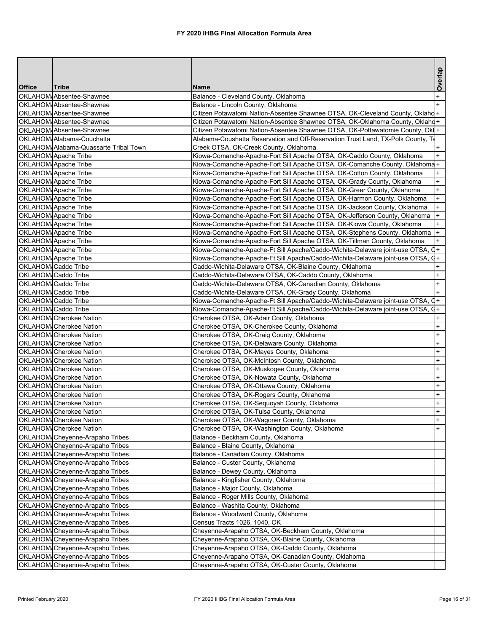|               |                                       |                                                                                  | Overlap                          |
|---------------|---------------------------------------|----------------------------------------------------------------------------------|----------------------------------|
| <b>Office</b> | Tribe<br>OKLAHOM/Absentee-Shawnee     | <b>Name</b>                                                                      |                                  |
|               | OKLAHOM/Absentee-Shawnee              | Balance - Cleveland County, Oklahoma<br>Balance - Lincoln County, Oklahoma       |                                  |
|               | OKLAHOM Absentee-Shawnee              | Citizen Potawatomi Nation-Absentee Shawnee OTSA, OK-Cleveland County, Oklaho +   |                                  |
|               | OKLAHOM/Absentee-Shawnee              | Citizen Potawatomi Nation-Absentee Shawnee OTSA, OK-Oklahoma County, Oklahd+     |                                  |
|               | OKLAHOM/Absentee-Shawnee              | Citizen Potawatomi Nation-Absentee Shawnee OTSA, OK-Pottawatomie County, Okl +   |                                  |
|               | OKLAHOM/Alabama-Couchatta             | Alabama-Coushatta Reservation and Off-Reservation Trust Land, TX-Polk County, To |                                  |
|               | OKLAHOM/Alabama-Quassarte Tribal Town | Creek OTSA, OK-Creek County, Oklahoma                                            | $+$                              |
|               | OKLAHOM/Apache Tribe                  | Kiowa-Comanche-Apache-Fort Sill Apache OTSA, OK-Caddo County, Oklahoma           | $\ddot{}$                        |
|               | OKLAHOM/Apache Tribe                  | Kiowa-Comanche-Apache-Fort Sill Apache OTSA, OK-Comanche County, Oklahoma+       |                                  |
|               | OKLAHOM/Apache Tribe                  | Kiowa-Comanche-Apache-Fort Sill Apache OTSA, OK-Cotton County, Oklahoma          |                                  |
|               | <b>OKLAHOM</b> Apache Tribe           | Kiowa-Comanche-Apache-Fort Sill Apache OTSA, OK-Grady County, Oklahoma           | $+$                              |
|               | <b>OKLAHOM</b> Apache Tribe           | Kiowa-Comanche-Apache-Fort Sill Apache OTSA, OK-Greer County, Oklahoma           | $+$                              |
|               | OKLAHOM/Apache Tribe                  | Kiowa-Comanche-Apache-Fort Sill Apache OTSA, OK-Harmon County, Oklahoma          | $\ddot{}$                        |
|               | OKLAHOM/Apache Tribe                  | Kiowa-Comanche-Apache-Fort Sill Apache OTSA, OK-Jackson County, Oklahoma         | $+$                              |
|               | <b>OKLAHOM</b> Apache Tribe           | Kiowa-Comanche-Apache-Fort Sill Apache OTSA, OK-Jefferson County, Oklahoma       | $+$                              |
|               | OKLAHOM Apache Tribe                  | Kiowa-Comanche-Apache-Fort Sill Apache OTSA, OK-Kiowa County, Oklahoma           | $+$                              |
|               | <b>OKLAHOM</b> Apache Tribe           | Kiowa-Comanche-Apache-Fort Sill Apache OTSA, OK-Stephens County, Oklahoma        | $+$                              |
|               | OKLAHOM/Apache Tribe                  | Kiowa-Comanche-Apache-Fort Sill Apache OTSA, OK-Tillman County, Oklahoma         | $\ddot{}$                        |
|               | OKLAHOM/Apache Tribe                  | Kiowa-Comanche-Apache-Ft Sill Apache/Caddo-Wichita-Delaware joint-use OTSA, Q+   |                                  |
|               | <b>OKLAHOM</b> Apache Tribe           | Kiowa-Comanche-Apache-Ft Sill Apache/Caddo-Wichita-Delaware joint-use OTSA, G+   |                                  |
|               | OKLAHOM/Caddo Tribe                   | Caddo-Wichita-Delaware OTSA, OK-Blaine County, Oklahoma                          | $\ddot{}$                        |
|               | <b>OKLAHOM</b> Caddo Tribe            | Caddo-Wichita-Delaware OTSA, OK-Caddo County, Oklahoma                           | $\ddot{}$                        |
|               | OKLAHOM/Caddo Tribe                   | Caddo-Wichita-Delaware OTSA, OK-Canadian County, Oklahoma                        | $\ddot{}$                        |
|               | OKLAHOM/Caddo Tribe                   | Caddo-Wichita-Delaware OTSA, OK-Grady County, Oklahoma                           |                                  |
|               | <b>OKLAHOM</b> Caddo Tribe            | Kiowa-Comanche-Apache-Ft Sill Apache/Caddo-Wichita-Delaware joint-use OTSA,      | C+                               |
|               | OKLAHOM/Caddo Tribe                   | Kiowa-Comanche-Apache-Ft Sill Apache/Caddo-Wichita-Delaware joint-use OTSA, Q+   |                                  |
|               | OKLAHOM/Cherokee Nation               | Cherokee OTSA, OK-Adair County, Oklahoma                                         | $\ddot{}$                        |
|               | OKLAHOM/Cherokee Nation               | Cherokee OTSA, OK-Cherokee County, Oklahoma                                      | $\ddot{}$                        |
|               | <b>OKLAHOM</b> Cherokee Nation        | Cherokee OTSA, OK-Craig County, Oklahoma                                         | $\ddot{}$                        |
|               | <b>OKLAHOM</b> Cherokee Nation        | Cherokee OTSA, OK-Delaware County, Oklahoma                                      | $\ddot{}$                        |
|               | OKLAHOM/Cherokee Nation               | Cherokee OTSA, OK-Mayes County, Oklahoma                                         | $\ddot{}$                        |
|               | OKLAHOM/Cherokee Nation               | Cherokee OTSA, OK-McIntosh County, Oklahoma                                      | $\ddot{}$                        |
|               | OKLAHOM/Cherokee Nation               | Cherokee OTSA, OK-Muskogee County, Oklahoma                                      | $\ddot{}$                        |
|               | <b>OKLAHOM</b> Cherokee Nation        | Cherokee OTSA, OK-Nowata County, Oklahoma                                        | $\begin{array}{c} + \end{array}$ |
|               | OKLAHOM/Cherokee Nation               | Cherokee OTSA, OK-Ottawa County, Oklahoma                                        | $\ddot{}$                        |
|               | OKLAHOM/Cherokee Nation               | Cherokee OTSA, OK-Rogers County, Oklahoma                                        | $\ddot{}$                        |
|               | OKLAHOM/Cherokee Nation               | Cherokee OTSA, OK-Sequoyah County, Oklahoma                                      | $\ddot{}$                        |
|               | <b>OKLAHOM</b> Cherokee Nation        | Cherokee OTSA, OK-Tulsa County, Oklahoma                                         | $\ddot{}$                        |
|               | <b>OKLAHOM</b> Cherokee Nation        | Cherokee OTSA, OK-Wagoner County, Oklahoma                                       | $+$                              |
|               | <b>OKLAHOM</b> Cherokee Nation        | Cherokee OTSA, OK-Washington County, Oklahoma                                    | $+$                              |
|               | OKLAHOM Cheyenne-Arapaho Tribes       | Balance - Beckham County, Oklahoma                                               |                                  |
|               | OKLAHOM Cheyenne-Arapaho Tribes       | Balance - Blaine County, Oklahoma                                                |                                  |
|               | OKLAHOM Cheyenne-Arapaho Tribes       | Balance - Canadian County, Oklahoma                                              |                                  |
|               | OKLAHOM Cheyenne-Arapaho Tribes       | Balance - Custer County, Oklahoma                                                |                                  |
|               | OKLAHOM/Cheyenne-Arapaho Tribes       | Balance - Dewey County, Oklahoma                                                 |                                  |
|               | OKLAHOM Cheyenne-Arapaho Tribes       | Balance - Kingfisher County, Oklahoma                                            |                                  |
|               | OKLAHOM Cheyenne-Arapaho Tribes       | Balance - Major County, Oklahoma                                                 |                                  |
|               | OKLAHOM Cheyenne-Arapaho Tribes       | Balance - Roger Mills County, Oklahoma                                           |                                  |
|               | OKLAHOM/Cheyenne-Arapaho Tribes       | Balance - Washita County, Oklahoma                                               |                                  |
|               | OKLAHOM Cheyenne-Arapaho Tribes       | Balance - Woodward County, Oklahoma                                              |                                  |
|               | OKLAHOM Cheyenne-Arapaho Tribes       | Census Tracts 1026, 1040, OK                                                     |                                  |
|               | OKLAHOM Cheyenne-Arapaho Tribes       | Cheyenne-Arapaho OTSA, OK-Beckham County, Oklahoma                               |                                  |
|               | OKLAHOM Cheyenne-Arapaho Tribes       | Cheyenne-Arapaho OTSA, OK-Blaine County, Oklahoma                                |                                  |
|               | OKLAHOM Cheyenne-Arapaho Tribes       | Cheyenne-Arapaho OTSA, OK-Caddo County, Oklahoma                                 |                                  |
|               | OKLAHOM Cheyenne-Arapaho Tribes       | Cheyenne-Arapaho OTSA, OK-Canadian County, Oklahoma                              |                                  |
|               | OKLAHOM/Cheyenne-Arapaho Tribes       | Cheyenne-Arapaho OTSA, OK-Custer County, Oklahoma                                |                                  |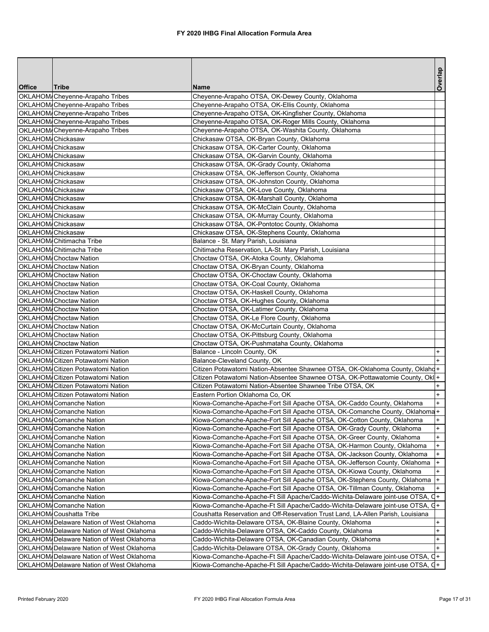|                                        |                                                           |                                                                                                                                                                  | Overlap   |
|----------------------------------------|-----------------------------------------------------------|------------------------------------------------------------------------------------------------------------------------------------------------------------------|-----------|
| <b>Office</b>                          | <b>Tribe</b>                                              | <b>Name</b>                                                                                                                                                      |           |
|                                        | OKLAHOM Cheyenne-Arapaho Tribes                           | Cheyenne-Arapaho OTSA, OK-Dewey County, Oklahoma                                                                                                                 |           |
|                                        | OKLAHOM Cheyenne-Arapaho Tribes                           | Cheyenne-Arapaho OTSA, OK-Ellis County, Oklahoma                                                                                                                 |           |
|                                        | OKLAHOM Cheyenne-Arapaho Tribes                           | Cheyenne-Arapaho OTSA, OK-Kingfisher County, Oklahoma                                                                                                            |           |
|                                        | OKLAHOM Cheyenne-Arapaho Tribes                           | Cheyenne-Arapaho OTSA, OK-Roger Mills County, Oklahoma                                                                                                           |           |
|                                        | OKLAHOM/Cheyenne-Arapaho Tribes                           | Cheyenne-Arapaho OTSA, OK-Washita County, Oklahoma                                                                                                               |           |
| OKLAHOM/Chickasaw                      |                                                           | Chickasaw OTSA, OK-Bryan County, Oklahoma                                                                                                                        |           |
| OKLAHOM/Chickasaw                      |                                                           | Chickasaw OTSA, OK-Carter County, Oklahoma                                                                                                                       |           |
| OKLAHOM/Chickasaw                      |                                                           | Chickasaw OTSA, OK-Garvin County, Oklahoma                                                                                                                       |           |
| OKLAHOM/Chickasaw<br>OKLAHOM/Chickasaw |                                                           | Chickasaw OTSA, OK-Grady County, Oklahoma                                                                                                                        |           |
| OKLAHOM/Chickasaw                      |                                                           | Chickasaw OTSA, OK-Jefferson County, Oklahoma<br>Chickasaw OTSA, OK-Johnston County, Oklahoma                                                                    |           |
| OKLAHOM/Chickasaw                      |                                                           | Chickasaw OTSA, OK-Love County, Oklahoma                                                                                                                         |           |
| OKLAHOM/Chickasaw                      |                                                           | Chickasaw OTSA, OK-Marshall County, Oklahoma                                                                                                                     |           |
| OKLAHOM/Chickasaw                      |                                                           | Chickasaw OTSA, OK-McClain County, Oklahoma                                                                                                                      |           |
| <b>OKLAHOM</b> Chickasaw               |                                                           | Chickasaw OTSA, OK-Murray County, Oklahoma                                                                                                                       |           |
| OKLAHOM/Chickasaw                      |                                                           | Chickasaw OTSA, OK-Pontotoc County, Oklahoma                                                                                                                     |           |
| OKLAHOM/Chickasaw                      |                                                           | Chickasaw OTSA, OK-Stephens County, Oklahoma                                                                                                                     |           |
|                                        | OKLAHOM/Chitimacha Tribe                                  | Balance - St. Mary Parish, Louisiana                                                                                                                             |           |
|                                        | OKLAHOM Chitimacha Tribe                                  | Chitimacha Reservation, LA-St. Mary Parish, Louisiana                                                                                                            |           |
|                                        | <b>OKLAHOM</b> Choctaw Nation                             | Choctaw OTSA, OK-Atoka County, Oklahoma                                                                                                                          |           |
|                                        | <b>OKLAHOM</b> Choctaw Nation                             | Choctaw OTSA, OK-Bryan County, Oklahoma                                                                                                                          |           |
|                                        | <b>OKLAHOM</b> Choctaw Nation                             | Choctaw OTSA, OK-Choctaw County, Oklahoma                                                                                                                        |           |
|                                        | <b>OKLAHOM</b> Choctaw Nation                             | Choctaw OTSA, OK-Coal County, Oklahoma                                                                                                                           |           |
|                                        | <b>OKLAHOM</b> Choctaw Nation                             | Choctaw OTSA, OK-Haskell County, Oklahoma                                                                                                                        |           |
|                                        | <b>OKLAHOM</b> Choctaw Nation                             | Choctaw OTSA, OK-Hughes County, Oklahoma                                                                                                                         |           |
|                                        | OKLAHOM/Choctaw Nation                                    | Choctaw OTSA, OK-Latimer County, Oklahoma                                                                                                                        |           |
|                                        | <b>OKLAHOM</b> Choctaw Nation                             | Choctaw OTSA, OK-Le Flore County, Oklahoma                                                                                                                       |           |
|                                        | <b>OKLAHOM</b> Choctaw Nation                             | Choctaw OTSA, OK-McCurtain County, Oklahoma                                                                                                                      |           |
|                                        | <b>OKLAHOM</b> Choctaw Nation                             | Choctaw OTSA, OK-Pittsburg County, Oklahoma                                                                                                                      |           |
|                                        | <b>OKLAHOM</b> Choctaw Nation                             | Choctaw OTSA, OK-Pushmataha County, Oklahoma                                                                                                                     |           |
|                                        | OKLAHOM Citizen Potawatomi Nation                         | Balance - Lincoln County, OK                                                                                                                                     | $\ddot{}$ |
|                                        | OKLAHOM Citizen Potawatomi Nation                         | Balance-Cleveland County, OK                                                                                                                                     |           |
|                                        | OKLAHOM Citizen Potawatomi Nation                         | Citizen Potawatomi Nation-Absentee Shawnee OTSA, OK-Oklahoma County, Oklahd+                                                                                     |           |
|                                        | OKLAHOM Citizen Potawatomi Nation                         | Citizen Potawatomi Nation-Absentee Shawnee OTSA, OK-Pottawatomie County, Okl+                                                                                    |           |
|                                        | <b>OKLAHOM</b> Citizen Potawatomi Nation                  | Citizen Potawatomi Nation-Absentee Shawnee Tribe OTSA, OK                                                                                                        |           |
|                                        | OKLAHOM Citizen Potawatomi Nation                         | Eastern Portion Oklahoma Co, OK                                                                                                                                  | $+$       |
|                                        | OKLAHOM Comanche Nation                                   | Kiowa-Comanche-Apache-Fort Sill Apache OTSA, OK-Caddo County, Oklahoma                                                                                           | $+$       |
|                                        | <b>OKLAHOM</b> Comanche Nation                            | Kiowa-Comanche-Apache-Fort Sill Apache OTSA, OK-Comanche County, Oklahoma+                                                                                       |           |
|                                        | <b>OKLAHOM</b> Comanche Nation                            | Kiowa-Comanche-Apache-Fort Sill Apache OTSA, OK-Cotton County, Oklahoma                                                                                          | $\ddot{}$ |
|                                        | <b>OKLAHOM</b> Comanche Nation                            | Kiowa-Comanche-Apache-Fort Sill Apache OTSA, OK-Grady County, Oklahoma                                                                                           | $\ddot{}$ |
|                                        | OKLAHOM Comanche Nation                                   | Kiowa-Comanche-Apache-Fort Sill Apache OTSA, OK-Greer County, Oklahoma                                                                                           | $\ddot{}$ |
|                                        | OKLAHOM Comanche Nation                                   | Kiowa-Comanche-Apache-Fort Sill Apache OTSA, OK-Harmon County, Oklahoma                                                                                          | $\ddot{}$ |
|                                        | OKLAHOM/Comanche Nation                                   | Kiowa-Comanche-Apache-Fort Sill Apache OTSA, OK-Jackson County, Oklahoma                                                                                         | $+$       |
|                                        | OKLAHOM Comanche Nation                                   | Kiowa-Comanche-Apache-Fort Sill Apache OTSA, OK-Jefferson County, Oklahoma                                                                                       | $\ddot{}$ |
|                                        | OKLAHOM/Comanche Nation                                   | Kiowa-Comanche-Apache-Fort Sill Apache OTSA, OK-Kiowa County, Oklahoma                                                                                           | $\ddot{}$ |
|                                        | <b>OKLAHOM</b> Comanche Nation                            | Kiowa-Comanche-Apache-Fort Sill Apache OTSA, OK-Stephens County, Oklahoma                                                                                        | $\ddot{}$ |
|                                        | <b>OKLAHOM</b> Comanche Nation<br>OKLAHOM/Comanche Nation | Kiowa-Comanche-Apache-Fort Sill Apache OTSA, OK-Tillman County, Oklahoma                                                                                         | $\ddot{}$ |
|                                        | <b>OKLAHOM</b> Comanche Nation                            | Kiowa-Comanche-Apache-Ft Sill Apache/Caddo-Wichita-Delaware joint-use OTSA, Q+<br>Kiowa-Comanche-Apache-Ft Sill Apache/Caddo-Wichita-Delaware joint-use OTSA, G+ |           |
|                                        | OKLAHOM/Coushatta Tribe                                   | Coushatta Reservation and Off-Reservation Trust Land, LA-Allen Parish, Louisiana                                                                                 |           |
|                                        | OKLAHOM Delaware Nation of West Oklahoma                  | Caddo-Wichita-Delaware OTSA, OK-Blaine County, Oklahoma                                                                                                          | $\pmb{+}$ |
|                                        | OKLAHOM Delaware Nation of West Oklahoma                  | Caddo-Wichita-Delaware OTSA, OK-Caddo County, Oklahoma                                                                                                           | $\ddot{}$ |
|                                        | OKLAHOM Delaware Nation of West Oklahoma                  | Caddo-Wichita-Delaware OTSA, OK-Canadian County, Oklahoma                                                                                                        | $+$       |
|                                        | OKLAHOM Delaware Nation of West Oklahoma                  | Caddo-Wichita-Delaware OTSA, OK-Grady County, Oklahoma                                                                                                           | $+$       |
|                                        | OKLAHOM Delaware Nation of West Oklahoma                  | Kiowa-Comanche-Apache-Ft Sill Apache/Caddo-Wichita-Delaware joint-use OTSA, C+                                                                                   |           |
|                                        | OKLAHOM Delaware Nation of West Oklahoma                  | Kiowa-Comanche-Apache-Ft Sill Apache/Caddo-Wichita-Delaware joint-use OTSA, G+                                                                                   |           |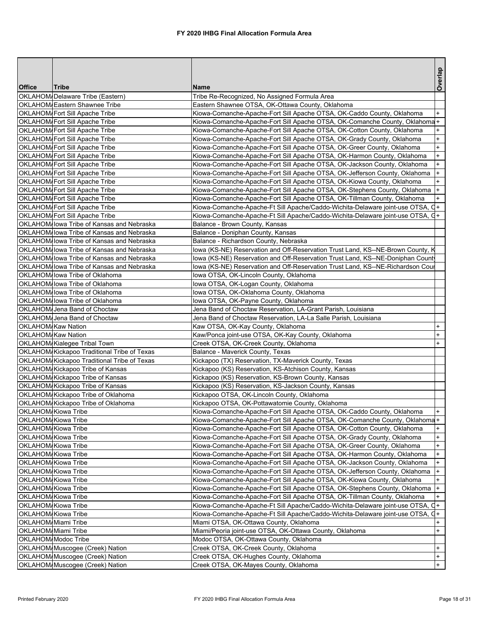|                            |                                                                   |                                                                                 | Overlap                          |
|----------------------------|-------------------------------------------------------------------|---------------------------------------------------------------------------------|----------------------------------|
| <b>Office</b>              | <b>Tribe</b>                                                      | Name                                                                            |                                  |
|                            | OKLAHOM/Delaware Tribe (Eastern)<br>OKLAHOM Eastern Shawnee Tribe | Tribe Re-Recognized, No Assigned Formula Area                                   |                                  |
|                            |                                                                   | Eastern Shawnee OTSA, OK-Ottawa County, Oklahoma                                |                                  |
|                            | OKLAHOM Fort Sill Apache Tribe                                    | Kiowa-Comanche-Apache-Fort Sill Apache OTSA, OK-Caddo County, Oklahoma          | $+$                              |
|                            | OKLAHOM Fort Sill Apache Tribe                                    | Kiowa-Comanche-Apache-Fort Sill Apache OTSA, OK-Comanche County, Oklahoma+      |                                  |
|                            | OKLAHOM Fort Sill Apache Tribe                                    | Kiowa-Comanche-Apache-Fort Sill Apache OTSA, OK-Cotton County, Oklahoma         | $\ddot{}$<br>$^{+}$              |
|                            | OKLAHOM Fort Sill Apache Tribe                                    | Kiowa-Comanche-Apache-Fort Sill Apache OTSA, OK-Grady County, Oklahoma          |                                  |
|                            | OKLAHOM Fort Sill Apache Tribe                                    | Kiowa-Comanche-Apache-Fort Sill Apache OTSA, OK-Greer County, Oklahoma          | $+$                              |
|                            | OKLAHOM/Fort Sill Apache Tribe                                    | Kiowa-Comanche-Apache-Fort Sill Apache OTSA, OK-Harmon County, Oklahoma         | $\ddot{}$                        |
|                            | OKLAHOM Fort Sill Apache Tribe                                    | Kiowa-Comanche-Apache-Fort Sill Apache OTSA, OK-Jackson County, Oklahoma        | $\ddot{}$                        |
|                            | OKLAHOM Fort Sill Apache Tribe                                    | Kiowa-Comanche-Apache-Fort Sill Apache OTSA, OK-Jefferson County, Oklahoma      | $\begin{array}{c} + \end{array}$ |
|                            | OKLAHOM Fort Sill Apache Tribe                                    | Kiowa-Comanche-Apache-Fort Sill Apache OTSA, OK-Kiowa County, Oklahoma          | $+$                              |
|                            | OKLAHOM Fort Sill Apache Tribe                                    | Kiowa-Comanche-Apache-Fort Sill Apache OTSA, OK-Stephens County, Oklahoma       | $ +$                             |
|                            | OKLAHOM Fort Sill Apache Tribe                                    | Kiowa-Comanche-Apache-Fort Sill Apache OTSA, OK-Tillman County, Oklahoma        | $\ddot{}$                        |
|                            | OKLAHOM Fort Sill Apache Tribe                                    | Kiowa-Comanche-Apache-Ft Sill Apache/Caddo-Wichita-Delaware joint-use OTSA, Q+  |                                  |
|                            | OKLAHOM/Fort Sill Apache Tribe                                    | Kiowa-Comanche-Apache-Ft Sill Apache/Caddo-Wichita-Delaware joint-use OTSA, G+  |                                  |
|                            | OKLAHOM lowa Tribe of Kansas and Nebraska                         | Balance - Brown County, Kansas                                                  |                                  |
|                            | OKLAHOM lowa Tribe of Kansas and Nebraska                         | Balance - Doniphan County, Kansas                                               |                                  |
|                            | OKLAHOM lowa Tribe of Kansas and Nebraska                         | Balance - Richardson County, Nebraska                                           |                                  |
|                            | OKLAHOM lowa Tribe of Kansas and Nebraska                         | lowa (KS-NE) Reservation and Off-Reservation Trust Land, KS--NE-Brown County, K |                                  |
|                            | OKLAHOM lowa Tribe of Kansas and Nebraska                         | lowa (KS-NE) Reservation and Off-Reservation Trust Land, KS--NE-Doniphan Count  |                                  |
|                            | OKLAHOM lowa Tribe of Kansas and Nebraska                         | lowa (KS-NE) Reservation and Off-Reservation Trust Land, KS--NE-Richardson Cour |                                  |
|                            | OKLAHOM Iowa Tribe of Oklahoma                                    | Iowa OTSA, OK-Lincoln County, Oklahoma                                          |                                  |
|                            | OKLAHOM lowa Tribe of Oklahoma                                    | Iowa OTSA, OK-Logan County, Oklahoma                                            |                                  |
|                            | OKLAHOM, Iowa Tribe of Oklahoma                                   | lowa OTSA, OK-Oklahoma County, Oklahoma                                         |                                  |
|                            | OKLAHOM, Iowa Tribe of Oklahoma                                   | Iowa OTSA, OK-Payne County, Oklahoma                                            |                                  |
|                            | OKLAHOM, Jena Band of Choctaw                                     | Jena Band of Choctaw Reservation, LA-Grant Parish, Louisiana                    |                                  |
|                            | OKLAHOM, Jena Band of Choctaw                                     | Jena Band of Choctaw Reservation, LA-La Salle Parish, Louisiana                 |                                  |
| <b>OKLAHOM</b> Kaw Nation  |                                                                   | Kaw OTSA, OK-Kay County, Oklahoma                                               | $\ddot{}$                        |
| <b>OKLAHOM</b> Kaw Nation  |                                                                   | Kaw/Ponca joint-use OTSA, OK-Kay County, Oklahoma                               | $\ddot{}$                        |
|                            | OKLAHOM Kialegee Tribal Town                                      | Creek OTSA, OK-Creek County, Oklahoma                                           | $\ddot{}$                        |
|                            | OKLAHOM Kickapoo Traditional Tribe of Texas                       | Balance - Maverick County, Texas                                                |                                  |
|                            | OKLAHOM Kickapoo Traditional Tribe of Texas                       | Kickapoo (TX) Reservation, TX-Maverick County, Texas                            |                                  |
|                            | OKLAHOM Kickapoo Tribe of Kansas                                  | Kickapoo (KS) Reservation, KS-Atchison County, Kansas                           |                                  |
|                            | OKLAHOM Kickapoo Tribe of Kansas                                  | Kickapoo (KS) Reservation, KS-Brown County, Kansas                              |                                  |
|                            | OKLAHOM Kickapoo Tribe of Kansas                                  | Kickapoo (KS) Reservation, KS-Jackson County, Kansas                            |                                  |
|                            | OKLAHOM Kickapoo Tribe of Oklahoma                                | Kickapoo OTSA, OK-Lincoln County, Oklahoma                                      |                                  |
|                            | OKLAHOM Kickapoo Tribe of Oklahoma                                | Kickapoo OTSA, OK-Pottawatomie County, Oklahoma                                 |                                  |
|                            | OKLAHOM Kiowa Tribe                                               | Kiowa-Comanche-Apache-Fort Sill Apache OTSA, OK-Caddo County, Oklahoma          | $+$                              |
| <b>OKLAHOM</b> Kiowa Tribe |                                                                   | Kiowa-Comanche-Apache-Fort Sill Apache OTSA, OK-Comanche County, Oklahoma+      |                                  |
| <b>OKLAHOM</b> Kiowa Tribe |                                                                   | Kiowa-Comanche-Apache-Fort Sill Apache OTSA, OK-Cotton County, Oklahoma         | $\ddot{}$                        |
|                            | OKLAHOM Kiowa Tribe                                               | Kiowa-Comanche-Apache-Fort Sill Apache OTSA, OK-Grady County, Oklahoma          | $\ddot{}$                        |
|                            | OKLAHOM/Kiowa Tribe                                               | Kiowa-Comanche-Apache-Fort Sill Apache OTSA, OK-Greer County, Oklahoma          | $\ddot{}$                        |
|                            | OKLAHOM Kiowa Tribe                                               | Kiowa-Comanche-Apache-Fort Sill Apache OTSA, OK-Harmon County, Oklahoma         | $\ddot{}$                        |
|                            | OKLAHOM Kiowa Tribe                                               | Kiowa-Comanche-Apache-Fort Sill Apache OTSA, OK-Jackson County, Oklahoma        | $\ddot{}$                        |
|                            | OKLAHOM/Kiowa Tribe                                               | Kiowa-Comanche-Apache-Fort Sill Apache OTSA, OK-Jefferson County, Oklahoma      | $\ddot{}$                        |
|                            | OKLAHOM Kiowa Tribe                                               | Kiowa-Comanche-Apache-Fort Sill Apache OTSA, OK-Kiowa County, Oklahoma          | $\ddot{}$                        |
|                            | OKLAHOM Kiowa Tribe                                               | Kiowa-Comanche-Apache-Fort Sill Apache OTSA, OK-Stephens County, Oklahoma       | $+$                              |
|                            | OKLAHOM Kiowa Tribe                                               | Kiowa-Comanche-Apache-Fort Sill Apache OTSA, OK-Tillman County, Oklahoma        | $\ddot{}$                        |
|                            | OKLAHOM/Kiowa Tribe                                               | Kiowa-Comanche-Apache-Ft Sill Apache/Caddo-Wichita-Delaware joint-use OTSA, Q+  |                                  |
|                            | OKLAHOM/Kiowa Tribe                                               | Kiowa-Comanche-Apache-Ft Sill Apache/Caddo-Wichita-Delaware joint-use OTSA, Q+  |                                  |
| OKLAHOM Miami Tribe        |                                                                   | Miami OTSA, OK-Ottawa County, Oklahoma                                          | +                                |
| <b>OKLAHOM</b> Miami Tribe |                                                                   | Miami/Peoria joint-use OTSA, OK-Ottawa County, Oklahoma                         | $\ddot{}$                        |
|                            | OKLAHOM/Modoc Tribe                                               | Modoc OTSA, OK-Ottawa County, Oklahoma                                          |                                  |
|                            | OKLAHOM Muscogee (Creek) Nation                                   | Creek OTSA, OK-Creek County, Oklahoma                                           | $+$                              |
|                            | OKLAHOM Muscogee (Creek) Nation                                   | Creek OTSA, OK-Hughes County, Oklahoma                                          | $\begin{array}{c} + \end{array}$ |
|                            | OKLAHOM Muscogee (Creek) Nation                                   | Creek OTSA, OK-Mayes County, Oklahoma                                           | $+$                              |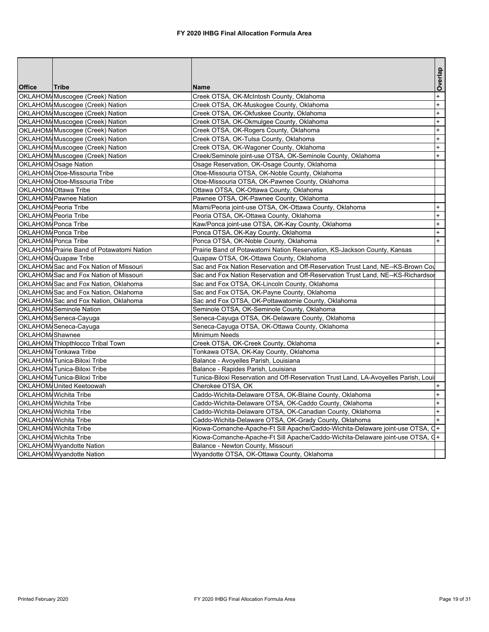| Overlap<br><b>Office</b><br>Tribe<br>Name<br>$\ddot{}$<br>OKLAHOM Muscogee (Creek) Nation<br>Creek OTSA, OK-McIntosh County, Oklahoma<br>$\ddot{}$<br>OKLAHOM/Muscogee (Creek) Nation<br>Creek OTSA, OK-Muskogee County, Oklahoma<br>$\ddot{}$<br>OKLAHOM Muscogee (Creek) Nation<br>Creek OTSA, OK-Okfuskee County, Oklahoma<br>OKLAHOM Muscogee (Creek) Nation<br>$\ddot{}$<br>Creek OTSA, OK-Okmulgee County, Oklahoma<br>OKLAHOM Muscogee (Creek) Nation<br>Creek OTSA, OK-Rogers County, Oklahoma<br>$+$<br>OKLAHOM Muscogee (Creek) Nation<br>Creek OTSA, OK-Tulsa County, Oklahoma<br>$+$<br>OKLAHOM Muscogee (Creek) Nation<br>Creek OTSA, OK-Wagoner County, Oklahoma<br>$\ddot{}$<br>$\ddot{}$<br>OKLAHOM/Muscogee (Creek) Nation<br>Creek/Seminole joint-use OTSA, OK-Seminole County, Oklahoma<br>OKLAHOM Osage Nation<br>Osage Reservation, OK-Osage County, Oklahoma<br>OKLAHOM/Otoe-Missouria Tribe<br>Otoe-Missouria OTSA, OK-Noble County, Oklahoma<br>OKLAHOM/Otoe-Missouria Tribe<br>Otoe-Missouria OTSA, OK-Pawnee County, Oklahoma<br>OKLAHOM Ottawa Tribe<br>Ottawa OTSA, OK-Ottawa County, Oklahoma<br>OKLAHOM/Pawnee Nation<br>Pawnee OTSA, OK-Pawnee County, Oklahoma<br>OKLAHOM Peoria Tribe<br>Miami/Peoria joint-use OTSA, OK-Ottawa County, Oklahoma<br>$\overline{+}$<br>OKLAHOM Peoria Tribe<br>Peoria OTSA, OK-Ottawa County, Oklahoma<br>$\ddot{}$<br>OKLAHOM/Ponca Tribe<br>Kaw/Ponca joint-use OTSA, OK-Kay County, Oklahoma<br>$\ddot{}$<br>OKLAHOM Ponca Tribe<br>Ponca OTSA, OK-Kay County, Oklahoma<br>$\ddot{}$<br>$\ddot{}$<br>OKLAHOM/Ponca Tribe<br>Ponca OTSA, OK-Noble County, Oklahoma<br>OKLAHOM/Prairie Band of Potawatomi Nation<br>Prairie Band of Potawatomi Nation Reservation, KS-Jackson County, Kansas<br>OKLAHOM/Quapaw Tribe<br>Quapaw OTSA, OK-Ottawa County, Oklahoma<br>Sac and Fox Nation Reservation and Off-Reservation Trust Land, NE--KS-Brown Cou<br>OKLAHOM Sac and Fox Nation of Missouri<br>OKLAHOM/Sac and Fox Nation of Missouri<br>Sac and Fox Nation Reservation and Off-Reservation Trust Land, NE--KS-Richardsor<br>OKLAHOM/Sac and Fox Nation, Oklahoma<br>Sac and Fox OTSA, OK-Lincoln County, Oklahoma<br>OKLAHOM Sac and Fox Nation, Oklahoma<br>Sac and Fox OTSA, OK-Payne County, Oklahoma<br>OKLAHOM Sac and Fox Nation, Oklahoma<br>Sac and Fox OTSA, OK-Pottawatomie County, Oklahoma<br>OKLAHOM Seminole Nation<br>Seminole OTSA, OK-Seminole County, Oklahoma<br>OKLAHOM/Seneca-Cayuga<br>Seneca-Cayuga OTSA, OK-Delaware County, Oklahoma<br>OKLAHOM Seneca-Cayuga<br>Seneca-Cayuga OTSA, OK-Ottawa County, Oklahoma<br>OKLAHOM Shawnee<br><b>Minimum Needs</b><br>OKLAHOM, Thlopthlocco Tribal Town<br>Creek OTSA, OK-Creek County, Oklahoma<br>$\ddot{}$<br>OKLAHOM/Tonkawa Tribe<br>Tonkawa OTSA, OK-Kay County, Oklahoma<br>OKLAHOM/Tunica-Biloxi Tribe<br>Balance - Avoyelles Parish, Louisiana<br>OKLAHOM/Tunica-Biloxi Tribe<br>Balance - Rapides Parish, Louisiana<br>OKLAHOM/Tunica-Biloxi Tribe<br>Tunica-Biloxi Reservation and Off-Reservation Trust Land, LA-Avoyelles Parish, Loui<br>OKLAHOM/United Keetoowah<br>Cherokee OTSA, OK<br>$+$<br>OKLAHOM/ Wichita Tribe<br>Caddo-Wichita-Delaware OTSA, OK-Blaine County, Oklahoma<br>$\ddot{}$<br>OKLAHOM/Wichita Tribe<br>$+$<br>Caddo-Wichita-Delaware OTSA, OK-Caddo County, Oklahoma<br>$+$<br>OKLAHOM/Wichita Tribe<br>Caddo-Wichita-Delaware OTSA, OK-Canadian County, Oklahoma<br>OKLAHOM Wichita Tribe<br>Caddo-Wichita-Delaware OTSA, OK-Grady County, Oklahoma<br>OKLAHOM Wichita Tribe<br>Kiowa-Comanche-Apache-Ft Sill Apache/Caddo-Wichita-Delaware joint-use OTSA, Q+<br>OKLAHOM/ Wichita Tribe<br>Kiowa-Comanche-Apache-Ft Sill Apache/Caddo-Wichita-Delaware joint-use OTSA, Q+<br>OKLAHOM/Wyandotte Nation<br>Balance - Newton County, Missouri<br>OKLAHOM/ Wyandotte Nation |  |                                            |  |
|--------------------------------------------------------------------------------------------------------------------------------------------------------------------------------------------------------------------------------------------------------------------------------------------------------------------------------------------------------------------------------------------------------------------------------------------------------------------------------------------------------------------------------------------------------------------------------------------------------------------------------------------------------------------------------------------------------------------------------------------------------------------------------------------------------------------------------------------------------------------------------------------------------------------------------------------------------------------------------------------------------------------------------------------------------------------------------------------------------------------------------------------------------------------------------------------------------------------------------------------------------------------------------------------------------------------------------------------------------------------------------------------------------------------------------------------------------------------------------------------------------------------------------------------------------------------------------------------------------------------------------------------------------------------------------------------------------------------------------------------------------------------------------------------------------------------------------------------------------------------------------------------------------------------------------------------------------------------------------------------------------------------------------------------------------------------------------------------------------------------------------------------------------------------------------------------------------------------------------------------------------------------------------------------------------------------------------------------------------------------------------------------------------------------------------------------------------------------------------------------------------------------------------------------------------------------------------------------------------------------------------------------------------------------------------------------------------------------------------------------------------------------------------------------------------------------------------------------------------------------------------------------------------------------------------------------------------------------------------------------------------------------------------------------------------------------------------------------------------------------------------------------------------------------------------------------------------------------------------------------------------------------------------------------------------------------------------------------------------------------------------------------------------------------------------------------------------------------------------------------------------------------------------------------------------------------------------------------------------------------------------------------------------------------------------------------------------------------------------------------------------------------------------------------------------------------------------------------------|--|--------------------------------------------|--|
|                                                                                                                                                                                                                                                                                                                                                                                                                                                                                                                                                                                                                                                                                                                                                                                                                                                                                                                                                                                                                                                                                                                                                                                                                                                                                                                                                                                                                                                                                                                                                                                                                                                                                                                                                                                                                                                                                                                                                                                                                                                                                                                                                                                                                                                                                                                                                                                                                                                                                                                                                                                                                                                                                                                                                                                                                                                                                                                                                                                                                                                                                                                                                                                                                                                                                                                                                                                                                                                                                                                                                                                                                                                                                                                                                                                                                                                  |  |                                            |  |
|                                                                                                                                                                                                                                                                                                                                                                                                                                                                                                                                                                                                                                                                                                                                                                                                                                                                                                                                                                                                                                                                                                                                                                                                                                                                                                                                                                                                                                                                                                                                                                                                                                                                                                                                                                                                                                                                                                                                                                                                                                                                                                                                                                                                                                                                                                                                                                                                                                                                                                                                                                                                                                                                                                                                                                                                                                                                                                                                                                                                                                                                                                                                                                                                                                                                                                                                                                                                                                                                                                                                                                                                                                                                                                                                                                                                                                                  |  |                                            |  |
|                                                                                                                                                                                                                                                                                                                                                                                                                                                                                                                                                                                                                                                                                                                                                                                                                                                                                                                                                                                                                                                                                                                                                                                                                                                                                                                                                                                                                                                                                                                                                                                                                                                                                                                                                                                                                                                                                                                                                                                                                                                                                                                                                                                                                                                                                                                                                                                                                                                                                                                                                                                                                                                                                                                                                                                                                                                                                                                                                                                                                                                                                                                                                                                                                                                                                                                                                                                                                                                                                                                                                                                                                                                                                                                                                                                                                                                  |  |                                            |  |
|                                                                                                                                                                                                                                                                                                                                                                                                                                                                                                                                                                                                                                                                                                                                                                                                                                                                                                                                                                                                                                                                                                                                                                                                                                                                                                                                                                                                                                                                                                                                                                                                                                                                                                                                                                                                                                                                                                                                                                                                                                                                                                                                                                                                                                                                                                                                                                                                                                                                                                                                                                                                                                                                                                                                                                                                                                                                                                                                                                                                                                                                                                                                                                                                                                                                                                                                                                                                                                                                                                                                                                                                                                                                                                                                                                                                                                                  |  |                                            |  |
|                                                                                                                                                                                                                                                                                                                                                                                                                                                                                                                                                                                                                                                                                                                                                                                                                                                                                                                                                                                                                                                                                                                                                                                                                                                                                                                                                                                                                                                                                                                                                                                                                                                                                                                                                                                                                                                                                                                                                                                                                                                                                                                                                                                                                                                                                                                                                                                                                                                                                                                                                                                                                                                                                                                                                                                                                                                                                                                                                                                                                                                                                                                                                                                                                                                                                                                                                                                                                                                                                                                                                                                                                                                                                                                                                                                                                                                  |  |                                            |  |
|                                                                                                                                                                                                                                                                                                                                                                                                                                                                                                                                                                                                                                                                                                                                                                                                                                                                                                                                                                                                                                                                                                                                                                                                                                                                                                                                                                                                                                                                                                                                                                                                                                                                                                                                                                                                                                                                                                                                                                                                                                                                                                                                                                                                                                                                                                                                                                                                                                                                                                                                                                                                                                                                                                                                                                                                                                                                                                                                                                                                                                                                                                                                                                                                                                                                                                                                                                                                                                                                                                                                                                                                                                                                                                                                                                                                                                                  |  |                                            |  |
|                                                                                                                                                                                                                                                                                                                                                                                                                                                                                                                                                                                                                                                                                                                                                                                                                                                                                                                                                                                                                                                                                                                                                                                                                                                                                                                                                                                                                                                                                                                                                                                                                                                                                                                                                                                                                                                                                                                                                                                                                                                                                                                                                                                                                                                                                                                                                                                                                                                                                                                                                                                                                                                                                                                                                                                                                                                                                                                                                                                                                                                                                                                                                                                                                                                                                                                                                                                                                                                                                                                                                                                                                                                                                                                                                                                                                                                  |  |                                            |  |
|                                                                                                                                                                                                                                                                                                                                                                                                                                                                                                                                                                                                                                                                                                                                                                                                                                                                                                                                                                                                                                                                                                                                                                                                                                                                                                                                                                                                                                                                                                                                                                                                                                                                                                                                                                                                                                                                                                                                                                                                                                                                                                                                                                                                                                                                                                                                                                                                                                                                                                                                                                                                                                                                                                                                                                                                                                                                                                                                                                                                                                                                                                                                                                                                                                                                                                                                                                                                                                                                                                                                                                                                                                                                                                                                                                                                                                                  |  |                                            |  |
|                                                                                                                                                                                                                                                                                                                                                                                                                                                                                                                                                                                                                                                                                                                                                                                                                                                                                                                                                                                                                                                                                                                                                                                                                                                                                                                                                                                                                                                                                                                                                                                                                                                                                                                                                                                                                                                                                                                                                                                                                                                                                                                                                                                                                                                                                                                                                                                                                                                                                                                                                                                                                                                                                                                                                                                                                                                                                                                                                                                                                                                                                                                                                                                                                                                                                                                                                                                                                                                                                                                                                                                                                                                                                                                                                                                                                                                  |  |                                            |  |
|                                                                                                                                                                                                                                                                                                                                                                                                                                                                                                                                                                                                                                                                                                                                                                                                                                                                                                                                                                                                                                                                                                                                                                                                                                                                                                                                                                                                                                                                                                                                                                                                                                                                                                                                                                                                                                                                                                                                                                                                                                                                                                                                                                                                                                                                                                                                                                                                                                                                                                                                                                                                                                                                                                                                                                                                                                                                                                                                                                                                                                                                                                                                                                                                                                                                                                                                                                                                                                                                                                                                                                                                                                                                                                                                                                                                                                                  |  |                                            |  |
|                                                                                                                                                                                                                                                                                                                                                                                                                                                                                                                                                                                                                                                                                                                                                                                                                                                                                                                                                                                                                                                                                                                                                                                                                                                                                                                                                                                                                                                                                                                                                                                                                                                                                                                                                                                                                                                                                                                                                                                                                                                                                                                                                                                                                                                                                                                                                                                                                                                                                                                                                                                                                                                                                                                                                                                                                                                                                                                                                                                                                                                                                                                                                                                                                                                                                                                                                                                                                                                                                                                                                                                                                                                                                                                                                                                                                                                  |  |                                            |  |
|                                                                                                                                                                                                                                                                                                                                                                                                                                                                                                                                                                                                                                                                                                                                                                                                                                                                                                                                                                                                                                                                                                                                                                                                                                                                                                                                                                                                                                                                                                                                                                                                                                                                                                                                                                                                                                                                                                                                                                                                                                                                                                                                                                                                                                                                                                                                                                                                                                                                                                                                                                                                                                                                                                                                                                                                                                                                                                                                                                                                                                                                                                                                                                                                                                                                                                                                                                                                                                                                                                                                                                                                                                                                                                                                                                                                                                                  |  |                                            |  |
|                                                                                                                                                                                                                                                                                                                                                                                                                                                                                                                                                                                                                                                                                                                                                                                                                                                                                                                                                                                                                                                                                                                                                                                                                                                                                                                                                                                                                                                                                                                                                                                                                                                                                                                                                                                                                                                                                                                                                                                                                                                                                                                                                                                                                                                                                                                                                                                                                                                                                                                                                                                                                                                                                                                                                                                                                                                                                                                                                                                                                                                                                                                                                                                                                                                                                                                                                                                                                                                                                                                                                                                                                                                                                                                                                                                                                                                  |  |                                            |  |
|                                                                                                                                                                                                                                                                                                                                                                                                                                                                                                                                                                                                                                                                                                                                                                                                                                                                                                                                                                                                                                                                                                                                                                                                                                                                                                                                                                                                                                                                                                                                                                                                                                                                                                                                                                                                                                                                                                                                                                                                                                                                                                                                                                                                                                                                                                                                                                                                                                                                                                                                                                                                                                                                                                                                                                                                                                                                                                                                                                                                                                                                                                                                                                                                                                                                                                                                                                                                                                                                                                                                                                                                                                                                                                                                                                                                                                                  |  |                                            |  |
|                                                                                                                                                                                                                                                                                                                                                                                                                                                                                                                                                                                                                                                                                                                                                                                                                                                                                                                                                                                                                                                                                                                                                                                                                                                                                                                                                                                                                                                                                                                                                                                                                                                                                                                                                                                                                                                                                                                                                                                                                                                                                                                                                                                                                                                                                                                                                                                                                                                                                                                                                                                                                                                                                                                                                                                                                                                                                                                                                                                                                                                                                                                                                                                                                                                                                                                                                                                                                                                                                                                                                                                                                                                                                                                                                                                                                                                  |  |                                            |  |
|                                                                                                                                                                                                                                                                                                                                                                                                                                                                                                                                                                                                                                                                                                                                                                                                                                                                                                                                                                                                                                                                                                                                                                                                                                                                                                                                                                                                                                                                                                                                                                                                                                                                                                                                                                                                                                                                                                                                                                                                                                                                                                                                                                                                                                                                                                                                                                                                                                                                                                                                                                                                                                                                                                                                                                                                                                                                                                                                                                                                                                                                                                                                                                                                                                                                                                                                                                                                                                                                                                                                                                                                                                                                                                                                                                                                                                                  |  |                                            |  |
|                                                                                                                                                                                                                                                                                                                                                                                                                                                                                                                                                                                                                                                                                                                                                                                                                                                                                                                                                                                                                                                                                                                                                                                                                                                                                                                                                                                                                                                                                                                                                                                                                                                                                                                                                                                                                                                                                                                                                                                                                                                                                                                                                                                                                                                                                                                                                                                                                                                                                                                                                                                                                                                                                                                                                                                                                                                                                                                                                                                                                                                                                                                                                                                                                                                                                                                                                                                                                                                                                                                                                                                                                                                                                                                                                                                                                                                  |  |                                            |  |
|                                                                                                                                                                                                                                                                                                                                                                                                                                                                                                                                                                                                                                                                                                                                                                                                                                                                                                                                                                                                                                                                                                                                                                                                                                                                                                                                                                                                                                                                                                                                                                                                                                                                                                                                                                                                                                                                                                                                                                                                                                                                                                                                                                                                                                                                                                                                                                                                                                                                                                                                                                                                                                                                                                                                                                                                                                                                                                                                                                                                                                                                                                                                                                                                                                                                                                                                                                                                                                                                                                                                                                                                                                                                                                                                                                                                                                                  |  |                                            |  |
|                                                                                                                                                                                                                                                                                                                                                                                                                                                                                                                                                                                                                                                                                                                                                                                                                                                                                                                                                                                                                                                                                                                                                                                                                                                                                                                                                                                                                                                                                                                                                                                                                                                                                                                                                                                                                                                                                                                                                                                                                                                                                                                                                                                                                                                                                                                                                                                                                                                                                                                                                                                                                                                                                                                                                                                                                                                                                                                                                                                                                                                                                                                                                                                                                                                                                                                                                                                                                                                                                                                                                                                                                                                                                                                                                                                                                                                  |  |                                            |  |
|                                                                                                                                                                                                                                                                                                                                                                                                                                                                                                                                                                                                                                                                                                                                                                                                                                                                                                                                                                                                                                                                                                                                                                                                                                                                                                                                                                                                                                                                                                                                                                                                                                                                                                                                                                                                                                                                                                                                                                                                                                                                                                                                                                                                                                                                                                                                                                                                                                                                                                                                                                                                                                                                                                                                                                                                                                                                                                                                                                                                                                                                                                                                                                                                                                                                                                                                                                                                                                                                                                                                                                                                                                                                                                                                                                                                                                                  |  |                                            |  |
|                                                                                                                                                                                                                                                                                                                                                                                                                                                                                                                                                                                                                                                                                                                                                                                                                                                                                                                                                                                                                                                                                                                                                                                                                                                                                                                                                                                                                                                                                                                                                                                                                                                                                                                                                                                                                                                                                                                                                                                                                                                                                                                                                                                                                                                                                                                                                                                                                                                                                                                                                                                                                                                                                                                                                                                                                                                                                                                                                                                                                                                                                                                                                                                                                                                                                                                                                                                                                                                                                                                                                                                                                                                                                                                                                                                                                                                  |  |                                            |  |
|                                                                                                                                                                                                                                                                                                                                                                                                                                                                                                                                                                                                                                                                                                                                                                                                                                                                                                                                                                                                                                                                                                                                                                                                                                                                                                                                                                                                                                                                                                                                                                                                                                                                                                                                                                                                                                                                                                                                                                                                                                                                                                                                                                                                                                                                                                                                                                                                                                                                                                                                                                                                                                                                                                                                                                                                                                                                                                                                                                                                                                                                                                                                                                                                                                                                                                                                                                                                                                                                                                                                                                                                                                                                                                                                                                                                                                                  |  |                                            |  |
|                                                                                                                                                                                                                                                                                                                                                                                                                                                                                                                                                                                                                                                                                                                                                                                                                                                                                                                                                                                                                                                                                                                                                                                                                                                                                                                                                                                                                                                                                                                                                                                                                                                                                                                                                                                                                                                                                                                                                                                                                                                                                                                                                                                                                                                                                                                                                                                                                                                                                                                                                                                                                                                                                                                                                                                                                                                                                                                                                                                                                                                                                                                                                                                                                                                                                                                                                                                                                                                                                                                                                                                                                                                                                                                                                                                                                                                  |  |                                            |  |
|                                                                                                                                                                                                                                                                                                                                                                                                                                                                                                                                                                                                                                                                                                                                                                                                                                                                                                                                                                                                                                                                                                                                                                                                                                                                                                                                                                                                                                                                                                                                                                                                                                                                                                                                                                                                                                                                                                                                                                                                                                                                                                                                                                                                                                                                                                                                                                                                                                                                                                                                                                                                                                                                                                                                                                                                                                                                                                                                                                                                                                                                                                                                                                                                                                                                                                                                                                                                                                                                                                                                                                                                                                                                                                                                                                                                                                                  |  |                                            |  |
|                                                                                                                                                                                                                                                                                                                                                                                                                                                                                                                                                                                                                                                                                                                                                                                                                                                                                                                                                                                                                                                                                                                                                                                                                                                                                                                                                                                                                                                                                                                                                                                                                                                                                                                                                                                                                                                                                                                                                                                                                                                                                                                                                                                                                                                                                                                                                                                                                                                                                                                                                                                                                                                                                                                                                                                                                                                                                                                                                                                                                                                                                                                                                                                                                                                                                                                                                                                                                                                                                                                                                                                                                                                                                                                                                                                                                                                  |  |                                            |  |
|                                                                                                                                                                                                                                                                                                                                                                                                                                                                                                                                                                                                                                                                                                                                                                                                                                                                                                                                                                                                                                                                                                                                                                                                                                                                                                                                                                                                                                                                                                                                                                                                                                                                                                                                                                                                                                                                                                                                                                                                                                                                                                                                                                                                                                                                                                                                                                                                                                                                                                                                                                                                                                                                                                                                                                                                                                                                                                                                                                                                                                                                                                                                                                                                                                                                                                                                                                                                                                                                                                                                                                                                                                                                                                                                                                                                                                                  |  |                                            |  |
|                                                                                                                                                                                                                                                                                                                                                                                                                                                                                                                                                                                                                                                                                                                                                                                                                                                                                                                                                                                                                                                                                                                                                                                                                                                                                                                                                                                                                                                                                                                                                                                                                                                                                                                                                                                                                                                                                                                                                                                                                                                                                                                                                                                                                                                                                                                                                                                                                                                                                                                                                                                                                                                                                                                                                                                                                                                                                                                                                                                                                                                                                                                                                                                                                                                                                                                                                                                                                                                                                                                                                                                                                                                                                                                                                                                                                                                  |  |                                            |  |
|                                                                                                                                                                                                                                                                                                                                                                                                                                                                                                                                                                                                                                                                                                                                                                                                                                                                                                                                                                                                                                                                                                                                                                                                                                                                                                                                                                                                                                                                                                                                                                                                                                                                                                                                                                                                                                                                                                                                                                                                                                                                                                                                                                                                                                                                                                                                                                                                                                                                                                                                                                                                                                                                                                                                                                                                                                                                                                                                                                                                                                                                                                                                                                                                                                                                                                                                                                                                                                                                                                                                                                                                                                                                                                                                                                                                                                                  |  |                                            |  |
|                                                                                                                                                                                                                                                                                                                                                                                                                                                                                                                                                                                                                                                                                                                                                                                                                                                                                                                                                                                                                                                                                                                                                                                                                                                                                                                                                                                                                                                                                                                                                                                                                                                                                                                                                                                                                                                                                                                                                                                                                                                                                                                                                                                                                                                                                                                                                                                                                                                                                                                                                                                                                                                                                                                                                                                                                                                                                                                                                                                                                                                                                                                                                                                                                                                                                                                                                                                                                                                                                                                                                                                                                                                                                                                                                                                                                                                  |  |                                            |  |
|                                                                                                                                                                                                                                                                                                                                                                                                                                                                                                                                                                                                                                                                                                                                                                                                                                                                                                                                                                                                                                                                                                                                                                                                                                                                                                                                                                                                                                                                                                                                                                                                                                                                                                                                                                                                                                                                                                                                                                                                                                                                                                                                                                                                                                                                                                                                                                                                                                                                                                                                                                                                                                                                                                                                                                                                                                                                                                                                                                                                                                                                                                                                                                                                                                                                                                                                                                                                                                                                                                                                                                                                                                                                                                                                                                                                                                                  |  |                                            |  |
|                                                                                                                                                                                                                                                                                                                                                                                                                                                                                                                                                                                                                                                                                                                                                                                                                                                                                                                                                                                                                                                                                                                                                                                                                                                                                                                                                                                                                                                                                                                                                                                                                                                                                                                                                                                                                                                                                                                                                                                                                                                                                                                                                                                                                                                                                                                                                                                                                                                                                                                                                                                                                                                                                                                                                                                                                                                                                                                                                                                                                                                                                                                                                                                                                                                                                                                                                                                                                                                                                                                                                                                                                                                                                                                                                                                                                                                  |  |                                            |  |
|                                                                                                                                                                                                                                                                                                                                                                                                                                                                                                                                                                                                                                                                                                                                                                                                                                                                                                                                                                                                                                                                                                                                                                                                                                                                                                                                                                                                                                                                                                                                                                                                                                                                                                                                                                                                                                                                                                                                                                                                                                                                                                                                                                                                                                                                                                                                                                                                                                                                                                                                                                                                                                                                                                                                                                                                                                                                                                                                                                                                                                                                                                                                                                                                                                                                                                                                                                                                                                                                                                                                                                                                                                                                                                                                                                                                                                                  |  |                                            |  |
|                                                                                                                                                                                                                                                                                                                                                                                                                                                                                                                                                                                                                                                                                                                                                                                                                                                                                                                                                                                                                                                                                                                                                                                                                                                                                                                                                                                                                                                                                                                                                                                                                                                                                                                                                                                                                                                                                                                                                                                                                                                                                                                                                                                                                                                                                                                                                                                                                                                                                                                                                                                                                                                                                                                                                                                                                                                                                                                                                                                                                                                                                                                                                                                                                                                                                                                                                                                                                                                                                                                                                                                                                                                                                                                                                                                                                                                  |  |                                            |  |
|                                                                                                                                                                                                                                                                                                                                                                                                                                                                                                                                                                                                                                                                                                                                                                                                                                                                                                                                                                                                                                                                                                                                                                                                                                                                                                                                                                                                                                                                                                                                                                                                                                                                                                                                                                                                                                                                                                                                                                                                                                                                                                                                                                                                                                                                                                                                                                                                                                                                                                                                                                                                                                                                                                                                                                                                                                                                                                                                                                                                                                                                                                                                                                                                                                                                                                                                                                                                                                                                                                                                                                                                                                                                                                                                                                                                                                                  |  |                                            |  |
|                                                                                                                                                                                                                                                                                                                                                                                                                                                                                                                                                                                                                                                                                                                                                                                                                                                                                                                                                                                                                                                                                                                                                                                                                                                                                                                                                                                                                                                                                                                                                                                                                                                                                                                                                                                                                                                                                                                                                                                                                                                                                                                                                                                                                                                                                                                                                                                                                                                                                                                                                                                                                                                                                                                                                                                                                                                                                                                                                                                                                                                                                                                                                                                                                                                                                                                                                                                                                                                                                                                                                                                                                                                                                                                                                                                                                                                  |  |                                            |  |
|                                                                                                                                                                                                                                                                                                                                                                                                                                                                                                                                                                                                                                                                                                                                                                                                                                                                                                                                                                                                                                                                                                                                                                                                                                                                                                                                                                                                                                                                                                                                                                                                                                                                                                                                                                                                                                                                                                                                                                                                                                                                                                                                                                                                                                                                                                                                                                                                                                                                                                                                                                                                                                                                                                                                                                                                                                                                                                                                                                                                                                                                                                                                                                                                                                                                                                                                                                                                                                                                                                                                                                                                                                                                                                                                                                                                                                                  |  |                                            |  |
|                                                                                                                                                                                                                                                                                                                                                                                                                                                                                                                                                                                                                                                                                                                                                                                                                                                                                                                                                                                                                                                                                                                                                                                                                                                                                                                                                                                                                                                                                                                                                                                                                                                                                                                                                                                                                                                                                                                                                                                                                                                                                                                                                                                                                                                                                                                                                                                                                                                                                                                                                                                                                                                                                                                                                                                                                                                                                                                                                                                                                                                                                                                                                                                                                                                                                                                                                                                                                                                                                                                                                                                                                                                                                                                                                                                                                                                  |  |                                            |  |
|                                                                                                                                                                                                                                                                                                                                                                                                                                                                                                                                                                                                                                                                                                                                                                                                                                                                                                                                                                                                                                                                                                                                                                                                                                                                                                                                                                                                                                                                                                                                                                                                                                                                                                                                                                                                                                                                                                                                                                                                                                                                                                                                                                                                                                                                                                                                                                                                                                                                                                                                                                                                                                                                                                                                                                                                                                                                                                                                                                                                                                                                                                                                                                                                                                                                                                                                                                                                                                                                                                                                                                                                                                                                                                                                                                                                                                                  |  |                                            |  |
|                                                                                                                                                                                                                                                                                                                                                                                                                                                                                                                                                                                                                                                                                                                                                                                                                                                                                                                                                                                                                                                                                                                                                                                                                                                                                                                                                                                                                                                                                                                                                                                                                                                                                                                                                                                                                                                                                                                                                                                                                                                                                                                                                                                                                                                                                                                                                                                                                                                                                                                                                                                                                                                                                                                                                                                                                                                                                                                                                                                                                                                                                                                                                                                                                                                                                                                                                                                                                                                                                                                                                                                                                                                                                                                                                                                                                                                  |  |                                            |  |
|                                                                                                                                                                                                                                                                                                                                                                                                                                                                                                                                                                                                                                                                                                                                                                                                                                                                                                                                                                                                                                                                                                                                                                                                                                                                                                                                                                                                                                                                                                                                                                                                                                                                                                                                                                                                                                                                                                                                                                                                                                                                                                                                                                                                                                                                                                                                                                                                                                                                                                                                                                                                                                                                                                                                                                                                                                                                                                                                                                                                                                                                                                                                                                                                                                                                                                                                                                                                                                                                                                                                                                                                                                                                                                                                                                                                                                                  |  |                                            |  |
|                                                                                                                                                                                                                                                                                                                                                                                                                                                                                                                                                                                                                                                                                                                                                                                                                                                                                                                                                                                                                                                                                                                                                                                                                                                                                                                                                                                                                                                                                                                                                                                                                                                                                                                                                                                                                                                                                                                                                                                                                                                                                                                                                                                                                                                                                                                                                                                                                                                                                                                                                                                                                                                                                                                                                                                                                                                                                                                                                                                                                                                                                                                                                                                                                                                                                                                                                                                                                                                                                                                                                                                                                                                                                                                                                                                                                                                  |  |                                            |  |
|                                                                                                                                                                                                                                                                                                                                                                                                                                                                                                                                                                                                                                                                                                                                                                                                                                                                                                                                                                                                                                                                                                                                                                                                                                                                                                                                                                                                                                                                                                                                                                                                                                                                                                                                                                                                                                                                                                                                                                                                                                                                                                                                                                                                                                                                                                                                                                                                                                                                                                                                                                                                                                                                                                                                                                                                                                                                                                                                                                                                                                                                                                                                                                                                                                                                                                                                                                                                                                                                                                                                                                                                                                                                                                                                                                                                                                                  |  |                                            |  |
|                                                                                                                                                                                                                                                                                                                                                                                                                                                                                                                                                                                                                                                                                                                                                                                                                                                                                                                                                                                                                                                                                                                                                                                                                                                                                                                                                                                                                                                                                                                                                                                                                                                                                                                                                                                                                                                                                                                                                                                                                                                                                                                                                                                                                                                                                                                                                                                                                                                                                                                                                                                                                                                                                                                                                                                                                                                                                                                                                                                                                                                                                                                                                                                                                                                                                                                                                                                                                                                                                                                                                                                                                                                                                                                                                                                                                                                  |  |                                            |  |
|                                                                                                                                                                                                                                                                                                                                                                                                                                                                                                                                                                                                                                                                                                                                                                                                                                                                                                                                                                                                                                                                                                                                                                                                                                                                                                                                                                                                                                                                                                                                                                                                                                                                                                                                                                                                                                                                                                                                                                                                                                                                                                                                                                                                                                                                                                                                                                                                                                                                                                                                                                                                                                                                                                                                                                                                                                                                                                                                                                                                                                                                                                                                                                                                                                                                                                                                                                                                                                                                                                                                                                                                                                                                                                                                                                                                                                                  |  |                                            |  |
|                                                                                                                                                                                                                                                                                                                                                                                                                                                                                                                                                                                                                                                                                                                                                                                                                                                                                                                                                                                                                                                                                                                                                                                                                                                                                                                                                                                                                                                                                                                                                                                                                                                                                                                                                                                                                                                                                                                                                                                                                                                                                                                                                                                                                                                                                                                                                                                                                                                                                                                                                                                                                                                                                                                                                                                                                                                                                                                                                                                                                                                                                                                                                                                                                                                                                                                                                                                                                                                                                                                                                                                                                                                                                                                                                                                                                                                  |  | Wyandotte OTSA, OK-Ottawa County, Oklahoma |  |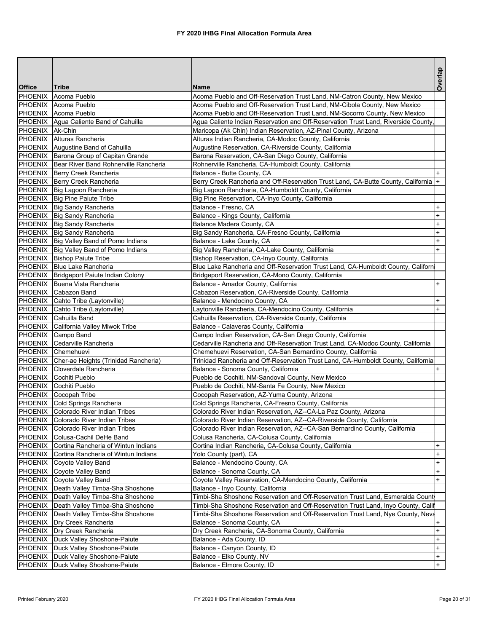| <b>Office</b>   | <b>Tribe</b>                                    | Name                                                                                 | Overlap                          |
|-----------------|-------------------------------------------------|--------------------------------------------------------------------------------------|----------------------------------|
| PHOENIX         | Acoma Pueblo                                    | Acoma Pueblo and Off-Reservation Trust Land, NM-Catron County, New Mexico            |                                  |
|                 | PHOENIX Acoma Pueblo                            | Acoma Pueblo and Off-Reservation Trust Land, NM-Cibola County, New Mexico            |                                  |
|                 | PHOENIX Acoma Pueblo                            | Acoma Pueblo and Off-Reservation Trust Land, NM-Socorro County, New Mexico           |                                  |
|                 | PHOENIX Agua Caliente Band of Cahuilla          | Agua Caliente Indian Reservation and Off-Reservation Trust Land, Riverside County,   |                                  |
| PHOENIX Ak-Chin |                                                 | Maricopa (Ak Chin) Indian Reservation, AZ-Pinal County, Arizona                      |                                  |
|                 | PHOENIX Alturas Rancheria                       | Alturas Indian Rancheria, CA-Modoc County, California                                |                                  |
|                 | PHOENIX Augustine Band of Cahuilla              | Augustine Reservation, CA-Riverside County, California                               |                                  |
|                 | PHOENIX   Barona Group of Capitan Grande        | Barona Reservation, CA-San Diego County, California                                  |                                  |
|                 | PHOENIX   Bear River Band Rohnerville Rancheria | Rohnerville Rancheria, CA-Humboldt County, California                                |                                  |
|                 | PHOENIX   Berry Creek Rancheria                 | Balance - Butte County, CA                                                           |                                  |
|                 | PHOENIX   Berry Creek Rancheria                 | Berry Creek Rancheria and Off-Reservation Trust Land, CA-Butte County, California  + |                                  |
|                 | PHOENIX Big Lagoon Rancheria                    | Big Lagoon Rancheria, CA-Humboldt County, California                                 |                                  |
|                 | PHOENIX   Big Pine Paiute Tribe                 | Big Pine Reservation, CA-Inyo County, California                                     |                                  |
|                 | PHOENIX   Big Sandy Rancheria                   | Balance - Fresno, CA                                                                 | $\ddot{}$                        |
|                 | PHOENIX Big Sandy Rancheria                     | Balance - Kings County, California                                                   | $\ddot{}$                        |
|                 | PHOENIX Big Sandy Rancheria                     | Balance Madera County, CA                                                            | $\ddot{}$                        |
|                 | PHOENIX Big Sandy Rancheria                     | Big Sandy Rancheria, CA-Fresno County, California                                    | $\ddot{}$                        |
|                 | PHOENIX Big Valley Band of Pomo Indians         | Balance - Lake County, CA                                                            | $\begin{array}{c} + \end{array}$ |
|                 | PHOENIX Big Valley Band of Pomo Indians         | Big Valley Rancheria, CA-Lake County, California                                     | $\ddot{}$                        |
|                 | PHOENIX Bishop Paiute Tribe                     | Bishop Reservation, CA-Inyo County, California                                       |                                  |
|                 | PHOENIX Blue Lake Rancheria                     | Blue Lake Rancheria and Off-Reservation Trust Land, CA-Humboldt County, Californ     |                                  |
|                 | PHOENIX   Bridgeport Paiute Indian Colony       | Bridgeport Reservation, CA-Mono County, California                                   |                                  |
|                 | PHOENIX Buena Vista Rancheria                   | Balance - Amador County, California                                                  | $+$                              |
|                 | PHOENIX Cabazon Band                            | Cabazon Reservation, CA-Riverside County, California                                 |                                  |
|                 | PHOENIX Cahto Tribe (Laytonville)               | Balance - Mendocino County, CA                                                       | $\ddot{}$                        |
|                 | PHOENIX Cahto Tribe (Laytonville)               | Laytonville Rancheria, CA-Mendocino County, California                               | $\ddot{}$                        |
|                 | PHOENIX Cahuilla Band                           | Cahuilla Reservation, CA-Riverside County, California                                |                                  |
|                 | PHOENIX California Valley Miwok Tribe           | Balance - Calaveras County, California                                               |                                  |
|                 | PHOENIX Campo Band                              | Campo Indian Reservation, CA-San Diego County, California                            |                                  |
|                 | PHOENIX Cedarville Rancheria                    | Cedarville Rancheria and Off-Reservation Trust Land, CA-Modoc County, California     |                                  |
|                 | PHOENIX Chemehuevi                              | Chemehuevi Reservation, CA-San Bernardino County, California                         |                                  |
|                 | PHOENIX Cher-ae Heights (Trinidad Rancheria)    | Trinidad Rancheria and Off-Reservation Trust Land, CA-Humboldt County, California    |                                  |
|                 | PHOENIX Cloverdale Rancheria                    | Balance - Sonoma County, California                                                  |                                  |
|                 | PHOENIX Cochiti Pueblo                          | Pueblo de Cochiti, NM-Sandoval County, New Mexico                                    |                                  |
|                 | PHOENIX Cochiti Pueblo                          | Pueblo de Cochiti, NM-Santa Fe County, New Mexico                                    |                                  |
|                 | PHOENIX Cocopah Tribe                           | Cocopah Reservation, AZ-Yuma County, Arizona                                         |                                  |
|                 | PHOENIX Cold Springs Rancheria                  | Cold Springs Rancheria, CA-Fresno County, California                                 |                                  |
|                 | PHOENIX Colorado River Indian Tribes            | Colorado River Indian Reservation, AZ--CA-La Paz County, Arizona                     |                                  |
|                 | PHOENIX Colorado River Indian Tribes            | Colorado River Indian Reservation, AZ--CA-Riverside County, California               |                                  |
| PHOENIX         | Colorado River Indian Tribes                    | Colorado River Indian Reservation, AZ--CA-San Bernardino County, California          |                                  |
|                 | PHOENIX Colusa-Cachil DeHe Band                 | Colusa Rancheria, CA-Colusa County, California                                       |                                  |
|                 | PHOENIX Cortina Rancheria of Wintun Indians     | Cortina Indian Rancheria, CA-Colusa County, California                               | $\ddot{}$                        |
| PHOENIX         | Cortina Rancheria of Wintun Indians             | Yolo County (part), CA                                                               | $\ddot{}$                        |
| PHOENIX         | Coyote Valley Band                              | Balance - Mendocino County, CA                                                       | $\ddot{}$                        |
| PHOENIX         | Coyote Valley Band                              | Balance - Sonoma County, CA                                                          | $\ddot{}$                        |
| <b>PHOENIX</b>  | Coyote Valley Band                              | Coyote Valley Reservation, CA-Mendocino County, California                           | $\ddot{}$                        |
| PHOENIX         | Death Valley Timba-Sha Shoshone                 | Balance - Inyo County, California                                                    |                                  |
|                 | PHOENIX Death Valley Timba-Sha Shoshone         | Timbi-Sha Shoshone Reservation and Off-Reservation Trust Land, Esmeralda County      |                                  |
|                 | PHOENIX   Death Valley Timba-Sha Shoshone       | Timbi-Sha Shoshone Reservation and Off-Reservation Trust Land, Inyo County, Calif    |                                  |
|                 | PHOENIX   Death Valley Timba-Sha Shoshone       | Timbi-Sha Shoshone Reservation and Off-Reservation Trust Land, Nye County, Neva      |                                  |
|                 | PHOENIX   Dry Creek Rancheria                   | Balance - Sonoma County, CA                                                          | $\ddot{}$                        |
|                 | PHOENIX   Dry Creek Rancheria                   | Dry Creek Rancheria, CA-Sonoma County, California                                    | $\ddot{}$                        |
| PHOENIX         | Duck Valley Shoshone-Paiute                     | Balance - Ada County, ID                                                             | $\ddot{}$                        |
| <b>PHOENIX</b>  | Duck Valley Shoshone-Paiute                     | Balance - Canyon County, ID                                                          | $\ddot{}$                        |
| <b>PHOENIX</b>  | Duck Valley Shoshone-Paiute                     | Balance - Elko County, NV                                                            | $\ddot{}$                        |
|                 | PHOENIX   Duck Valley Shoshone-Paiute           | Balance - Elmore County, ID                                                          | $+$                              |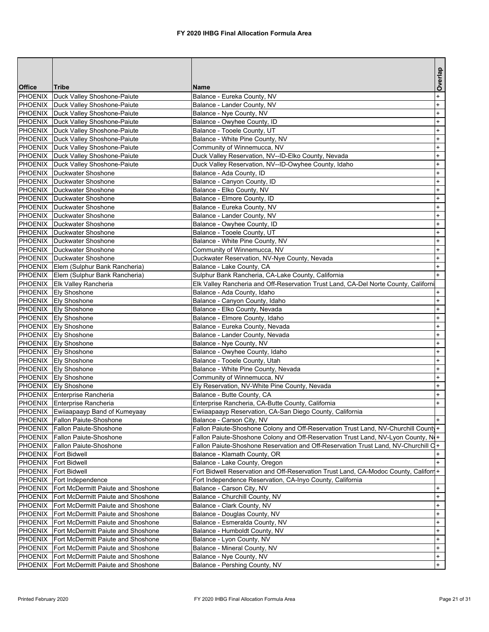|                |                                                   |                                                                                      | Overlap   |
|----------------|---------------------------------------------------|--------------------------------------------------------------------------------------|-----------|
| <b>Office</b>  | Tribe                                             | <b>Name</b>                                                                          |           |
| PHOENIX        | Duck Valley Shoshone-Paiute                       | Balance - Eureka County, NV                                                          | $\ddot{}$ |
|                | PHOENIX Duck Valley Shoshone-Paiute               | Balance - Lander County, NV                                                          | $+$       |
|                | PHOENIX Duck Valley Shoshone-Paiute               | Balance - Nye County, NV                                                             | $^{+}$    |
|                | PHOENIX Duck Valley Shoshone-Paiute               | Balance - Owyhee County, ID                                                          | $^{+}$    |
|                | PHOENIX   Duck Valley Shoshone-Paiute             | Balance - Tooele County, UT                                                          | $^{+}$    |
|                | PHOENIX   Duck Valley Shoshone-Paiute             | Balance - White Pine County, NV                                                      | $^{+}$    |
|                | PHOENIX Duck Valley Shoshone-Paiute               | Community of Winnemucca, NV                                                          | $^{+}$    |
|                | PHOENIX   Duck Valley Shoshone-Paiute             | Duck Valley Reservation, NV--ID-Elko County, Nevada                                  | $^{+}$    |
|                | PHOENIX   Duck Valley Shoshone-Paiute             | Duck Valley Reservation, NV--ID-Owyhee County, Idaho                                 | $\ddot{}$ |
|                | PHOENIX Duckwater Shoshone                        | Balance - Ada County, ID                                                             | $\ddot{}$ |
|                | PHOENIX   Duckwater Shoshone                      | Balance - Canyon County, ID                                                          | $\ddot{}$ |
|                | PHOENIX Duckwater Shoshone                        | Balance - Elko County, NV                                                            | $^{+}$    |
|                | <b>PHOENIX</b> Duckwater Shoshone                 | Balance - Elmore County, ID                                                          | $\ddot{}$ |
|                | <b>PHOENIX</b> Duckwater Shoshone                 | Balance - Eureka County, NV                                                          | $\ddot{}$ |
|                | <b>PHOENIX</b> Duckwater Shoshone                 | Balance - Lander County, NV                                                          | $\ddot{}$ |
|                | <b>PHOENIX Duckwater Shoshone</b>                 | Balance - Owyhee County, ID                                                          | $^{+}$    |
|                | PHOENIX   Duckwater Shoshone                      | Balance - Tooele County, UT                                                          | $^{+}$    |
|                | PHOENIX Duckwater Shoshone                        | Balance - White Pine County, NV                                                      | $^{+}$    |
|                | PHOENIX   Duckwater Shoshone                      | Community of Winnemucca, NV                                                          | $\ddot{}$ |
|                | <b>PHOENIX</b> Duckwater Shoshone                 | Duckwater Reservation, NV-Nye County, Nevada                                         | $\ddot{}$ |
|                | PHOENIX Elem (Sulphur Bank Rancheria)             | Balance - Lake County, CA                                                            | $\ddot{}$ |
|                | PHOENIX Elem (Sulphur Bank Rancheria)             | Sulphur Bank Rancheria, CA-Lake County, California                                   | $+$       |
|                | PHOENIX Elk Valley Rancheria                      | Elk Valley Rancheria and Off-Reservation Trust Land, CA-Del Norte County, Californi  |           |
|                | PHOENIX Ely Shoshone                              | Balance - Ada County, Idaho                                                          | +         |
|                | PHOENIX Ely Shoshone                              | Balance - Canyon County, Idaho                                                       | $\ddot{}$ |
|                | PHOENIX Ely Shoshone                              | Balance - Elko County, Nevada                                                        | $\ddot{}$ |
|                | PHOENIX Ely Shoshone                              | Balance - Elmore County, Idaho                                                       | $\ddot{}$ |
|                | PHOENIX Ely Shoshone                              | Balance - Eureka County, Nevada                                                      | $\ddot{}$ |
|                | PHOENIX Ely Shoshone                              | Balance - Lander County, Nevada                                                      | $\ddot{}$ |
|                | PHOENIX Ely Shoshone                              | Balance - Nye County, NV                                                             | $^{+}$    |
|                | PHOENIX Ely Shoshone                              | Balance - Owyhee County, Idaho                                                       | $^{+}$    |
|                | PHOENIX Ely Shoshone                              | Balance - Tooele County, Utah                                                        | $^{+}$    |
|                | PHOENIX Ely Shoshone                              | Balance - White Pine County, Nevada                                                  | $\ddot{}$ |
|                | PHOENIX Ely Shoshone                              | Community of Winnemucca, NV                                                          | $^{+}$    |
|                | PHOENIX Ely Shoshone                              | Ely Reservation, NV-White Pine County, Nevada                                        | $\ddot{}$ |
|                | PHOENIX Enterprise Rancheria                      | Balance - Butte County, CA                                                           | $^{+}$    |
|                | PHOENIX Enterprise Rancheria                      | Enterprise Rancheria, CA-Butte County, California                                    | $^{+}$    |
|                | PHOENIX Ewiiaapaayp Band of Kumeyaay              | Ewiiaapaayp Reservation, CA-San Diego County, California                             |           |
|                | PHOENIX Fallon Paiute-Shoshone                    | Balance - Carson City, NV                                                            | $+$       |
| PHOENIX        | Fallon Paiute-Shoshone                            | Fallon Paiute-Shoshone Colony and Off-Reservation Trust Land, NV-Churchill County+   |           |
| PHOENIX        | Fallon Paiute-Shoshone                            | Fallon Paiute-Shoshone Colony and Off-Reservation Trust Land, NV-Lyon County, N(+    |           |
|                | PHOENIX Fallon Paiute-Shoshone                    | Fallon Paiute-Shoshone Reservation and Off-Reservation Trust Land, NV-Churchill C+   |           |
| PHOENIX        | <b>Fort Bidwell</b>                               | Balance - Klamath County, OR                                                         |           |
| PHOENIX        | Fort Bidwell                                      | Balance - Lake County, Oregon                                                        | $+$       |
| PHOENIX        | <b>Fort Bidwell</b>                               | Fort Bidwell Reservation and Off-Reservation Trust Land, CA-Modoc County, Califorr + |           |
| <b>PHOENIX</b> | Fort Independence                                 | Fort Independence Reservation, CA-Inyo County, California                            |           |
| PHOENIX        | Fort McDermitt Paiute and Shoshone                | Balance - Carson City, NV                                                            | $+$       |
|                | PHOENIX Fort McDermitt Paiute and Shoshone        | Balance - Churchill County, NV                                                       | $\ddot{}$ |
|                | <b>PHOENIX</b> Fort McDermitt Paiute and Shoshone | Balance - Clark County, NV                                                           | $\ddot{}$ |
| PHOENIX        | Fort McDermitt Paiute and Shoshone                | Balance - Douglas County, NV                                                         | $\ddot{}$ |
| <b>PHOENIX</b> | Fort McDermitt Paiute and Shoshone                | Balance - Esmeralda County, NV                                                       | $\ddot{}$ |
| PHOENIX        | Fort McDermitt Paiute and Shoshone                | Balance - Humboldt County, NV                                                        | $\ddot{}$ |
| PHOENIX        | Fort McDermitt Paiute and Shoshone                | Balance - Lyon County, NV                                                            | $\ddot{}$ |
| <b>PHOENIX</b> | Fort McDermitt Paiute and Shoshone                | Balance - Mineral County, NV                                                         | $+$       |
| <b>PHOENIX</b> | Fort McDermitt Paiute and Shoshone                | Balance - Nye County, NV                                                             | $+$       |
| <b>PHOENIX</b> | Fort McDermitt Paiute and Shoshone                | Balance - Pershing County, NV                                                        | $+$       |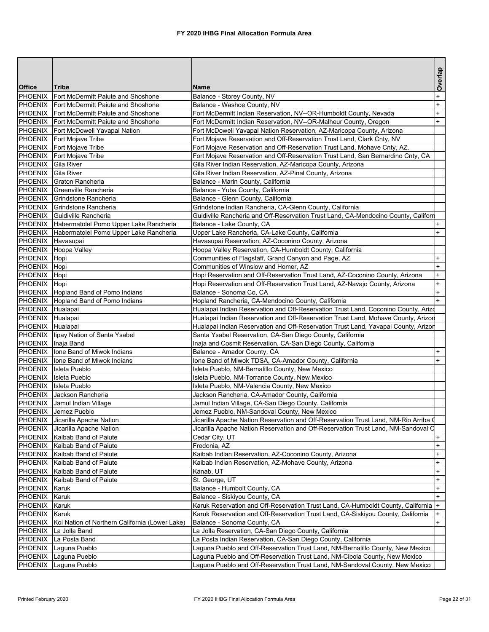|                    |                                                                    |                                                                                                                                                                          | Overlap                          |
|--------------------|--------------------------------------------------------------------|--------------------------------------------------------------------------------------------------------------------------------------------------------------------------|----------------------------------|
| <b>Office</b>      | <b>Tribe</b>                                                       | <b>Name</b>                                                                                                                                                              |                                  |
| <b>PHOENIX</b>     | Fort McDermitt Paiute and Shoshone                                 | Balance - Storey County, NV                                                                                                                                              | $\ddot{}$                        |
|                    | PHOENIX Fort McDermitt Paiute and Shoshone                         | Balance - Washoe County, NV                                                                                                                                              | $\ddot{}$                        |
|                    | PHOENIX Fort McDermitt Paiute and Shoshone                         | Fort McDermitt Indian Reservation, NV--OR-Humboldt County, Nevada                                                                                                        | $+$                              |
|                    | <b>PHOENIX</b> Fort McDermitt Paiute and Shoshone                  | Fort McDermitt Indian Reservation, NV--OR-Malheur County, Oregon                                                                                                         | $+$                              |
|                    | PHOENIX Fort McDowell Yavapai Nation                               | Fort McDowell Yavapai Nation Reservation, AZ-Maricopa County, Arizona                                                                                                    |                                  |
|                    | PHOENIX   Fort Mojave Tribe                                        | Fort Mojave Reservation and Off-Reservation Trust Land, Clark Cnty, NV                                                                                                   |                                  |
|                    | PHOENIX Fort Mojave Tribe                                          | Fort Mojave Reservation and Off-Reservation Trust Land, Mohave Cnty, AZ.                                                                                                 |                                  |
|                    | PHOENIX   Fort Mojave Tribe                                        | Fort Mojave Reservation and Off-Reservation Trust Land, San Bernardino Cnty, CA                                                                                          |                                  |
| PHOENIX            | Gila River                                                         | Gila River Indian Reservation, AZ-Maricopa County, Arizona                                                                                                               |                                  |
| PHOENIX            | <b>Gila River</b>                                                  | Gila River Indian Reservation, AZ-Pinal County, Arizona                                                                                                                  |                                  |
|                    | PHOENIX Graton Rancheria                                           | Balance - Marin County, California                                                                                                                                       |                                  |
|                    | PHOENIX Greenville Rancheria                                       | Balance - Yuba County, California                                                                                                                                        |                                  |
|                    | PHOENIX Grindstone Rancheria                                       | Balance - Glenn County, California                                                                                                                                       |                                  |
|                    | PHOENIX Grindstone Rancheria                                       | Grindstone Indian Rancheria, CA-Glenn County, California                                                                                                                 |                                  |
|                    | PHOENIX Guidiville Rancheria                                       | Guidiville Rancheria and Off-Reservation Trust Land, CA-Mendocino County, Californ                                                                                       |                                  |
|                    | PHOENIX Habermatolel Pomo Upper Lake Rancheria                     | Balance - Lake County, CA                                                                                                                                                | $\ddot{}$                        |
|                    | PHOENIX Habermatolel Pomo Upper Lake Rancheria                     | Upper Lake Rancheria, CA-Lake County, California                                                                                                                         | $+$                              |
| PHOENIX Havasupai  |                                                                    | Havasupai Reservation, AZ-Coconino County, Arizona                                                                                                                       |                                  |
|                    | PHOENIX Hoopa Valley                                               | Hoopa Valley Reservation, CA-Humboldt County, California                                                                                                                 |                                  |
| PHOENIX Hopi       |                                                                    | Communities of Flagstaff, Grand Canyon and Page, AZ                                                                                                                      | $\ddot{}$                        |
| PHOENIX Hopi       |                                                                    | Communities of Winslow and Homer, AZ                                                                                                                                     | $\begin{array}{c} + \end{array}$ |
| PHOENIX Hopi       |                                                                    | Hopi Reservation and Off-Reservation Trust Land, AZ-Coconino County, Arizona                                                                                             | $\ddot{}$                        |
| PHOENIX Hopi       |                                                                    | Hopi Reservation and Off-Reservation Trust Land, AZ-Navajo County, Arizona                                                                                               | $+$                              |
|                    | PHOENIX   Hopland Band of Pomo Indians                             | Balance - Sonoma Co, CA                                                                                                                                                  | $+$                              |
|                    | PHOENIX Hopland Band of Pomo Indians                               | Hopland Rancheria, CA-Mendocino County, California                                                                                                                       | $+$                              |
| PHOENIX Hualapai   |                                                                    | Hualapai Indian Reservation and Off-Reservation Trust Land, Coconino County, Arizo                                                                                       |                                  |
| PHOENIX Hualapai   |                                                                    | Hualapai Indian Reservation and Off-Reservation Trust Land, Mohave County, Arizon                                                                                        |                                  |
| PHOENIX Hualapai   |                                                                    | Hualapai Indian Reservation and Off-Reservation Trust Land, Yavapai County, Arizor                                                                                       |                                  |
|                    | PHOENIX lipay Nation of Santa Ysabel                               | Santa Ysabel Reservation, CA-San Diego County, California                                                                                                                |                                  |
| PHOENIX Inaja Band |                                                                    | Inaja and Cosmit Reservation, CA-San Diego County, California                                                                                                            |                                  |
|                    | PHOENIX lone Band of Miwok Indians                                 | Balance - Amador County, CA                                                                                                                                              | $+$                              |
|                    | PHOENIX   Ione Band of Miwok Indians                               | Ione Band of Miwok TDSA, CA-Amador County, California                                                                                                                    | $\ddot{}$                        |
|                    | PHOENIX Isleta Pueblo                                              | Isleta Pueblo, NM-Bernalillo County, New Mexico                                                                                                                          |                                  |
|                    | PHOENIX Isleta Pueblo                                              | Isleta Pueblo, NM-Torrance County, New Mexico                                                                                                                            |                                  |
|                    | PHOENIX Isleta Pueblo                                              | Isleta Pueblo, NM-Valencia County, New Mexico                                                                                                                            |                                  |
|                    | PHOENIX Jackson Rancheria                                          | Jackson Rancheria, CA-Amador County, California                                                                                                                          |                                  |
|                    | PHOENIX Jamul Indian Village                                       | Jamul Indian Village, CA-San Diego County, California                                                                                                                    |                                  |
| PHOENIX            | Jemez Pueblo                                                       | Jemez Pueblo, NM-Sandoval County, New Mexico                                                                                                                             |                                  |
|                    | PHOENIX Jicarilla Apache Nation<br>PHOENIX Jicarilla Apache Nation | Jicarilla Apache Nation Reservation and Off-Reservation Trust Land, NM-Rio Arriba O<br>Jicarilla Apache Nation Reservation and Off-Reservation Trust Land, NM-Sandoval C |                                  |
|                    | PHOENIX Kaibab Band of Paiute                                      | Cedar City, UT                                                                                                                                                           | $+$                              |
|                    | PHOENIX Kaibab Band of Paiute                                      | Fredonia, AZ                                                                                                                                                             | $\ddot{}$                        |
|                    | PHOENIX   Kaibab Band of Paiute                                    | Kaibab Indian Reservation, AZ-Coconino County, Arizona                                                                                                                   | $\begin{array}{c} + \end{array}$ |
|                    | PHOENIX   Kaibab Band of Paiute                                    | Kaibab Indian Reservation, AZ-Mohave County, Arizona                                                                                                                     | $\begin{array}{c} + \end{array}$ |
|                    | PHOENIX Kaibab Band of Paiute                                      | Kanab, UT                                                                                                                                                                | $\ddot{}$                        |
|                    | PHOENIX Kaibab Band of Paiute                                      | St. George, UT                                                                                                                                                           | $\ddot{}$                        |
| PHOENIX            | Karuk                                                              | Balance - Humbolt County, CA                                                                                                                                             | $\ddot{}$                        |
| PHOENIX Karuk      |                                                                    | Balance - Siskiyou County, CA                                                                                                                                            | $\ddot{}$                        |
| <b>PHOENIX</b>     | Karuk                                                              | Karuk Reservation and Off-Reservation Trust Land, CA-Humboldt County, California  +                                                                                      |                                  |
| PHOENIX            | Karuk                                                              | Karuk Reservation and Off-Reservation Trust Land, CA-Siskiyou County, California                                                                                         | $\ddot{}$                        |
| <b>PHOENIX</b>     | Koi Nation of Northern California (Lower Lake)                     | Balance - Sonoma County, CA                                                                                                                                              | $\ddot{}$                        |
| PHOENIX            | La Jolla Band                                                      | La Jolla Reservation, CA-San Diego County, California                                                                                                                    |                                  |
| PHOENIX            | La Posta Band                                                      | La Posta Indian Reservation, CA-San Diego County, California                                                                                                             |                                  |
| PHOENIX            | Laguna Pueblo                                                      | Laguna Pueblo and Off-Reservation Trust Land, NM-Bernalillo County, New Mexico                                                                                           |                                  |
| PHOENIX            | Laguna Pueblo                                                      | Laguna Pueblo and Off-Reservation Trust Land, NM-Cibola County, New Mexico                                                                                               |                                  |
| PHOENIX            | Laguna Pueblo                                                      | Laguna Pueblo and Off-Reservation Trust Land, NM-Sandoval County, New Mexico                                                                                             |                                  |
|                    |                                                                    |                                                                                                                                                                          |                                  |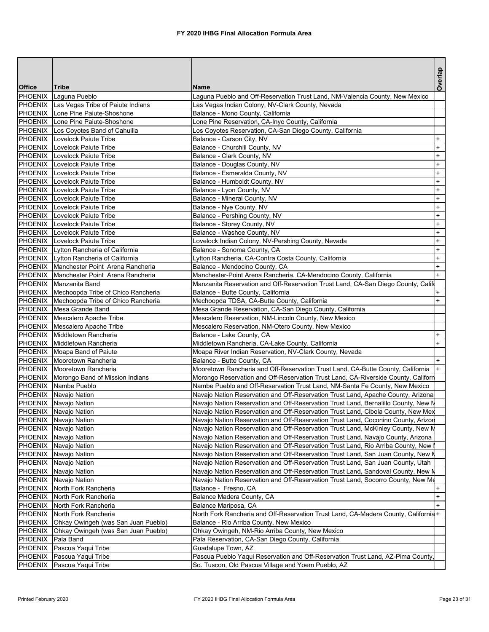|                          |                                                            |                                                                                                                                  | Overlap   |
|--------------------------|------------------------------------------------------------|----------------------------------------------------------------------------------------------------------------------------------|-----------|
| <b>Office</b><br>PHOENIX | <b>Tribe</b>                                               | <b>Name</b>                                                                                                                      |           |
|                          | Laguna Pueblo<br>PHOENIX Las Vegas Tribe of Paiute Indians | Laguna Pueblo and Off-Reservation Trust Land, NM-Valencia County, New Mexico<br>Las Vegas Indian Colony, NV-Clark County, Nevada |           |
| PHOENIX                  | Lone Pine Paiute-Shoshone                                  | Balance - Mono County, California                                                                                                |           |
| PHOENIX                  | Lone Pine Paiute-Shoshone                                  | Lone Pine Reservation, CA-Inyo County, California                                                                                |           |
|                          | PHOENIX Los Coyotes Band of Cahuilla                       | Los Coyotes Reservation, CA-San Diego County, California                                                                         |           |
| PHOENIX                  | Lovelock Paiute Tribe                                      | Balance - Carson City, NV                                                                                                        | $\ddot{}$ |
|                          | <b>PHOENIX</b> Lovelock Paiute Tribe                       | Balance - Churchill County, NV                                                                                                   | $\ddot{}$ |
|                          | PHOENIX Lovelock Paiute Tribe                              | Balance - Clark County, NV                                                                                                       | $\ddot{}$ |
|                          | PHOENIX Lovelock Paiute Tribe                              | Balance - Douglas County, NV                                                                                                     | $+$       |
|                          | PHOENIX Lovelock Paiute Tribe                              | Balance - Esmeralda County, NV                                                                                                   | $\ddot{}$ |
|                          | PHOENIX Lovelock Paiute Tribe                              | Balance - Humboldt County, NV                                                                                                    | $\ddot{}$ |
|                          | <b>PHOENIX</b> Lovelock Paiute Tribe                       | Balance - Lyon County, NV                                                                                                        | $+$       |
|                          | PHOENIX Lovelock Paiute Tribe                              | Balance - Mineral County, NV                                                                                                     | $+$       |
|                          | PHOENIX Lovelock Paiute Tribe                              | Balance - Nye County, NV                                                                                                         | $+$       |
|                          | PHOENIX Lovelock Paiute Tribe                              | Balance - Pershing County, NV                                                                                                    | $\ddot{}$ |
|                          | <b>PHOENIX</b> Lovelock Paiute Tribe                       | Balance - Storey County, NV                                                                                                      | $+$       |
|                          | PHOENIX Lovelock Paiute Tribe                              | Balance - Washoe County, NV                                                                                                      | $\ddot{}$ |
|                          | PHOENIX Lovelock Paiute Tribe                              | Lovelock Indian Colony, NV-Pershing County, Nevada                                                                               | $\ddot{}$ |
|                          | PHOENIX Lytton Rancheria of California                     | Balance - Sonoma County, CA                                                                                                      | $\ddot{}$ |
|                          | PHOENIX   Lytton Rancheria of California                   | Lytton Rancheria, CA-Contra Costa County, California                                                                             | $+$       |
|                          | PHOENIX Manchester Point Arena Rancheria                   | Balance - Mendocino County, CA                                                                                                   | $+$       |
|                          | <b>PHOENIX</b> Manchester Point Arena Rancheria            | Manchester-Point Arena Rancheria, CA-Mendocino County, California                                                                | $+$       |
|                          | PHOENIX Manzanita Band                                     | Manzanita Reservation and Off-Reservation Trust Land, CA-San Diego County, Califo                                                |           |
|                          | PHOENIX   Mechoopda Tribe of Chico Rancheria               | Balance - Butte County, California                                                                                               | $\ddot{}$ |
|                          | PHOENIX   Mechoopda Tribe of Chico Rancheria               | Mechoopda TDSA, CA-Butte County, California                                                                                      | $+$       |
|                          | PHOENIX Mesa Grande Band                                   | Mesa Grande Reservation, CA-San Diego County, California                                                                         |           |
|                          | PHOENIX   Mescalero Apache Tribe                           | Mescalero Reservation, NM-Lincoln County, New Mexico                                                                             |           |
|                          | PHOENIX   Mescalero Apache Tribe                           | Mescalero Reservation, NM-Otero County, New Mexico                                                                               |           |
|                          | PHOENIX Middletown Rancheria                               | Balance - Lake County, CA                                                                                                        | $+$       |
|                          | PHOENIX Middletown Rancheria                               | Middletown Rancheria, CA-Lake County, California                                                                                 | $+$       |
|                          | PHOENIX Moapa Band of Paiute                               | Moapa River Indian Reservation, NV-Clark County, Nevada                                                                          |           |
|                          | PHOENIX   Mooretown Rancheria                              | Balance - Butte County, CA                                                                                                       | $+$       |
|                          | PHOENIX Mooretown Rancheria                                | Mooretown Rancheria and Off-Reservation Trust Land, CA-Butte County, California                                                  |           |
|                          | PHOENIX   Morongo Band of Mission Indians                  | Morongo Reservation and Off-Reservation Trust Land, CA-Riverside County, Californ                                                |           |
|                          | PHOENIX Nambe Pueblo                                       | Nambe Pueblo and Off-Reservation Trust Land, NM-Santa Fe County, New Mexico                                                      |           |
|                          | PHOENIX Navajo Nation                                      | Navajo Nation Reservation and Off-Reservation Trust Land, Apache County, Arizona                                                 |           |
|                          | PHOENIX Navajo Nation                                      | Navajo Nation Reservation and Off-Reservation Trust Land, Bernalillo County, New M                                               |           |
|                          | PHOENIX Navajo Nation                                      | Navajo Nation Reservation and Off-Reservation Trust Land, Cibola County, New Mex                                                 |           |
|                          | PHOENIX Navajo Nation                                      | Navajo Nation Reservation and Off-Reservation Trust Land, Coconino County, Arizon                                                |           |
|                          | PHOENIX Navajo Nation                                      | Navajo Nation Reservation and Off-Reservation Trust Land, McKinley County, New M                                                 |           |
|                          | PHOENIX Navajo Nation                                      | Navajo Nation Reservation and Off-Reservation Trust Land, Navajo County, Arizona                                                 |           |
|                          | PHOENIX Navajo Nation                                      | Navajo Nation Reservation and Off-Reservation Trust Land, Rio Arriba County, New                                                 |           |
|                          | PHOENIX Navajo Nation                                      | Navajo Nation Reservation and Off-Reservation Trust Land, San Juan County, New M                                                 |           |
| PHOENIX                  | Navajo Nation                                              | Navajo Nation Reservation and Off-Reservation Trust Land, San Juan County, Utah                                                  |           |
|                          | PHOENIX Navajo Nation                                      | Navajo Nation Reservation and Off-Reservation Trust Land, Sandoval County, New N                                                 |           |
| <b>PHOENIX</b>           | Navajo Nation                                              | Navajo Nation Reservation and Off-Reservation Trust Land, Socorro County, New Me                                                 |           |
| PHOENIX                  | North Fork Rancheria                                       | Balance - Fresno, CA                                                                                                             |           |
| PHOENIX                  | North Fork Rancheria                                       | Balance Madera County, CA                                                                                                        | $\ddot{}$ |
|                          | PHOENIX North Fork Rancheria                               | Balance Mariposa, CA                                                                                                             | $+$       |
| PHOENIX                  | North Fork Rancheria                                       | North Fork Rancheria and Off-Reservation Trust Land, CA-Madera County, California+                                               |           |
| PHOENIX                  | Ohkay Owingeh (was San Juan Pueblo)                        | Balance - Rio Arriba County, New Mexico                                                                                          |           |
| PHOENIX                  | Ohkay Owingeh (was San Juan Pueblo)                        | Ohkay Owingeh, NM-Rio Arriba County, New Mexico                                                                                  |           |
| <b>PHOENIX</b>           | Pala Band                                                  | Pala Reservation, CA-San Diego County, California                                                                                |           |
| PHOENIX                  | Pascua Yaqui Tribe                                         | Guadalupe Town, AZ                                                                                                               |           |
| <b>PHOENIX</b>           | Pascua Yaqui Tribe                                         | Pascua Pueblo Yaqui Reservation and Off-Reservation Trust Land, AZ-Pima County,                                                  |           |
| <b>PHOENIX</b>           | Pascua Yaqui Tribe                                         | So. Tuscon, Old Pascua Village and Yoem Pueblo, AZ                                                                               |           |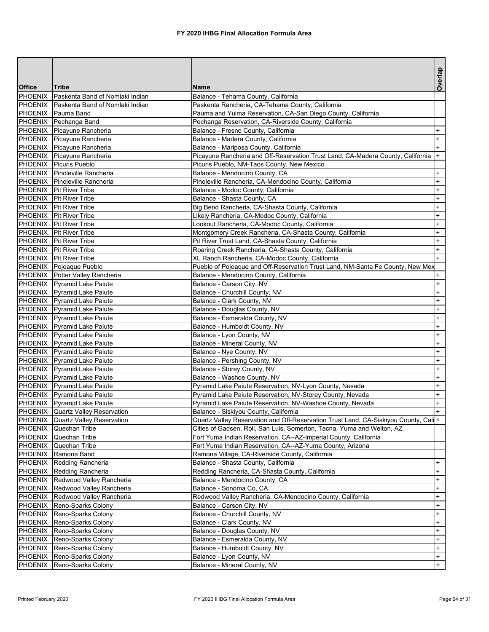|               |                                         |                                                                                                 | Overlap                          |
|---------------|-----------------------------------------|-------------------------------------------------------------------------------------------------|----------------------------------|
| <b>Office</b> | <b>Tribe</b>                            | <b>Name</b>                                                                                     |                                  |
|               | PHOENIX Paskenta Band of Nomlaki Indian | Balance - Tehama County, California                                                             |                                  |
|               | PHOENIX Paskenta Band of Nomlaki Indian | Paskenta Rancheria, CA-Tehama County, California                                                |                                  |
|               | PHOENIX Pauma Band                      | Pauma and Yuima Reservation, CA-San Diego County, California                                    |                                  |
|               | PHOENIX Pechanga Band                   | Pechanga Reservation, CA-Riverside County, California                                           |                                  |
|               | PHOENIX Picayune Rancheria              | Balance - Fresno County, California                                                             | $+$                              |
|               | PHOENIX Picayune Rancheria              | Balance - Madera County, California                                                             | $\ddot{}$                        |
|               | PHOENIX Picayune Rancheria              | Balance - Mariposa County, California                                                           | $\ddot{}$                        |
|               | PHOENIX Picayune Rancheria              | Picayune Rancheria and Off-Reservation Trust Land, CA-Madera County, California                 | $+$                              |
|               | PHOENIX Picuris Pueblo                  | Picuris Pueblo, NM-Taos County, New Mexico                                                      |                                  |
|               | PHOENIX Pinoleville Rancheria           | Balance - Mendocino County, CA                                                                  | $\ddot{}$                        |
|               | PHOENIX Pinoleville Rancheria           | Pinoleville Rancheria, CA-Mendocino County, California                                          | $\ddot{}$                        |
|               | PHOENIX Pit River Tribe                 | Balance - Modoc County, California                                                              | $\ddot{}$                        |
|               | PHOENIX Pit River Tribe                 | Balance - Shasta County, CA                                                                     | $\ddot{}$                        |
|               | <b>PHOENIX</b> Pit River Tribe          | Big Bend Rancheria, CA-Shasta County, California                                                | $+$                              |
|               | PHOENIX   Pit River Tribe               | Likely Rancheria, CA-Modoc County, California                                                   | $\ddot{}$                        |
|               | PHOENIX Pit River Tribe                 | Lookout Rancheria, CA-Modoc County, California                                                  | $\ddot{}$                        |
|               | PHOENIX Pit River Tribe                 | Montgomery Creek Rancheria, CA-Shasta County, California                                        | $\ddot{}$                        |
|               | PHOENIX Pit River Tribe                 | Pit River Trust Land, CA-Shasta County, California                                              | $+$                              |
|               | PHOENIX Pit River Tribe                 | Roaring Creek Rancheria, CA-Shasta County, California                                           | $\ddot{}$                        |
|               | PHOENIX   Pit River Tribe               | XL Ranch Rancheria, CA-Modoc County, California                                                 | $\ddot{}$                        |
|               | PHOENIX Pojoaque Pueblo                 | Pueblo of Pojoaque and Off-Reservation Trust Land, NM-Santa Fe County, New Mex                  |                                  |
|               | PHOENIX Potter Valley Rancheria         | Balance - Mendocino County, California                                                          | $+$                              |
|               | PHOENIX Pyramid Lake Paiute             | Balance - Carson City, NV                                                                       | $\ddot{}$                        |
|               | PHOENIX   Pyramid Lake Paiute           | Balance - Churchill County, NV                                                                  | $\ddot{}$                        |
|               | PHOENIX Pyramid Lake Paiute             | Balance - Clark County, NV                                                                      | $\ddot{}$                        |
|               | PHOENIX   Pyramid Lake Paiute           | Balance - Douglas County, NV                                                                    | $\ddot{}$                        |
|               | PHOENIX Pyramid Lake Paiute             | Balance - Esmeralda County, NV                                                                  | $\ddot{}$                        |
|               | PHOENIX Pyramid Lake Paiute             | Balance - Humboldt County, NV                                                                   | $\ddot{}$                        |
|               | PHOENIX Pyramid Lake Paiute             | Balance - Lyon County, NV                                                                       | $\begin{array}{c} + \end{array}$ |
|               | PHOENIX Pyramid Lake Paiute             | Balance - Mineral County, NV                                                                    | $\begin{array}{c} + \end{array}$ |
|               | PHOENIX Pyramid Lake Paiute             | Balance - Nye County, NV                                                                        | $\ddot{}$                        |
|               | PHOENIX Pyramid Lake Paiute             | Balance - Pershing County, NV                                                                   | $\ddot{}$                        |
|               | PHOENIX Pyramid Lake Paiute             | Balance - Storey County, NV                                                                     | $\ddot{}$                        |
|               | PHOENIX Pyramid Lake Paiute             | Balance - Washoe County, NV                                                                     | $\ddot{}$                        |
|               | PHOENIX Pyramid Lake Paiute             | Pyramid Lake Paiute Reservation, NV-Lyon County, Nevada                                         | $\ddot{}$                        |
|               | PHOENIX Pyramid Lake Paiute             | Pyramid Lake Paiute Reservation, NV-Storey County, Nevada                                       | $+$                              |
|               | <b>PHOENIX</b> Pvramid Lake Paiute      | Pyramid Lake Paiute Reservation, NV-Washoe County, Nevada                                       | $+$                              |
|               | PHOENIX Quartz Valley Reservation       | Balance - Siskiyou County, California                                                           | $+$                              |
|               | PHOENIX Quartz Valley Reservation       | Quartz Valley Reservation and Off-Reservation Trust Land, CA-Siskiyou County, Cali <sup>+</sup> |                                  |
|               | PHOENIX Quechan Tribe                   | Cities of Gadsen, Roll, San Luis, Somerton, Tacna, Yuma and Welton, AZ                          |                                  |
|               | PHOENIX Quechan Tribe                   | Fort Yuma Indian Reservation, CA--AZ-Imperial County, California                                |                                  |
|               | PHOENIX Quechan Tribe                   | Fort Yuma Indian Reservation, CA--AZ-Yuma County, Arizona                                       |                                  |
|               | PHOENIX Ramona Band                     | Ramona Village, CA-Riverside County, California                                                 |                                  |
|               | PHOENIX Redding Rancheria               | Balance - Shasta County, California                                                             | $\ddot{}$                        |
|               | PHOENIX Redding Rancheria               | Redding Rancheria, CA-Shasta County, California                                                 | $\ddot{}$                        |
|               | PHOENIX Redwood Valley Rancheria        | Balance - Mendocino County, CA                                                                  | $+$                              |
|               | PHOENIX Redwood Valley Rancheria        | Balance - Sonoma Co, CA                                                                         | $+$                              |
|               | PHOENIX Redwood Valley Rancheria        | Redwood Valley Rancheria, CA-Mendocino County, California                                       | $\ddot{}$                        |
|               | PHOENIX Reno-Sparks Colony              | Balance - Carson City, NV                                                                       | $\ddot{}$                        |
|               | PHOENIX Reno-Sparks Colony              | Balance - Churchill County, NV                                                                  | $\begin{array}{c} + \end{array}$ |
|               | PHOENIX Reno-Sparks Colony              | Balance - Clark County, NV                                                                      | $\ddot{}$                        |
|               | PHOENIX Reno-Sparks Colony              | Balance - Douglas County, NV                                                                    | $\ddot{}$                        |
|               | PHOENIX Reno-Sparks Colony              | Balance - Esmeralda County, NV                                                                  | $\ddot{}$                        |
|               | PHOENIX Reno-Sparks Colony              | Balance - Humboldt County, NV                                                                   | $+$                              |
| PHOENIX       | Reno-Sparks Colony                      | Balance - Lyon County, NV                                                                       | $+$                              |
|               | PHOENIX Reno-Sparks Colony              | Balance - Mineral County, NV                                                                    | $+$                              |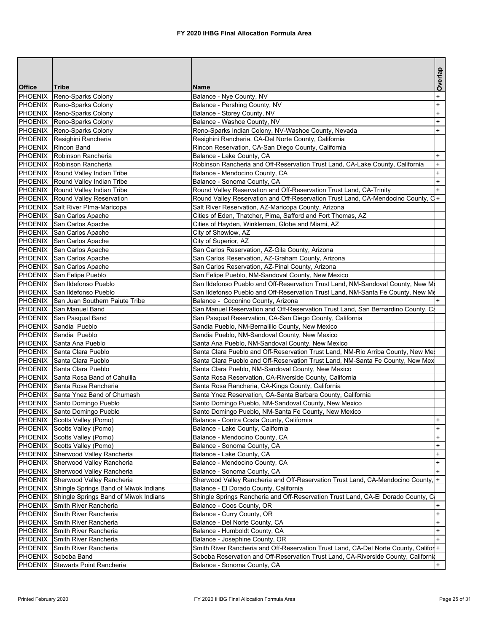|                |                                          |                                                                                      | Overlap   |
|----------------|------------------------------------------|--------------------------------------------------------------------------------------|-----------|
| <b>Office</b>  | Tribe                                    | Name                                                                                 |           |
| <b>PHOENIX</b> | Reno-Sparks Colony                       | Balance - Nye County, NV                                                             | $\ddot{}$ |
|                | PHOENIX Reno-Sparks Colony               | Balance - Pershing County, NV                                                        | $\ddot{}$ |
|                | PHOENIX Reno-Sparks Colony               | Balance - Storey County, NV                                                          | $\ddot{}$ |
|                | PHOENIX Reno-Sparks Colony               | Balance - Washoe County, NV                                                          | $+$       |
|                | PHOENIX Reno-Sparks Colony               | Reno-Sparks Indian Colony, NV-Washoe County, Nevada                                  | $+$       |
|                | PHOENIX Resighini Rancheria              | Resighini Rancheria, CA-Del Norte County, California                                 |           |
|                | PHOENIX Rincon Band                      | Rincon Reservation, CA-San Diego County, California                                  |           |
|                | PHOENIX Robinson Rancheria               | Balance - Lake County, CA                                                            | $+$       |
|                | <b>PHOENIX</b> Robinson Rancheria        | Robinson Rancheria and Off-Reservation Trust Land, CA-Lake County, California        | $\ddot{}$ |
|                | <b>PHOENIX</b> Round Valley Indian Tribe | Balance - Mendocino County, CA                                                       | $\ddot{}$ |
|                | PHOENIX Round Valley Indian Tribe        | Balance - Sonoma County, CA                                                          | $\ddot{}$ |
|                | PHOENIX Round Valley Indian Tribe        | Round Valley Reservation and Off-Reservation Trust Land, CA-Trinity                  | $\ddot{}$ |
|                | PHOENIX Round Valley Reservation         | Round Valley Reservation and Off-Reservation Trust Land, CA-Mendocino County, C+     |           |
|                | PHOENIX Salt River PIma-Maricopa         | Salt River Reservation, AZ-Maricopa County, Arizona                                  |           |
|                | PHOENIX San Carlos Apache                | Cities of Eden, Thatcher, Pima, Safford and Fort Thomas, AZ                          |           |
|                | PHOENIX San Carlos Apache                | Cities of Hayden, Winkleman, Globe and Miami, AZ                                     |           |
|                | PHOENIX San Carlos Apache                | City of Showlow, AZ                                                                  |           |
|                | PHOENIX San Carlos Apache                | City of Superior, AZ                                                                 |           |
|                | PHOENIX San Carlos Apache                | San Carlos Reservation, AZ-Gila County, Arizona                                      |           |
|                | PHOENIX San Carlos Apache                | San Carlos Reservation, AZ-Graham County, Arizona                                    |           |
|                | PHOENIX San Carlos Apache                | San Carlos Reservation, AZ-Pinal County, Arizona                                     |           |
|                | PHOENIX San Felipe Pueblo                | San Felipe Pueblo, NM-Sandoval County, New Mexico                                    |           |
| PHOENIX        | San Ildefonso Pueblo                     | San Ildefonso Pueblo and Off-Reservation Trust Land, NM-Sandoval County, New M       |           |
|                | PHOENIX San Ildefonso Pueblo             | San Ildefonso Pueblo and Off-Reservation Trust Land, NM-Santa Fe County, New Me      |           |
|                | PHOENIX San Juan Southern Paiute Tribe   | Balance - Coconino County, Arizona                                                   |           |
|                | PHOENIX San Manuel Band                  | San Manuel Reservation and Off-Reservation Trust Land, San Bernardino County, Ca     |           |
|                | PHOENIX San Pasqual Band                 | San Pasqual Reservation, CA-San Diego County, California                             |           |
|                | PHOENIX Sandia Pueblo                    | Sandia Pueblo, NM-Bernalillo County, New Mexico                                      |           |
|                | PHOENIX Sandia Pueblo                    | Sandia Pueblo, NM-Sandoval County, New Mexico                                        |           |
|                | PHOENIX Santa Ana Pueblo                 | Santa Ana Pueblo, NM-Sandoval County, New Mexico                                     |           |
|                | PHOENIX Santa Clara Pueblo               | Santa Clara Pueblo and Off-Reservation Trust Land, NM-Rio Arriba County, New Me:     |           |
|                | PHOENIX Santa Clara Pueblo               | Santa Clara Pueblo and Off-Reservation Trust Land, NM-Santa Fe County, New Mex       |           |
|                | PHOENIX Santa Clara Pueblo               | Santa Clara Pueblo, NM-Sandoval County, New Mexico                                   |           |
|                | PHOENIX Santa Rosa Band of Cahuilla      | Santa Rosa Reservation, CA-Riverside County, California                              |           |
|                | PHOENIX Santa Rosa Rancheria             | Santa Rosa Rancheria, CA-Kings County, California                                    |           |
|                | PHOENIX Santa Ynez Band of Chumash       | Santa Ynez Reservation, CA-Santa Barbara County, California                          |           |
|                | PHOENIX Santo Domingo Pueblo             | Santo Domingo Pueblo, NM-Sandoval County, New Mexico                                 |           |
|                | PHOENIX Santo Domingo Pueblo             | Santo Domingo Pueblo, NM-Santa Fe County, New Mexico                                 |           |
|                | PHOENIX Scotts Valley (Pomo)             | Balance - Contra Costa County, California                                            | $+$       |
|                | PHOENIX Scotts Valley (Pomo)             | Balance - Lake County, California                                                    | $+$       |
|                | PHOENIX Scotts Valley (Pomo)             | Balance - Mendocino County, CA                                                       | $\ddot{}$ |
|                | PHOENIX Scotts Valley (Pomo)             | Balance - Sonoma County, CA                                                          | $\ddot{}$ |
|                | PHOENIX Sherwood Valley Rancheria        | Balance - Lake County, CA                                                            | $+$       |
| PHOENIX        | Sherwood Valley Rancheria                | Balance - Mendocino County, CA                                                       | $\ddot{}$ |
| PHOENIX        | Sherwood Valley Rancheria                | Balance - Sonoma County, CA                                                          | $\ddot{}$ |
| PHOENIX        | Sherwood Valley Rancheria                | Sherwood Valley Rancheria and Off-Reservation Trust Land, CA-Mendocino County,  +    |           |
| <b>PHOENIX</b> | Shingle Springs Band of Miwok Indians    | Balance - El Dorado County, California                                               |           |
| PHOENIX        | Shingle Springs Band of Miwok Indians    | Shingle Springs Rancheria and Off-Reservation Trust Land, CA-El Dorado County, C     |           |
| PHOENIX        | Smith River Rancheria                    | Balance - Coos County, OR                                                            | $\ddot{}$ |
| PHOENIX        | Smith River Rancheria                    | Balance - Curry County, OR                                                           | $\ddot{}$ |
| PHOENIX        | Smith River Rancheria                    | Balance - Del Norte County, CA                                                       | $\ddot{}$ |
| PHOENIX        | Smith River Rancheria                    | Balance - Humboldt County, CA                                                        | $\ddot{}$ |
| PHOENIX        | Smith River Rancheria                    | Balance - Josephine County, OR                                                       | $+$       |
| PHOENIX        | Smith River Rancheria                    | Smith River Rancheria and Off-Reservation Trust Land, CA-Del Norte County, Califor + |           |
| <b>PHOENIX</b> | Soboba Band                              | Soboba Reservation and Off-Reservation Trust Land, CA-Riverside County, California   |           |
| <b>PHOENIX</b> | <b>Stewarts Point Rancheria</b>          | Balance - Sonoma County, CA                                                          | $+$       |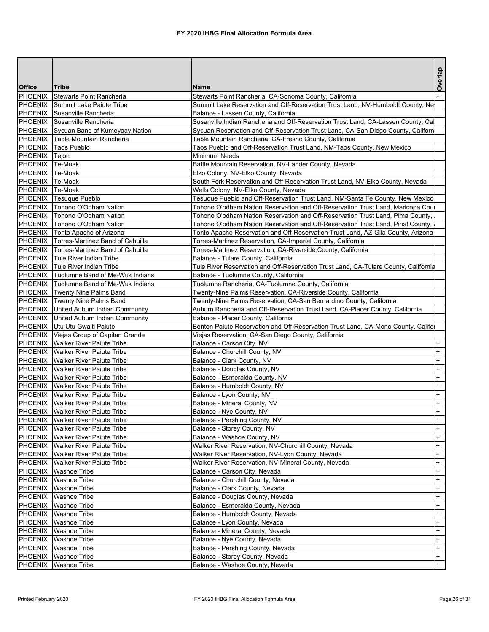|                 |                                                                               |                                                                                                                                  | Overlap                          |
|-----------------|-------------------------------------------------------------------------------|----------------------------------------------------------------------------------------------------------------------------------|----------------------------------|
| <b>Office</b>   | Tribe                                                                         | <b>Name</b>                                                                                                                      |                                  |
|                 | <b>PHOENIX</b> Stewarts Point Rancheria                                       | Stewarts Point Rancheria, CA-Sonoma County, California                                                                           | $+$                              |
|                 | PHOENIX Summit Lake Paiute Tribe                                              | Summit Lake Reservation and Off-Reservation Trust Land, NV-Humboldt County, Ne                                                   |                                  |
|                 | PHOENIX Susanville Rancheria                                                  | Balance - Lassen County, California                                                                                              |                                  |
|                 | PHOENIX Susanville Rancheria                                                  | Susanville Indian Rancheria and Off-Reservation Trust Land, CA-Lassen County, Cal                                                |                                  |
| PHOENIX         | Sycuan Band of Kumeyaay Nation<br>Table Mountain Rancheria                    | Sycuan Reservation and Off-Reservation Trust Land, CA-San Diego County, Californ                                                 |                                  |
| <b>PHOENIX</b>  | PHOENIX Taos Pueblo                                                           | Table Mountain Rancheria, CA-Fresno County, California<br>Taos Pueblo and Off-Reservation Trust Land, NM-Taos County, New Mexico |                                  |
| PHOENIX         | Tejon                                                                         | Minimum Needs                                                                                                                    |                                  |
| PHOENIX         | Te-Moak                                                                       | Battle Mountain Reservation, NV-Lander County, Nevada                                                                            |                                  |
| PHOENIX Te-Moak |                                                                               | Elko Colony, NV-Elko County, Nevada                                                                                              |                                  |
| PHOENIX Te-Moak |                                                                               | South Fork Reservation and Off-Reservation Trust Land, NV-Elko County, Nevada                                                    |                                  |
| PHOENIX Te-Moak |                                                                               | Wells Colony, NV-Elko County, Nevada                                                                                             |                                  |
|                 | PHOENIX Tesuque Pueblo                                                        | Tesuque Pueblo and Off-Reservation Trust Land, NM-Santa Fe County, New Mexico                                                    |                                  |
| PHOENIX         | Tohono O'Odham Nation                                                         | Tohono O'odham Nation Reservation and Off-Reservation Trust Land, Maricopa Coul                                                  |                                  |
|                 | PHOENIX Tohono O'Odham Nation                                                 | Tohono O'odham Nation Reservation and Off-Reservation Trust Land, Pima County,                                                   |                                  |
|                 | PHOENIX Tohono O'Odham Nation                                                 | Tohono O'odham Nation Reservation and Off-Reservation Trust Land, Pinal County,                                                  |                                  |
|                 | PHOENIX Tonto Apache of Arizona                                               | Tonto Apache Reservation and Off-Reservation Trust Land, AZ-Gila County, Arizona                                                 |                                  |
|                 | <b>PHOENIX</b> Torres-Martinez Band of Cahuilla                               | Torres-Martinez Reservation, CA-Imperial County, California                                                                      |                                  |
|                 | PHOENIX   Torres-Martinez Band of Cahuilla                                    | Torres-Martinez Reservation, CA-Riverside County, California                                                                     |                                  |
|                 | PHOENIX Tule River Indian Tribe                                               | Balance - Tulare County, California                                                                                              |                                  |
|                 | PHOENIX Tule River Indian Tribe                                               | Tule River Reservation and Off-Reservation Trust Land, CA-Tulare County, California                                              |                                  |
| PHOENIX         | Tuolumne Band of Me-Wuk Indians                                               | Balance - Tuolumne County, California                                                                                            |                                  |
| PHOENIX         | Tuolumne Band of Me-Wuk Indians                                               | Tuolumne Rancheria, CA-Tuolumne County, California                                                                               |                                  |
|                 | PHOENIX Twenty Nine Palms Band                                                | Twenty-Nine Palms Reservation, CA-Riverside County, California                                                                   |                                  |
|                 | PHOENIX Twenty Nine Palms Band                                                | Twenty-Nine Palms Reservation, CA-San Bernardino County, California                                                              |                                  |
|                 | PHOENIX United Auburn Indian Community                                        | Auburn Rancheria and Off-Reservation Trust Land, CA-Placer County, California                                                    |                                  |
|                 | PHOENIX United Auburn Indian Community                                        | Balance - Placer County, California                                                                                              |                                  |
|                 | PHOENIX Utu Utu Gwaiti Paiute                                                 | Benton Paiute Reservation and Off-Reservation Trust Land, CA-Mono County, Califor                                                |                                  |
|                 | PHOENIX Viejas Group of Capitan Grande                                        | Viejas Reservation, CA-San Diego County, California                                                                              |                                  |
|                 | PHOENIX Walker River Paiute Tribe                                             | Balance - Carson City, NV                                                                                                        | $\ddot{}$                        |
|                 | PHOENIX   Walker River Paiute Tribe                                           | Balance - Churchill County, NV                                                                                                   | $^{+}$                           |
|                 | <b>PHOENIX</b> Walker River Paiute Tribe                                      | Balance - Clark County, NV                                                                                                       | $\ddot{}$                        |
|                 | PHOENIX Walker River Paiute Tribe                                             | Balance - Douglas County, NV                                                                                                     | $\begin{array}{c} + \end{array}$ |
|                 | <b>PHOENIX</b> Walker River Paiute Tribe                                      | Balance - Esmeralda County, NV                                                                                                   | $\ddot{}$                        |
|                 | <b>PHOENIX</b> Walker River Paiute Tribe                                      | Balance - Humboldt County, NV                                                                                                    | $\ddot{}$                        |
|                 | <b>PHOENIX</b> Walker River Paiute Tribe                                      | Balance - Lyon County, NV                                                                                                        | $+$                              |
|                 | <b>PHOENIX</b> Walker River Paiute Tribe                                      | Balance - Mineral County, NV                                                                                                     | $\ddot{}$                        |
|                 | PHOENIX Walker River Paiute Tribe                                             | Balance - Nye County, NV                                                                                                         | $\ddot{}$                        |
|                 | PHOENIX   Walker River Paiute Tribe<br>PHOENIX Walker River Paiute Tribe      | Balance - Pershing County, NV                                                                                                    | $+$<br>$+$                       |
|                 |                                                                               | Balance - Storey County, NV<br>Balance - Washoe County, NV                                                                       | $+$                              |
|                 | <b>PHOENIX</b> Walker River Paiute Tribe<br>PHOENIX Walker River Paiute Tribe | Walker River Reservation, NV-Churchill County, Nevada                                                                            | $\ddot{}$                        |
|                 | <b>PHOENIX</b> Walker River Paiute Tribe                                      | Walker River Reservation, NV-Lyon County, Nevada                                                                                 | $\ddot{}$                        |
|                 | <b>PHOENIX</b> Walker River Paiute Tribe                                      | Walker River Reservation, NV-Mineral County, Nevada                                                                              | $+$                              |
|                 | PHOENIX Washoe Tribe                                                          | Balance - Carson City, Nevada                                                                                                    | $\ddot{}$                        |
|                 | PHOENIX Washoe Tribe                                                          | Balance - Churchill County, Nevada                                                                                               | $\ddot{}$                        |
|                 | PHOENIX Washoe Tribe                                                          | Balance - Clark County, Nevada                                                                                                   | $\ddot{}$                        |
|                 | PHOENIX Washoe Tribe                                                          | Balance - Douglas County, Nevada                                                                                                 | $\ddot{}$                        |
|                 | PHOENIX   Washoe Tribe                                                        | Balance - Esmeralda County, Nevada                                                                                               | $\ddot{}$                        |
|                 | PHOENIX Washoe Tribe                                                          | Balance - Humboldt County, Nevada                                                                                                | $+$                              |
|                 | PHOENIX   Washoe Tribe                                                        | Balance - Lyon County, Nevada                                                                                                    | $+$                              |
|                 | PHOENIX Washoe Tribe                                                          | Balance - Mineral County, Nevada                                                                                                 | $\ddot{}$                        |
|                 | PHOENIX Washoe Tribe                                                          | Balance - Nye County, Nevada                                                                                                     | $\ddot{}$                        |
|                 | PHOENIX Washoe Tribe                                                          | Balance - Pershing County, Nevada                                                                                                | $\ddot{}$                        |
|                 | PHOENIX   Washoe Tribe                                                        | Balance - Storey County, Nevada                                                                                                  | $+$                              |
|                 | PHOENIX Washoe Tribe                                                          | Balance - Washoe County, Nevada                                                                                                  | $+$                              |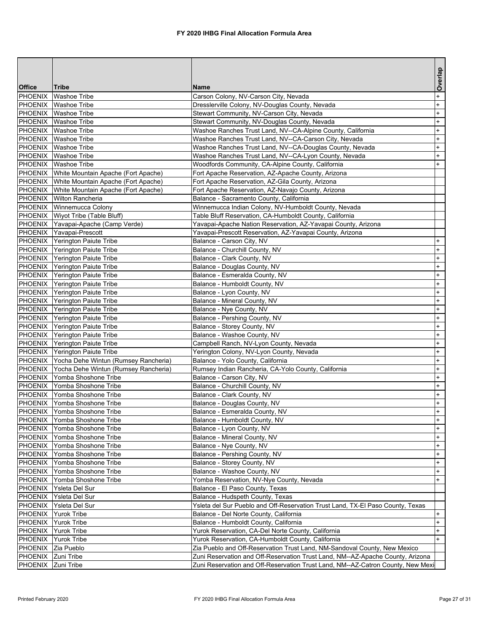|                |                                                                                      |                                                                                          | Overlap                |
|----------------|--------------------------------------------------------------------------------------|------------------------------------------------------------------------------------------|------------------------|
| <b>Office</b>  | <b>Tribe</b>                                                                         | <b>Name</b>                                                                              |                        |
| PHOENIX        | <b>Washoe Tribe</b>                                                                  | Carson Colony, NV-Carson City, Nevada                                                    | $\ddot{}$              |
|                | PHOENIX Washoe Tribe                                                                 | Dresslerville Colony, NV-Douglas County, Nevada                                          | $\ddot{}$              |
|                | PHOENIX Washoe Tribe                                                                 | Stewart Community, NV-Carson City, Nevada                                                | $\ddot{}$              |
|                | PHOENIX Washoe Tribe                                                                 | Stewart Community, NV-Douglas County, Nevada                                             | $\pmb{+}$              |
|                | PHOENIX Washoe Tribe                                                                 | Washoe Ranches Trust Land, NV--CA-Alpine County, California                              | $\ddot{}$              |
|                | PHOENIX Washoe Tribe                                                                 | Washoe Ranches Trust Land, NV--CA-Carson City, Nevada                                    | $\ddot{}$              |
|                | PHOENIX Washoe Tribe                                                                 | Washoe Ranches Trust Land, NV--CA-Douglas County, Nevada                                 | $^{+}$                 |
|                | PHOENIX Washoe Tribe                                                                 | Washoe Ranches Trust Land, NV--CA-Lyon County, Nevada                                    | $^{+}$                 |
|                | PHOENIX Washoe Tribe                                                                 | Woodfords Community, CA-Alpine County, California                                        | $+$                    |
|                | PHOENIX White Mountain Apache (Fort Apache)                                          | Fort Apache Reservation, AZ-Apache County, Arizona                                       |                        |
|                | PHOENIX White Mountain Apache (Fort Apache)                                          | Fort Apache Reservation, AZ-Gila County, Arizona                                         |                        |
|                | PHOENIX White Mountain Apache (Fort Apache)                                          | Fort Apache Reservation, AZ-Navajo County, Arizona                                       |                        |
|                | PHOENIX Wilton Rancheria                                                             | Balance - Sacramento County, California                                                  |                        |
|                | PHOENIX Winnemucca Colony                                                            | Winnemucca Indian Colony, NV-Humboldt County, Nevada                                     |                        |
|                | PHOENIX Wiyot Tribe (Table Bluff)                                                    | Table Bluff Reservation, CA-Humboldt County, California                                  |                        |
|                | PHOENIX Yavapai-Apache (Camp Verde)                                                  | Yavapai-Apache Nation Reservation, AZ-Yavapai County, Arizona                            |                        |
|                | PHOENIX Yavapai-Prescott                                                             | Yavapai-Prescott Reservation, AZ-Yavapai County, Arizona                                 |                        |
|                | PHOENIX Yerington Paiute Tribe                                                       | Balance - Carson City, NV                                                                | $\ddot{}$              |
|                | PHOENIX Yerington Paiute Tribe                                                       | Balance - Churchill County, NV                                                           | $\ddot{}$              |
|                | PHOENIX Yerington Paiute Tribe                                                       | Balance - Clark County, NV                                                               | $^{+}$                 |
| PHOENIX        | Yerington Paiute Tribe                                                               | Balance - Douglas County, NV                                                             | $\ddot{}$              |
| PHOENIX        | <b>Yerington Paiute Tribe</b>                                                        | Balance - Esmeralda County, NV                                                           | $\ddot{}$              |
| PHOENIX        | Yerington Paiute Tribe                                                               | Balance - Humboldt County, NV                                                            | $\ddot{}$              |
|                | PHOENIX Yerington Paiute Tribe                                                       | Balance - Lyon County, NV                                                                | $\ddot{}$              |
|                | PHOENIX Yerington Paiute Tribe                                                       | Balance - Mineral County, NV                                                             | $^{+}$                 |
|                | PHOENIX Yerington Paiute Tribe                                                       | Balance - Nye County, NV                                                                 | $^{+}$                 |
|                | PHOENIX Yerington Paiute Tribe                                                       | Balance - Pershing County, NV                                                            | $\pmb{+}$              |
|                | PHOENIX Yerington Paiute Tribe                                                       | Balance - Storey County, NV                                                              | $\ddot{}$              |
| PHOENIX        | Yerington Paiute Tribe                                                               | Balance - Washoe County, NV                                                              | $\ddot{}$<br>$\ddot{}$ |
| PHOENIX        | Yerington Paiute Tribe                                                               | Campbell Ranch, NV-Lyon County, Nevada                                                   | $\ddot{}$              |
| PHOENIX        | Yerington Paiute Tribe                                                               | Yerington Colony, NV-Lyon County, Nevada                                                 | $^{+}$                 |
| <b>PHOENIX</b> | PHOENIX Yocha Dehe Wintun (Rumsey Rancheria)<br>Yocha Dehe Wintun (Rumsey Rancheria) | Balance - Yolo County, California<br>Rumsey Indian Rancheria, CA-Yolo County, California | $\ddot{}$              |
| PHOENIX        | Yomba Shoshone Tribe                                                                 | Balance - Carson City, NV                                                                | $^{+}$                 |
| PHOENIX        | Yomba Shoshone Tribe                                                                 | Balance - Churchill County, NV                                                           | $^{+}$                 |
|                | PHOENIX Yomba Shoshone Tribe                                                         | Balance - Clark County, NV                                                               | $\pmb{+}$              |
|                | PHOENIX Yomba Shoshone Tribe                                                         | Balance - Douglas County, NV                                                             | $\ddot{}$              |
| PHOENIX        | Yomba Shoshone Tribe                                                                 | Balance - Esmeralda County, NV                                                           | $+$                    |
|                | PHOENIX Yomba Shoshone Tribe                                                         | Balance - Humboldt County, NV                                                            | $\ddot{}$              |
| PHOENIX        | Yomba Shoshone Tribe                                                                 | Balance - Lyon County, NV                                                                | $+$                    |
| PHOENIX        | Yomba Shoshone Tribe                                                                 | Balance - Mineral County, NV                                                             | $\ddot{}$              |
| PHOENIX        | Yomba Shoshone Tribe                                                                 | Balance - Nye County, NV                                                                 | $\ddot{}$              |
| PHOENIX        | Yomba Shoshone Tribe                                                                 | Balance - Pershing County, NV                                                            | $\ddot{}$              |
| PHOENIX        | Yomba Shoshone Tribe                                                                 | Balance - Storey County, NV                                                              | $\ddot{}$              |
| PHOENIX        | Yomba Shoshone Tribe                                                                 | Balance - Washoe County, NV                                                              | $\ddot{}$              |
| <b>PHOENIX</b> | Yomba Shoshone Tribe                                                                 | Yomba Reservation, NV-Nye County, Nevada                                                 | $+$                    |
| PHOENIX        | Ysleta Del Sur                                                                       | Balance - El Paso County, Texas                                                          |                        |
| PHOENIX        | Ysleta Del Sur                                                                       | Balance - Hudspeth County, Texas                                                         |                        |
| PHOENIX        | Ysleta Del Sur                                                                       | Ysleta del Sur Pueblo and Off-Reservation Trust Land, TX-El Paso County, Texas           |                        |
| PHOENIX        | <b>Yurok Tribe</b>                                                                   | Balance - Del Norte County, California                                                   | $\ddot{}$              |
| PHOENIX        | <b>Yurok Tribe</b>                                                                   | Balance - Humboldt County, California                                                    | $\ddot{}$              |
| PHOENIX        | <b>Yurok Tribe</b>                                                                   | Yurok Reservation, CA-Del Norte County, California                                       | $\ddot{}$              |
| PHOENIX        | <b>Yurok Tribe</b>                                                                   | Yurok Reservation, CA-Humboldt County, California                                        | $+$                    |
| PHOENIX        | Zia Pueblo                                                                           | Zia Pueblo and Off-Reservation Trust Land, NM-Sandoval County, New Mexico                |                        |
| PHOENIX        | Zuni Tribe                                                                           | Zuni Reservation and Off-Reservation Trust Land, NM--AZ-Apache County, Arizona           |                        |
| PHOENIX        | Zuni Tribe                                                                           | Zuni Reservation and Off-Reservation Trust Land, NM--AZ-Catron County, New Mexi          |                        |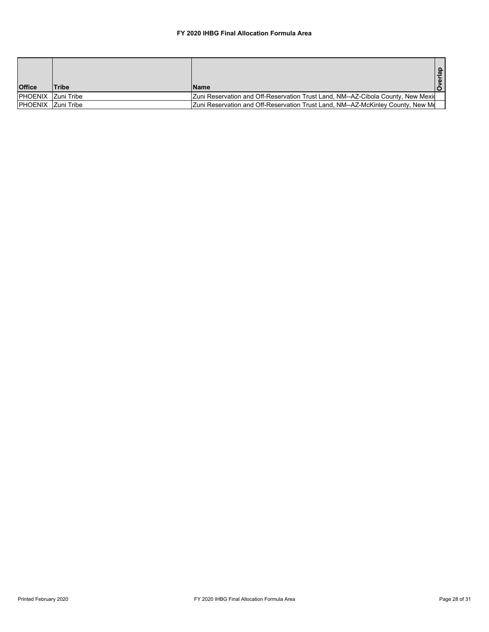## **FY 2020 IHBG Final Allocation Formula Area**

|                            |              |                                                                                        | ൦<br>ದ<br>$\bar{a}$ |
|----------------------------|--------------|----------------------------------------------------------------------------------------|---------------------|
| <b>Office</b>              | <b>Tribe</b> | <b>Name</b>                                                                            |                     |
| <b>IPHOENIX</b> Zuni Tribe |              | Zuni Reservation and Off-Reservation Trust Land, NM--AZ-Cibola County, New Mexid       |                     |
| <b>IPHOENIX</b> Zuni Tribe |              | <b>Zuni Reservation and Off-Reservation Trust Land, NM--AZ-McKinley County, New Me</b> |                     |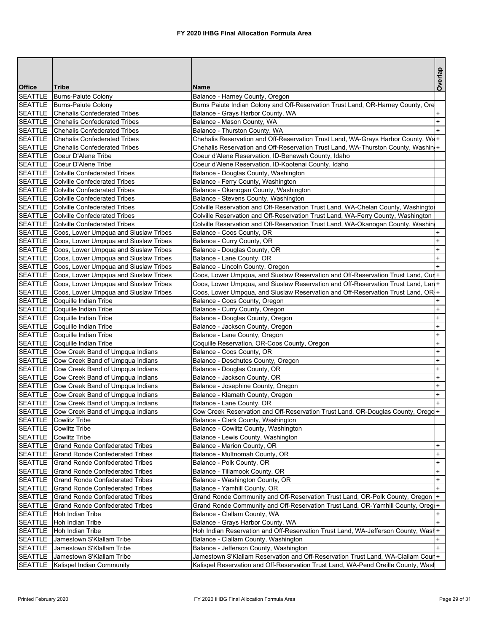|                           |                                                                     |                                                                                                                   | Overlap   |
|---------------------------|---------------------------------------------------------------------|-------------------------------------------------------------------------------------------------------------------|-----------|
| <b>Office</b>             | Tribe                                                               | <b>Name</b>                                                                                                       |           |
| <b>SEATTLE</b>            | <b>Burns-Paiute Colony</b>                                          | Balance - Harney County, Oregon                                                                                   |           |
|                           | SEATTLE   Burns-Paiute Colony                                       | Burns Paiute Indian Colony and Off-Reservation Trust Land, OR-Harney County, Ore                                  |           |
|                           | SEATTLE Chehalis Confederated Tribes                                | Balance - Grays Harbor County, WA                                                                                 | $\ddot{}$ |
|                           | SEATTLE Chehalis Confederated Tribes                                | Balance - Mason County, WA                                                                                        | $\ddot{}$ |
| SEATTLE<br><b>SEATTLE</b> | Chehalis Confederated Tribes<br><b>Chehalis Confederated Tribes</b> | Balance - Thurston County, WA<br>Chehalis Reservation and Off-Reservation Trust Land, WA-Grays Harbor County, Wa+ | $+$       |
|                           | SEATTLE Chehalis Confederated Tribes                                | Chehalis Reservation and Off-Reservation Trust Land, WA-Thurston County, Washin +                                 |           |
|                           | SEATTLE Coeur D'Alene Tribe                                         | Coeur d'Alene Reservation, ID-Benewah County, Idaho                                                               |           |
|                           | SEATTLE Coeur D'Alene Tribe                                         | Coeur d'Alene Reservation, ID-Kootenai County, Idaho                                                              |           |
|                           | SEATTLE Colville Confederated Tribes                                | Balance - Douglas County, Washington                                                                              |           |
|                           | SEATTLE Colville Confederated Tribes                                | Balance - Ferry County, Washington                                                                                |           |
|                           | SEATTLE Colville Confederated Tribes                                | Balance - Okanogan County, Washington                                                                             |           |
|                           | SEATTLE Colville Confederated Tribes                                | Balance - Stevens County, Washington                                                                              |           |
|                           | SEATTLE Colville Confederated Tribes                                | Colville Reservation and Off-Reservation Trust Land, WA-Chelan County, Washingtor                                 |           |
|                           | SEATTLE Colville Confederated Tribes                                | Colville Reservation and Off-Reservation Trust Land, WA-Ferry County, Washington                                  |           |
|                           | SEATTLE Colville Confederated Tribes                                | Colville Reservation and Off-Reservation Trust Land, WA-Okanogan County, Washin                                   |           |
|                           | SEATTLE Coos, Lower Umpqua and Siuslaw Tribes                       | Balance - Coos County, OR                                                                                         | $\ddot{}$ |
|                           | SEATTLE   Coos, Lower Umpqua and Siuslaw Tribes                     | Balance - Curry County, OR                                                                                        | $\ddot{}$ |
|                           | SEATTLE Coos, Lower Umpqua and Siuslaw Tribes                       | Balance - Douglas County, OR                                                                                      | $\ddot{}$ |
|                           | SEATTLE   Coos, Lower Umpqua and Siuslaw Tribes                     | Balance - Lane County, OR                                                                                         | $\ddot{}$ |
|                           | SEATTLE Coos, Lower Umpqua and Siuslaw Tribes                       | Balance - Lincoln County, Oregon                                                                                  | $\ddot{}$ |
| <b>SEATTLE</b>            | Coos, Lower Umpqua and Siuslaw Tribes                               | Coos, Lower Umpqua, and Siuslaw Reservation and Off-Reservation Trust Land, Cure                                  |           |
| <b>SEATTLE</b>            | Coos, Lower Umpqua and Siuslaw Tribes                               | Coos, Lower Umpqua, and Siuslaw Reservation and Off-Reservation Trust Land, Lan+                                  |           |
| <b>SEATTLE</b>            | Coos, Lower Umpqua and Siuslaw Tribes                               | Coos, Lower Umpqua, and Siuslaw Reservation and Off-Reservation Trust Land, OR +                                  |           |
| <b>SEATTLE</b>            | Coquille Indian Tribe                                               | Balance - Coos County, Oregon                                                                                     | $\ddot{}$ |
|                           | SEATTLE Coquille Indian Tribe                                       | Balance - Curry County, Oregon                                                                                    | $\ddot{}$ |
| SEATTLE                   | Coquille Indian Tribe                                               | Balance - Douglas County, Oregon                                                                                  | $\ddot{}$ |
|                           | SEATTLE Coquille Indian Tribe                                       | Balance - Jackson County, Oregon                                                                                  | $\ddot{}$ |
|                           | SEATTLE Coquille Indian Tribe                                       | Balance - Lane County, Oregon                                                                                     | $\ddot{}$ |
|                           | SEATTLE Coquille Indian Tribe                                       | Coquille Reservation, OR-Coos County, Oregon                                                                      | $\pmb{+}$ |
| <b>SEATTLE</b>            | Cow Creek Band of Umpqua Indians                                    | Balance - Coos County, OR                                                                                         | $\ddot{}$ |
| <b>SEATTLE</b>            | Cow Creek Band of Umpqua Indians                                    | Balance - Deschutes County, Oregon                                                                                | $\ddot{}$ |
|                           | SEATTLE Cow Creek Band of Umpqua Indians                            | Balance - Douglas County, OR                                                                                      | $\ddot{}$ |
|                           | SEATTLE Cow Creek Band of Umpqua Indians                            | Balance - Jackson County, OR                                                                                      | $\ddot{}$ |
|                           | SEATTLE Cow Creek Band of Umpqua Indians                            | Balance - Josephine County, Oregon                                                                                | $+$       |
|                           | SEATTLE Cow Creek Band of Umpqua Indians                            | Balance - Klamath County, Oregon                                                                                  | $\ddot{}$ |
|                           | SEATTLE Cow Creek Band of Umpqua Indians                            | Balance - Lane County, OR                                                                                         | $+$       |
|                           | SEATTLE Cow Creek Band of Umpqua Indians                            | Cow Creek Reservation and Off-Reservation Trust Land, OR-Douglas County, Oregol+                                  |           |
| <b>SEATTLE</b>            | <b>Cowlitz Tribe</b>                                                | Balance - Clark County, Washington                                                                                |           |
| <b>SEATTLE</b>            | <b>Cowlitz Tribe</b>                                                | Balance - Cowlitz County, Washington                                                                              |           |
| <b>SEATTLE</b>            | <b>Cowlitz Tribe</b><br>Grand Ronde Confederated Tribes             | Balance - Lewis County, Washington                                                                                | $\ddot{}$ |
| <b>SEATTLE</b><br>SEATTLE | <b>Grand Ronde Confederated Tribes</b>                              | Balance - Marion County, OR<br>Balance - Multnomah County, OR                                                     | $\ddot{}$ |
| <b>SEATTLE</b>            | <b>Grand Ronde Confederated Tribes</b>                              | Balance - Polk County, OR                                                                                         | $\ddot{}$ |
| <b>SEATTLE</b>            | <b>Grand Ronde Confederated Tribes</b>                              | Balance - Tillamook County, OR                                                                                    | $\ddot{}$ |
| <b>SEATTLE</b>            | <b>Grand Ronde Confederated Tribes</b>                              | Balance - Washington County, OR                                                                                   | $\ddot{}$ |
| <b>SEATTLE</b>            | <b>Grand Ronde Confederated Tribes</b>                              | Balance - Yamhill County, OR                                                                                      | $+$       |
| <b>SEATTLE</b>            | <b>Grand Ronde Confederated Tribes</b>                              | Grand Ronde Community and Off-Reservation Trust Land, OR-Polk County, Oregon  +                                   |           |
| <b>SEATTLE</b>            | <b>Grand Ronde Confederated Tribes</b>                              | Grand Ronde Community and Off-Reservation Trust Land, OR-Yamhill County, Oreg(+                                   |           |
| <b>SEATTLE</b>            | Hoh Indian Tribe                                                    | Balance - Clallam County, WA                                                                                      | $\ddot{}$ |
| <b>SEATTLE</b>            | Hoh Indian Tribe                                                    | Balance - Grays Harbor County, WA                                                                                 | $+$       |
| <b>SEATTLE</b>            | Hoh Indian Tribe                                                    | Hoh Indian Reservation and Off-Reservation Trust Land, WA-Jefferson County, Wash+                                 |           |
| <b>SEATTLE</b>            | Jamestown S'Klallam Tribe                                           | Balance - Clallam County, Washington                                                                              | $\ddot{}$ |
| <b>SEATTLE</b>            | Jamestown S'Klallam Tribe                                           | Balance - Jefferson County, Washington                                                                            |           |
| <b>SEATTLE</b>            | Jamestown S'Klallam Tribe                                           | Jamestown S'Klallam Reservation and Off-Reservation Trust Land, WA-Clallam Cour +                                 |           |
| <b>SEATTLE</b>            | Kalispel Indian Community                                           | Kalispel Reservation and Off-Reservation Trust Land, WA-Pend Oreille County, Wash                                 |           |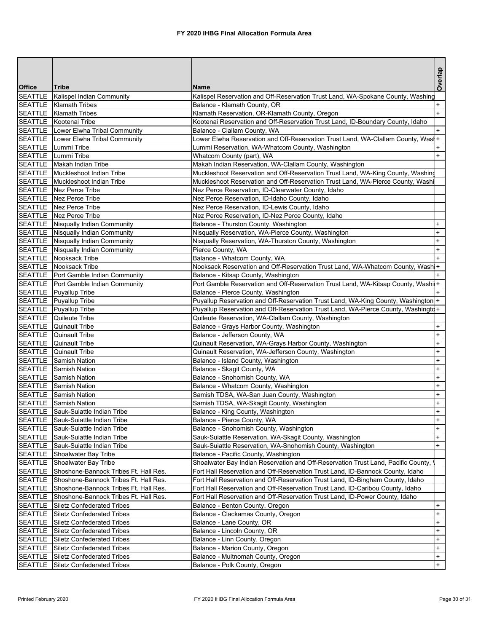|                |                                        |                                                                                     | Overlap                          |
|----------------|----------------------------------------|-------------------------------------------------------------------------------------|----------------------------------|
| <b>Office</b>  | Tribe                                  | <b>Name</b>                                                                         |                                  |
| <b>SEATTLE</b> | Kalispel Indian Community              | Kalispel Reservation and Off-Reservation Trust Land, WA-Spokane County, Washing     |                                  |
|                | SEATTLE   Klamath Tribes               | Balance - Klamath County, OR                                                        | $\ddot{}$                        |
|                | SEATTLE   Klamath Tribes               | Klamath Reservation, OR-Klamath County, Oregon                                      | $+$                              |
|                | SEATTLE Kootenai Tribe                 | Kootenai Reservation and Off-Reservation Trust Land, ID-Boundary County, Idaho      |                                  |
|                | SEATTLE   Lower Elwha Tribal Community | Balance - Clallam County, WA                                                        | $\ddot{}$                        |
|                | SEATTLE   Lower Elwha Tribal Community | Lower Elwha Reservation and Off-Reservation Trust Land, WA-Clallam County, Wasi+    |                                  |
|                | SEATTLE   Lummi Tribe                  | Lummi Reservation, WA-Whatcom County, Washington                                    |                                  |
|                | SEATTLE Lummi Tribe                    | Whatcom County (part), WA                                                           | $+$                              |
|                | SEATTLE Makah Indian Tribe             | Makah Indian Reservation, WA-Clallam County, Washington                             |                                  |
|                | SEATTLE   Muckleshoot Indian Tribe     | Muckleshoot Reservation and Off-Reservation Trust Land, WA-King County, Washing     |                                  |
|                | SEATTLE Muckleshoot Indian Tribe       | Muckleshoot Reservation and Off-Reservation Trust Land, WA-Pierce County, Washi     |                                  |
|                | SEATTLE Nez Perce Tribe                | Nez Perce Reservation, ID-Clearwater County, Idaho                                  |                                  |
|                | SEATTLE Nez Perce Tribe                | Nez Perce Reservation, ID-Idaho County, Idaho                                       |                                  |
|                | SEATTLE Nez Perce Tribe                | Nez Perce Reservation, ID-Lewis County, Idaho                                       |                                  |
|                | SEATTLE Nez Perce Tribe                | Nez Perce Reservation, ID-Nez Perce County, Idaho                                   |                                  |
|                | SEATTLE Nisqually Indian Community     | Balance - Thurston County, Washington                                               | +                                |
|                | SEATTLE Nisqually Indian Community     | Nisqually Reservation, WA-Pierce County, Washington                                 | $\ddot{}$                        |
|                | SEATTLE Nisqually Indian Community     | Nisqually Reservation, WA-Thurston County, Washington                               | $\ddot{}$                        |
|                | SEATTLE Nisqually Indian Community     | Pierce County, WA                                                                   | $\ddot{}$                        |
|                | <b>SEATTLE</b> Nooksack Tribe          | Balance - Whatcom County, WA                                                        |                                  |
|                | SEATTLE Nooksack Tribe                 | Nooksack Reservation and Off-Reservation Trust Land, WA-Whatcom County, Wash +      |                                  |
|                | SEATTLE   Port Gamble Indian Community | Balance - Kitsap County, Washington                                                 |                                  |
|                | SEATTLE   Port Gamble Indian Community | Port Gamble Reservation and Off-Reservation Trust Land, WA-Kitsap County, Washi     |                                  |
|                | SEATTLE   Puyallup Tribe               | Balance - Pierce County, Washington                                                 |                                  |
|                | SEATTLE Puyallup Tribe                 | Puyallup Reservation and Off-Reservation Trust Land, WA-King County, Washington  +  |                                  |
|                | SEATTLE Puyallup Tribe                 | Puyallup Reservation and Off-Reservation Trust Land, WA-Pierce County, Washingtd+   |                                  |
| <b>SEATTLE</b> | Quileute Tribe                         | Quileute Reservation, WA-Clallam County, Washington                                 |                                  |
|                | <b>SEATTLE</b> Quinault Tribe          | Balance - Grays Harbor County, Washington                                           | $\ddot{}$                        |
|                | <b>SEATTLE</b> Quinault Tribe          | Balance - Jefferson County, WA                                                      | $\ddot{}$                        |
|                | SEATTLE Quinault Tribe                 | Quinault Reservation, WA-Grays Harbor County, Washington                            | $\ddot{}$                        |
|                | SEATTLE Quinault Tribe                 | Quinault Reservation, WA-Jefferson County, Washington                               | $\ddot{}$                        |
|                | <b>SEATTLE</b> Samish Nation           | Balance - Island County, Washington                                                 | $\ddot{}$                        |
|                | <b>SEATTLE</b> Samish Nation           | Balance - Skagit County, WA                                                         | $\ddot{}$                        |
|                | SEATTLE Samish Nation                  | Balance - Snohomish County, WA                                                      | $\ddot{}$                        |
|                | SEATTLE Samish Nation                  | Balance - Whatcom County, Washington                                                | $+$                              |
|                | SEATTLE Samish Nation                  | Samish TDSA, WA-San Juan County, Washington                                         | $+$                              |
|                | <b>SEATTLE</b> Samish Nation           | Samish TDSA, WA-Skagit County, Washington                                           | $+$                              |
| <b>SEATTLE</b> | Sauk-Suiattle Indian Tribe             | Balance - King County, Washington                                                   | $\begin{array}{c} + \end{array}$ |
| <b>SEATTLE</b> | Sauk-Suiattle Indian Tribe             | Balance - Pierce County, WA                                                         | $\ddot{}$                        |
| SEATTLE        | Sauk-Suiattle Indian Tribe             | Balance - Snohomish County, Washington                                              | $+$                              |
|                | SEATTLE Sauk-Suiattle Indian Tribe     | Sauk-Suiattle Reservation, WA-Skagit County, Washington                             | $\ddot{}$                        |
|                | SEATTLE Sauk-Suiattle Indian Tribe     | Sauk-Suiattle Reservation, WA-Snohomish County, Washington                          | $\ddot{}$                        |
| <b>SEATTLE</b> | Shoalwater Bay Tribe                   | Balance - Pacific County, Washington                                                |                                  |
| <b>SEATTLE</b> | Shoalwater Bay Tribe                   | Shoalwater Bay Indian Reservation and Off-Reservation Trust Land, Pacific County, I |                                  |
| <b>SEATTLE</b> | Shoshone-Bannock Tribes Ft. Hall Res.  | Fort Hall Reservation and Off-Reservation Trust Land, ID-Bannock County, Idaho      |                                  |
| <b>SEATTLE</b> | Shoshone-Bannock Tribes Ft. Hall Res.  | Fort Hall Reservation and Off-Reservation Trust Land, ID-Bingham County, Idaho      |                                  |
| <b>SEATTLE</b> | Shoshone-Bannock Tribes Ft. Hall Res.  | Fort Hall Reservation and Off-Reservation Trust Land, ID-Caribou County, Idaho      |                                  |
| <b>SEATTLE</b> | Shoshone-Bannock Tribes Ft. Hall Res.  | Fort Hall Reservation and Off-Reservation Trust Land, ID-Power County, Idaho        |                                  |
| <b>SEATTLE</b> | <b>Siletz Confederated Tribes</b>      | Balance - Benton County, Oregon                                                     | $\ddot{}$                        |
| SEATTLE        | <b>Siletz Confederated Tribes</b>      | Balance - Clackamas County, Oregon                                                  | $\ddot{}$                        |
| <b>SEATTLE</b> | <b>Siletz Confederated Tribes</b>      | Balance - Lane County, OR                                                           | $\ddot{}$                        |
| <b>SEATTLE</b> | Siletz Confederated Tribes             | Balance - Lincoln County, OR                                                        | $\ddot{}$                        |
| <b>SEATTLE</b> | Siletz Confederated Tribes             | Balance - Linn County, Oregon                                                       | $\begin{array}{c} + \end{array}$ |
| <b>SEATTLE</b> | <b>Siletz Confederated Tribes</b>      | Balance - Marion County, Oregon                                                     | $+$                              |
| <b>SEATTLE</b> | <b>Siletz Confederated Tribes</b>      | Balance - Multnomah County, Oregon                                                  | $+$                              |
| <b>SEATTLE</b> | <b>Siletz Confederated Tribes</b>      | Balance - Polk County, Oregon                                                       | $+$                              |